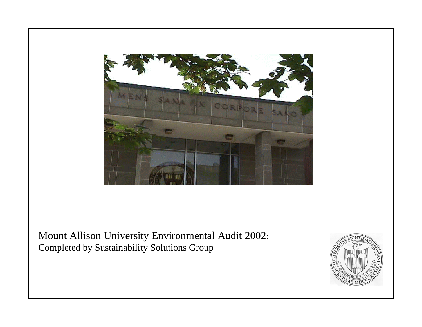

Mount Allison University Environmental Audit 2002: Completed by Sustainability Solutions Group

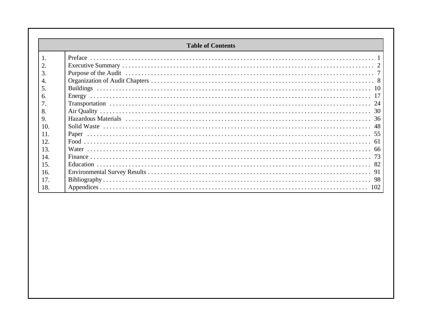|     | <b>Table of Contents</b> |  |  |  |
|-----|--------------------------|--|--|--|
| 1.  | Preface                  |  |  |  |
|     |                          |  |  |  |
| 3.  |                          |  |  |  |
| 4.  |                          |  |  |  |
| 5.  |                          |  |  |  |
| 6.  | Energy                   |  |  |  |
|     |                          |  |  |  |
| 8.  |                          |  |  |  |
| 9.  |                          |  |  |  |
| 10. |                          |  |  |  |
| 11  |                          |  |  |  |
| 12. |                          |  |  |  |
| 13. | Water                    |  |  |  |
| 14. | Finance                  |  |  |  |
| 15. | <b>Education</b>         |  |  |  |
| 16. | -91                      |  |  |  |
| 17. |                          |  |  |  |
| 18. | 102                      |  |  |  |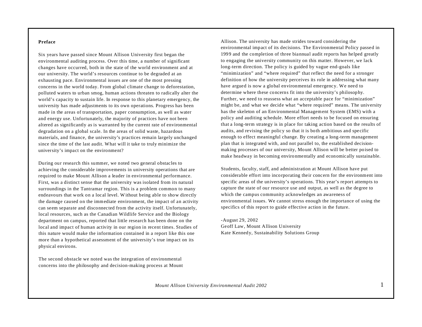#### **Preface**

Six years have passed since Mount Allison University first began the environmental auditing process. Over this time, a number of significant changes have occurred, both in the state of the world environment and at our university. The world's resources continue to be degraded at an exhausting pace. Environmental issues are one of the most pressing concerns in the world today. From global climate change to deforestation, polluted waters to urban smog, human actions threaten to radically alter the world's capacity to sustain life. In response to this planetary emergency, the university has made adjustments to its own operations. Progress has been made in the areas of transportation, paper consumption, as well as water and energy use. Unfortunately, the majority of practices have not been altered as significantly as is warranted by the current rate of environmental degradation on a global scale. In the areas of solid waste, hazardous materials, and finance, the university's practices remain largely unchanged since the time of the last audit. What will it take to truly minimize the university's impact on the environment?

During our research this summer, we noted two general obstacles to achieving the considerable improvements in university operations that are required to make Mount Allison a leader in environmental performance. First, was a distinct sense that the university was isolated from its natural surroundings in the Tantramar region. This is a problem common to many endeavours that work on a local level. Without being able to show directly the damage caused on the immediate environment, the impact of an activity can seem separate and disconnected from the activity itself. Unfortunately, local resources, such as the Canadian Wildlife Service and the Biology department on campus, reported that little research has been done on the local and impact of human activity in our region in recent times. Studies of this nature would make the information contained in a report like this one more than a hypothetical assessment of the university's true impact on its physical environs.

The second obstacle we noted was the integration of environmental concerns into the philosophy and decision-making process at Mount Allison. The university has made strides toward considering the environmental impact of its decisions. The Environmental Policy passed in 1999 and the completion of three biannual audit reports has helped greatly to engaging the university community on this matter. However, we lack long-term direction. The policy is guided by vague end-goals like "minimization" and "where required" that reflect the need for a stronger definition of how the university perceives its role in addressing what many have argued is now a global environmental emergency. We need to determine where these concerns fit into the university's philosophy. Further, we need to reassess what an acceptable pace for "minimization" might be, and what we decide what "where required" means. The university has the skeleton of an Environmental Management System (EMS) with a policy and auditing schedule. More effort needs to be focused on ensuring that a long-term strategy is in place for taking action based on the results of audits, and revising the policy so that it is both ambitious and specific enough to effect meaningful change. By creating a long-term management plan that is integrated with, and not parallel to, the established decisionmaking processes of our university, Mount Allison will be better poised to make headway in becoming environmentally and economically sustainable.

Students, faculty, staff, and administration at Mount Allison have put considerable effort into incorporating their concern for the environment into specific areas of the university's operations. This year's report attempts to capture the state of our resource use and output, as well as the degree to which the campus community acknowledges an awareness of environmental issues. We cannot stress enough the importance of using the specifics of this report to guide effective action in the future.

-August 29, 2002 Geoff Law, Mount Allison University Kate Kennedy, Sustainability Solutions Group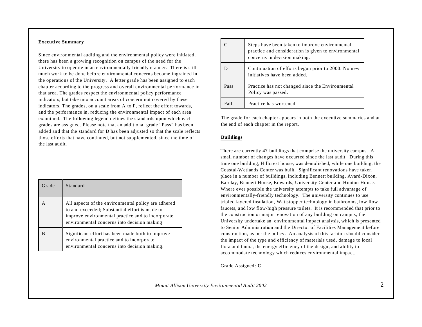## **Executive Summary**

Since environmental auditing and the environmental policy were initiated, there has been a growing recognition on campus of the need for the University to operate in an environmentally friendly manner. There is still much work to be done before environmental concerns become ingrained in the operations of the University. A letter grade has been assigned to each chapter according to the progress and overall environmental performance in that area. The grades respect the environmental policy performance indicators, but take into account areas of concern not covered by these indicators. The grades, on a scale from A to F, reflect the effort towards, and the performance in, reducing the environmental impact of each area examined. The following legend defines the standards upon which each grades are assigned. Please note that an additional grade "Pass" has been added and that the standard for D has been adjusted so that the scale reflects those efforts that have continued, but not supplemented, since the time of the last audit.

| Grade | Standard                                                                                                                                                                                                  |
|-------|-----------------------------------------------------------------------------------------------------------------------------------------------------------------------------------------------------------|
|       | All aspects of the environmental policy are adhered<br>to and exceeded; Substantial effort is made to<br>improve environmental practice and to incorporate<br>environmental concerns into decision making |
|       | Significant effort has been made both to improve<br>environmental practice and to incorporate<br>environmental concerns into decision making.                                                             |

|      | Steps have been taken to improve environmental<br>practice and consideration is given to environmental<br>concerns in decision making. |
|------|----------------------------------------------------------------------------------------------------------------------------------------|
|      | Continuation of efforts begun prior to 2000. No new<br>initiatives have been added.                                                    |
| Pass | Practice has not changed since the Environmental<br>Policy was passed.                                                                 |
| Fail | Practice has worsened                                                                                                                  |

The grade for each chapter appears in both the executive summaries and at the end of each chapter in the report.

## **Buildings**

There are currently 47 buildings that comprise the university campus. A small number of changes have occurred since the last audit. During this time one building, Hillcrest house, was demolished, while one building, the Coastal-Wetlands Center was built. Significant renovations have taken place in a number of buildings, including Bennett building, Avard-Dixon, Barclay, Bennett House, Edwards, University Center and Hunton House. Where ever possible the university attempts to take full advantage of environmentally-friendly technology. The university continues to use tripled layered insulation, Wattstopper technology in bathrooms, low flow faucets, and low flow-high pressure toilets. It is recommended that prior to the construction or major renovation of any building on campus, the University undertake an environmental impact analysis, which is presented to Senior Administration and the Director of Facilities Management before construction, as per the policy. An analysis of this fashion should consider the impact of the type and efficiency of materials used, damage to local flora and fauna, the energy efficiency of the design, and ability to accommodate technology which reduces environmental impact.

Grade Assigned: **C**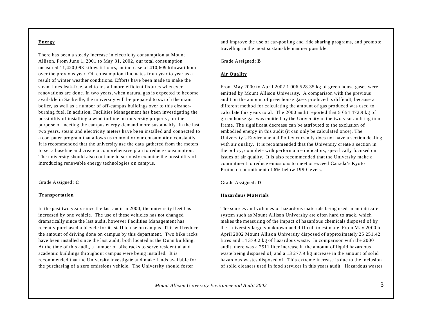## **Energy**

There has been a steady increase in electricity consumption at Mount Allison. From June 1, 2001 to May 31, 2002, our total consumption measured 11,420,093 kilowatt hours, an increase of 410,609 kilowatt hours over the previous year. Oil consumption fluctuates from year to year as a result of winter weather conditions. Efforts have been made to make the steam lines leak-free, and to install more efficient fixtures whenever renovations are done. In two years, when natural gas is expected to become available in Sackville, the university will be prepared to switch the main boiler, as well as a number of off-campus buildings over to this cleanerburning fuel. In addition, Facilities Management has been investigating the possibility of installing a wind turbine on university property, for the purpose of meeting the campus energy demand more sustainably. In the last two years, steam and electricity meters have been installed and connected to a computer program that allows us to monitor our consumption constantly. It is recommended that the university use the data gathered from the meters to set a baseline and create a comprehensive plan to reduce consumption. The university should also continue to seriously examine the possibility of introducing renewable energy technologies on campus.

Grade Assigned: **C**

#### **Transportation**

In the past two years since the last audit in 2000, the university fleet has increased by one vehicle. The use of these vehicles has not changed dramatically since the last audit, however Facilities Management has recently purchased a bicycle for its staff to use on campus. This will reduce the amount of driving done on campus by this department. Two bike racks have been installed since the last audit, both located at the Dunn building. At the time of this audit, a number of bike racks to serve residential and academic buildings throughout campus were being installed. It is recommended that the University investigate and make funds available for the purchasing of a zero emissions vehicle. The University should foster

and improve the use of car-pooling and ride sharing programs, and promote travelling in the most sustainable manner possible.

#### Grade Assigned: **B**

#### **Air Quality**

From May 2000 to April 2002 1 006 528.35 kg of green house gases were emitted by Mount Allison University. A comparison with the previous audit on the amount of greenhouse gases produced is difficult, because a different method for calculating the amount of gas produced was used to calculate this years total. The 2000 audit reported that 5 654 472.9 kg of green house gas was emitted by the University in the two year auditing time frame. The significant decrease can be attributed to the exclusion of embodied energy in this audit (it can only be calculated once). The University's Environmental Policy currently does not have a section dealing with air quality. It is recommended that the University create a section in the policy, complete with performance indicators, specifically focused on issues of air quality. It is also recommended that the University make a commitment to reduce emissions to meet or exceed Canada's Kyoto Protocol commitment of 6% below 1990 levels.

Grade Assigned: **D**

#### **Hazardous Materials**

The sources and volumes of hazardous materials being used in an intricate system such as Mount Allison University are often hard to track, which makes the measuring of the impact of hazardous chemicals disposed of by the University largely unknown and difficult to estimate. From May 2000 to April 2002 Mount Allison University disposed of approximately 25 251.42 litres and 14 379.2 kg of hazardous waste. In comparison with the 2000 audit, there was a 2511 liter increase in the amount of liquid hazardous waste being disposed of, and a 13 277.9 kg increase in the amount of solid hazardous wastes disposed of. This extreme increase is due to the inclusion of solid cleaners used in food services in this years audit. Hazardous wastes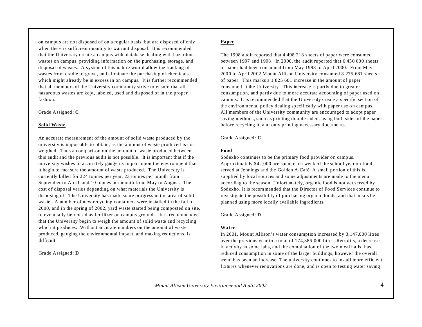on campus are not disposed of on a regular basis, but are disposed of only when there is sufficient quantity to warrant disposal. It is recommended that the University create a campus wide database dealing with hazardous wastes on campus, providing information on the purchasing, storage, and disposal of wastes. A system of this nature would allow the tracking of wastes from cradle to grave, and eliminate the purchasing of chemicals which might already be in excess in on campus. It is further recommended that all members of the University community strive to ensure that all hazardous wastes are kept, labeled, used and disposed of in the proper fashion.

#### Grade Assigned: **C**

#### **Solid Waste**

An accurate measurement of the amount of solid waste produced by the university is impossible to obtain, as the amount of waste produced is not weighed. Thus a comparison on the amount of waste produced between this audit and the previous audit is not possible. It is important that if the university wishes to accurately gauge its impact upon the environment that it begin to measure the amount of waste produced. The University is currently billed for 224 tonnes per year, 23 tonnes per month from September to April, and 10 tonnes per month from May to August. The cost of disposal varies depending on what materials the University is disposing of. The University has made some progress in the area of solid waste. A number of new recycling containers were installed in the fall of 2000, and in the spring of 2002, yard waste started being composted on site, to eventually be reused as fertilizer on campus grounds. It is recommended that the University begin to weigh the amount of solid waste and recycling which it produces. Without accurate numbers on the amount of waste produced, gauging the environmental impact, and making reductions, is difficult.

Grade Assigned: **D**

## **Paper**

The 1998 audit reported that 4 498 218 sheets of paper were consumed between 1997 and 1998. In 2000, the audit reported that 6 450 000 sheets of paper had been consumed from May 1998 to April 2000. From May 2000 to April 2002 Mount Allison University consumed 8 275 681 sheets of paper. This marks a 1 825 681 increase in the amount of paper consumed at the University. This increase is partly due to greater consumption, and partly due to more accurate accounting of paper used on campus. It is recommended that the University create a specific section of the environmental policy dealing specifically with paper use on campus. All members of the University community are encouraged to adopt paper saving methods, such as printing double-sided, using both sides of the paper before recycling it, and only printing necessary documents.

Grade Assigned: **C**

#### **Food**

Sodexho continues to be the primary food provider on campus. Approximately \$42,000 are spent each week of the school year on food served at Jennings and the Golden A Café. A small portion of this is supplied by local sources and some adjustments are made to the menu according to the season. Unfortunately, organic food is not yet served by Sodexho. It is recommended that the Director of Food Services continue to investigate the possibility of purchasing organic foods, and that meals be planned using more locally available ingredients.

Grade Assigned: **D**

#### **Water**

In 2001, Mount Allison's water consumption increased by 3,147,000 litres over the previous year to a total of 174,386,000 litres. Retrofits, a decrease in activity in some labs, and the combination of the two meal halls, has reduced consumption in some of the larger buildings, however the overall trend has been an increase. The university continues to install more efficient fixtures whenever renovations are done, and is open to testing water saving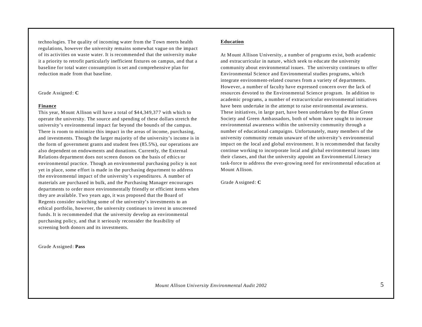technologies. The quality of incoming water from the Town meets health regulations, however the university remains somewhat vague on the impact of its activities on waste water. It is recommended that the university make it a priority to retrofit particularly inefficient fixtures on campus, and that a baseline for total water consumption is set and comprehensive plan for reduction made from that baseline.

#### Grade Assigned: **C**

#### **Finance**

This year, Mount Allison will have a total of \$44,349,377 with which to operate the university. The source and spending of these dollars stretch the university's environmental impact far beyond the bounds of the campus. There is room to minimize this impact in the areas of income, purchasing, and investments. Though the larger majority of the university's income is in the form of government grants and student fees (85.5%), our operations are also dependent on endowments and donations. Currently, the External Relations department does not screen donors on the basis of ethics or environmental practice. Though an environmental purchasing policy is not yet in place, some effort is made in the purchasing department to address the environmental impact of the university's expenditures. A number of materials are purchased in bulk, and the Purchasing Manager encourages departments to order more environmentally friendly or efficient items when they are available. Two years ago, it was proposed that the Board of Regents consider switching some of the university's investments to an ethical portfolio, however, the university continues to invest in unscreened funds. It is recommended that the university develop an environmental purchasing policy, and that it seriously reconsider the feasibility of screening both donors and its investments.

Grade Assigned: **Pass**

#### **Education**

At Mount Allison University, a number of programs exist, both academic and extracurricular in nature, which seek to educate the university community about environmental issues. The university continues to offer Environmental Science and Environmental studies programs, which integrate environment-related courses from a variety of departments. However, a number of faculty have expressed concern over the lack of resources devoted to the Environmental Science program. In addition to academic programs, a number of extracurricular environmental initiatives have been undertake in the attempt to raise environmental awareness. These initiatives, in large part, have been undertaken by the Blue Green Society and Green Ambassadors, both of whom have sought to increase environmental awareness within the university community through a number of educational campaigns. Unfortunately, many members of the university community remain unaware of the university's environmental impact on the local and global environment. It is recommended that faculty continue working to incorporate local and global environmental issues into their classes, and that the university appoint an Environmental Literacy task-force to address the ever-growing need for environmental education at Mount Allison.

Grade Assigned: **C**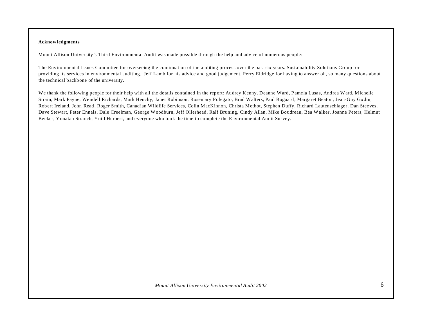## **Acknowledgments**

Mount Allison University's Third Environmental Audit was made possible through the help and advice of numerous people:

The Environmental Issues Committee for overseeing the continuation of the auditing process over the past six years. Sustainability Solutions Group for providing its services in environmental auditing. Jeff Lamb for his advice and good judgement. Perry Eldridge for having to answer oh, so many questions about the technical backbone of the university.

We thank the following people for their help with all the details contained in the report: Audrey Kenny, Deanne Ward, Pamela Lusas, Andrea Ward, Michelle Strain, Mark Payne, Wendell Richards, Mark Henchy, Janet Robinson, Rosemary Polegato, Brad Walters, Paul Bogaard, Margaret Beaton, Jean-Guy Godin, Robert Ireland, John Read, Roger Smith, Canadian Wildlife Services, Colin MacKinnon, Christa Methot, Stephen Duffy, Richard Lautenschlager, Dan Steeves, Dave Stewart, Peter Ennals, Dale Creelman, George W oodburn, Jeff Ollerhead, Ralf Bruning, Cindy Allan, Mike Boudreau, Bea W alker, Joanne Peters, Helmut Becker, Yonatan Strauch, Yuill Herbert, and everyone who took the time to complete the Environmental Audit Survey.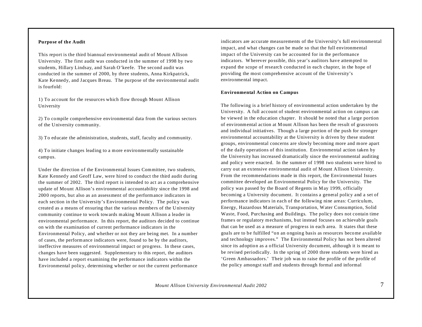## **Purpose of the Audit**

This report is the third biannual environmental audit of Mount Allison University. The first audit was conducted in the summer of 1998 by two students, Hillary Lindsay, and Sarah O'keefe. The second audit was conducted in the summer of 2000, by three students, Anna Kirkpatrick, Kate Kennedy, and Jacques Breau. The purpose of the environmental audit is fourfold:

1) To account for the resources which flow through Mount Allison University

2) To compile comprehensive environmental data from the various sectors of the University community.

3) To educate the administration, students, staff, faculty and community.

4) To initiate changes leading to a more environmentally sustainable campus.

Under the direction of the Environmental Issues Committee, two students, Kate Kennedy and Geoff Law, were hired to conduct the third audit during the summer of 2002. The third report is intended to act as a comprehensive update of Mount Allison's environmental accountability since the 1998 and 2000 reports, but also as an assessment of the performance indicators in each section in the University's Environmental Policy. The policy was created as a means of ensuring that the various members of the University community continue to work towards making Mount Allison a leader in environmental performance. In this report, the auditors decided to continue on with the examination of current performance indicators in the Environmental Policy, and whether or not they are being met. In a number of cases, the performance indicators were, found to be by the auditors, ineffective measures of environmental impact or progress. In these cases, changes have been suggested. Supplementary to this report, the auditors have included a report examining the performance indicators within the Environmental policy, determining whether or not the current performance

indicators are accurate measurements of the University's full environmental impact, and what changes can be made so that the full environmental impact of the University can be accounted for in the performance indicators. Wherever possible, this year's auditors have attempted to expand the scope of research conducted in each chapter, in the hope of providing the most comprehensive account of the University's environmental impact.

#### **Environmental Action on Campus**

The following is a brief history of environmental action undertaken by the University. A full account of student environmental action on campus can be viewed in the education chapter. It should be noted that a large portion of environmental action at Mount Allison has been the result of grassroots and individual initiatives. Though a large portion of the push for stronger environmental accountability at the University is driven by these student groups, environmental concerns are slowly becoming more and more apart of the daily operations of this institution. Environmental action taken by the University has increased dramatically since the environmental auditing and policy were enacted. In the summer of 1998 two students were hired to carry out an extensive environmental audit of Mount Allison University. From the recommendations made in this report, the Environmental Issues committee developed an Environmental Policy for the University. The policy was passed by the Board of Regents in May 1999, officially becoming a University document. It contains a general policy and a set of performance indicators in each of the following nine areas: Curriculum, Energy, Hazardous Materials, Transportation, Water Consumption, Solid Waste, Food, Purchasing and Buildings. The policy does not contain time frames or regulatory mechanisms, but instead focuses on achievable goals that can be used as a measure of progress in each area. It states that these goals are to be fulfilled "on an ongoing basis as resources become available and technology improves." The Environmental Policy has not been altered since its adoption as a official University document, although it is meant to be revised periodically. In the spring of 2000 three students were hired as 'Green Ambassadors.' Their job was to raise the profile of the profile of the policy amongst staff and students through formal and informal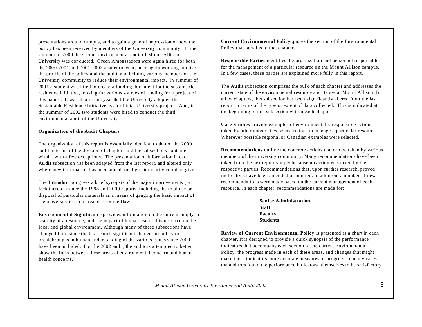presentations around campus, and to gain a general impression of how the policy has been received by members of the University community. In the summer of 2000 the second environmental audit of Mount Allison University was conducted. Green Ambassadors were again hired for both the 2000-2001 and 2001-2002 academic year, once again working to raise the profile of the policy and the audit, and helping various members of the University community to reduce their environmental impact. In summer of 2001 a student was hired to create a funding document for the sustainable residence initiative, looking for various sources of funding for a project of this nature. It was also in this year that the University adopted the Sustainable Residence Initiative as an official University project. And, in the summer of 2002 two students were hired to conduct the third environmental audit of the University.

#### **Organization of the Audit Chapters**

The organization of this report is essentially identical to that of the 2000 audit in terms of the division of chapters and the subsections contained within, with a few exceptions. The presentation of information in each **Audit** subsection has been adapted from the last report, and altered only where new information has been added, or if greater clarity could be given.

The **Introduction** gives a brief synopsis of the major improvements (or lack thereof ) since the 1998 and 2000 reports, including the total use or disposal of particular materials as a means of gauging the basic impact of the university in each area of resource flow.

**Environmental Significance** provides information on the current supply or scarcity of a resource, and the impact of human use of this resource on the local and global environment. Although many of these subsections have changed little since the last report, significant changes to policy or breakthroughs in human understanding of the various issues since 2000 have been included. For the 2002 audit, the auditors attempted to better show the links between these areas of environmental concern and human health concerns.

**Current Environmental Policy** quotes the section of the Environmental Policy that pertains to that chapter.

**Responsible Parties** identifies the organization and personnel responsible for the management of a particular resource on the Mount Allison campus. In a few cases, these parties are explained more fully in this report.

The **Audit** subsection comprises the bulk of each chapter and addresses the current state of the environmental resource and its use at Mount Allison. In a few chapters, this subsection has been significantly altered from the last report in terms of the type or extent of data collected. This is indicated at the beginning of this subsection within each chapter.

**Case Studies** provide examples of environmentally responsible actions taken by other universities or institutions to manage a particular resource. Wherever possible regional or Canadian examples were selected.

**Recommendations** outline the concrete actions that can be taken by various members of the university community. Many recommendations have been taken from the last report simply because no action was taken by the respective parties. Recommendations that, upon further research, proved ineffective, have been amended or omitted. In addition, a number of new recommendations were made based on the current management of each resource. In each chapter, recommendations are made for:

> **Senior Administration Staff Faculty Students**

**Review of Current Environmental Policy** is presented as a chart in each chapter. It is designed to provide a quick synopsis of the performance indicators that accompany each section of the current Environmental Policy, the progress made in each of these areas, and changes that might make these indicators more accurate measures of progress. In many cases the auditors found the performance indicators themselves to be satisfactory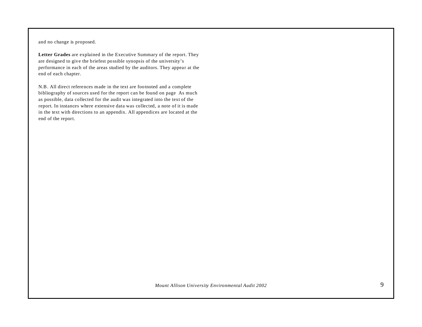and no change is proposed.

**Letter Grades** are explained in the Executive Summary of the report. They are designed to give the briefest possible synopsis of the university's performance in each of the areas studied by the auditors. They appear at the end of each chapter.

N.B. All direct references made in the text are footnoted and a complete bibliography of sources used for the report can be found on page As much as possible, data collected for the audit was integrated into the text of the report. In instances where extensive data was collected, a note of it is made in the text with directions to an appendix. All appendices are located at the end of the report.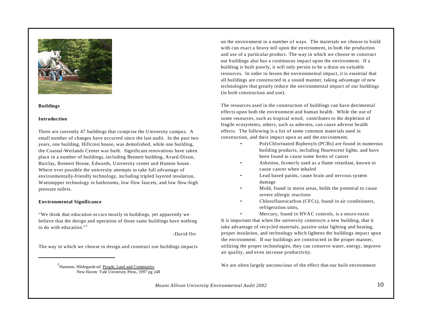

## **Buildings**

#### **Introduction**

There are currently 47 buildings that comprise the University campus. A small number of changes have occurred since the last audit. In the past two years, one building, Hillcrest house, was demolished, while one building, the Coastal-Wetlands Center was built. Significant renovations have taken place in a number of buildings, including Bennett building, Avard-Dixon, Barclay, Bennett House, Edwards, University center and Hunton house. Where ever possible the university attempts to take full advantage of environmentally-friendly technology, including tripled layered insulation, Wattstopper technology in bathrooms, low flow faucets, and low flow-high pressure toilets.

#### **Environmental Significance**

"We think that education occurs mostly in buildings, yet apparently we believe that the design and operation of those same buildings have nothing to do with education."<sup>1</sup>

-David Orr

The way in which we choose to design and construct our buildings impacts

<sup>1</sup> Hannum, Hildegarde ed. People, Land and Community. New Haven: Yale University Press, 1997 pg 248 on the environment in a number of ways. The materials we choose to build with can exact a heavy toll upon the environment, in both the production and use of a particular product. The way in which we choose to construct our buildings also has a continuous impact upon the environment. If a building is built poorly, it will only persist to be a drain on valuable resources. In order to lessen the environmental impact, it is essential that all buildings are constructed in a sound manner, taking advantage of new technologies that greatly reduce the environmental impact of our buildings (in both construction and use).

The resources used in the construction of buildings can have detrimental effects upon both the environment and human health. While the use of some resources, such as tropical wood, contributes to the depletion of fragile ecosystems, others, such as asbestos, can cause adverse health effects. The following is a list of some common materials used in construction, and their impact upon us and the environment.

- PolyChlorinated Biphenyls (PCBs) are found in numerous building products, including flourescent lights, and have been found to cause some forms of cancer
- Asbestos, formerly used as a flame retardant, known to cause cancer when inhaled
- Lead based paints, cause brain and nervous system damage
- Mold, found in moist areas, holds the potential to cause severe allergic reactions
- Chlorofluorocarbon (CFCs), found in air conditioners, refrigeration units,
	- Mercury, found in HVAC controls, is a neuro-toxin

It is important that when the university constructs a new building, that it take advantage of recycled materials, passive solar lighting and heating, proper insulation, and technology which lightens the buildings impact upon the environment. If our buildings are constructed in the proper manner, utilizing the proper technologies, they can conserve water, energy, improve air quality, and even increase productivity.

We are often largely unconscious of the effect that our built environment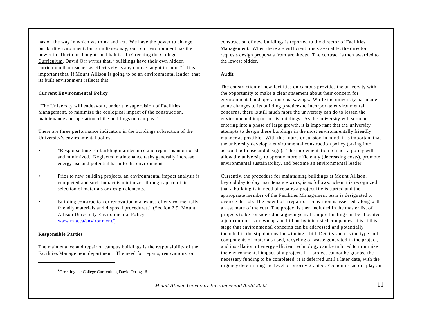has on the way in which we think and act. We have the power to change our built environment, but simultaneously, our built environment has the power to effect our thoughts and habits. In Greening the College Curriculum, David Orr writes that, "buildings have their own hidden curriculum that teaches as effectively as any course taught in them."<sup>2</sup> It is important that, if Mount Allison is going to be an environmental leader, that its built environment reflects this.

## **Current Environmental Policy**

"The University will endeavour, under the supervision of Facilities Management, to minimize the ecological impact of the construction, maintenance and operation of the buildings on campus."

There are three performance indicators in the buildings subsection of the University's environmental policy.

- "Response time for building maintenance and repairs is monitored and minimized. Neglected maintenance tasks generally increase energy use and potential harm to the environment
- Prior to new building projects, an environmental impact analysis is completed and such impact is minimized through appropriate selection of materials or design elements.
- Building construction or renovation makes use of environmentally friendly materials and disposal procedures." (Section 2.9, Mount Allison University Environmental Policy, www.mta.ca/environment/)

#### **Responsible Parties**

The maintenance and repair of campus buildings is the responsibility of the Facilities Management department. The need for repairs, renovations, or

construction of new buildings is reported to the director of Facilities Management. When there are sufficient funds available, the director requests design proposals from architects. The contract is then awarded to the lowest bidder.

## **Audit**

The construction of new facilities on campus provides the university with the opportunity to make a clear statement about their concern for environmental and operation cost savings. While the university has made some changes to its building practices to incorporate environmental concerns, there is still much more the university can do to lessen the environmental impact of its buildings. As the university will soon be entering into a phase of large growth, it is important that the university attempts to design these buildings in the most environmentally friendly manner as possible. With this future expansion in mind, it is important that the university develop a environmental construction policy (taking into account both use and design). The implementation of such a policy will allow the university to operate more efficiently (decreasing costs), promote environmental sustainability, and become an environmental leader.

Currently, the procedure for maintaining buildings at Mount Allison, beyond day to day maintenance work, is as follows: when it is recognized that a building is in need of repairs a project file is started and the appropriate member of the Facilities Management team is designated to oversee the job. The extent of a repair or renovation is assessed, along with an estimate of the cost. The project is then included in the master list of projects to be considered in a given year. If ample funding can be allocated, a job contract is drawn up and bid on by interested companies. It is at this stage that environmental concerns can be addressed and potentially included in the stipulations for winning a bid. Details such as the type and components of materials used, recycling of waste generated in the project, and installation of energy efficient technology can be tailored to minimize the environmental impact of a project. If a project cannot be granted the necessary funding to be completed, it is deferred until a later date, with the urgency determining the level of priority granted. Economic factors play an

 $2<sup>2</sup>$ Greening the College Curriculum, David Orr pg 16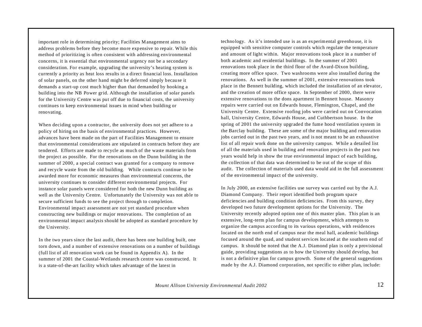important role in determining priority; Facilities Management aims to address problems before they become more expensive to repair. While this method of prioritizing is often consistent with addressing environmental concerns, it is essential that environmental urgency not be a secondary consideration. For example, upgrading the university's heating system is currently a priority as heat loss results in a direct financial loss. Installation of solar panels, on the other hand might be deferred simply because it demands a start-up cost much higher than that demanded by hooking a building into the NB Power grid. Although the installation of solar panels for the University Centre was put off due to financial costs, the university continues to keep environmental issues in mind when building or renovating.

When deciding upon a contractor, the university does not yet adhere to a policy of hiring on the basis of environmental practices. However, advances have been made on the part of Facilities Management to ensure that environmental considerations are stipulated in contracts before they are tendered. Efforts are made to recycle as much of the waste materials from the project as possible. For the renovations on the Dunn building in the summer of 2000, a special contract was granted for a company to remove and recycle waste from the old building. While contracts continue to be awarded more for economic measures than environmental concerns, the university continues to consider different environmental projects. For instance solar panels were considered for both the new Dunn building as well as the University Centre. Unfortunately the University was not able to secure sufficient funds to see the project through to completion. Environmental impact assessment are not yet standard procedure when constructing new buildings or major renovations. The completion of an environmental impact analysis should be adopted as standard procedure by the University.

In the two years since the last audit, there has been one building built, one torn down, and a number of extensive renovations on a number of buildings (full list of all renovation work can be found in Appendix A). In the summer of 2001 the Coastal-Wetlands research centre was constructed. It is a state-of-the-art facility which takes advantage of the latest in

technology. As it's intended use is as an experimental greenhouse, it is equipped with sensitive computer controls which regulate the temperature and amount of light within. Major renovations took place in a number of both academic and residential buildings. In the summer of 2001 renovations took place in the third floor of the Avard-Dixon building, creating more office space. Two washrooms were also installed during the renovations. As well in the summer of 2001, extensive renovations took place in the Bennett building, which included the installation of an elevator, and the creation of more office space. In September of 2000, there were extensive renovations to the dons apartment in Bennett house. Masonry repairs were carried out on Edwards house, Flemington, Chapel, and the University Centre. Extensive roofing jobs were carried out on Convocation hall, University Centre, Edwards House, and Cuthbertson house. In the spring of 2001 the university upgraded the fume hood ventilation system in the Barclay building. These are some of the major building and renovation jobs carried out in the past two years, and is not meant to be an exhaustive list of all repair work done on the university campus. While a detailed list of all the materials used in building and renovation projects in the past two years would help in show the true environmental impact of each building, the collection of that data was determined to be out of the scope of this audit. The collection of materials used data would aid in the full assessment of the environmental impact of the university.

In July 2000, an extensive facilities use survey was carried out by the A.J. Diamond Company. Their report identified both program space deficiencies and building condition deficiencies. From this survey, they developed two future development options for the University. The University recently adopted option one of this master plan. This plan is an extensive, long-term plan for campus development, which attempts to organize the campus according to its various operations, with residences located on the north end of campus near the meal hall, academic buildings focused around the quad, and student services located at the southern end of campus. It should be noted that the A.J. Diamond plan is only a provisional guide, providing suggestions as to how the University should develop, but is not a definitive plan for campus growth. Some of the general suggestions made by the A.J. Diamond corporation, not specific to either plan, include: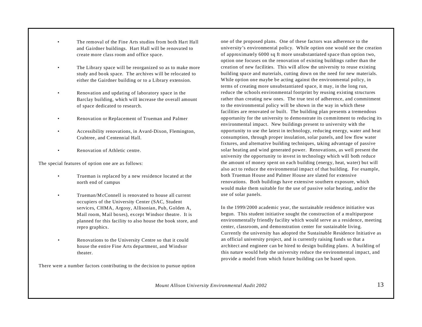- The removal of the Fine Arts studios from both Hart Hall and Gairdner buildings. Hart Hall will be renovated to create more class room and office space.
- The Library space will be reorganized so as to make more study and book space. The archives will be relocated to either the Gairdner building or to a Library extension.
- Renovation and updating of laboratory space in the Barclay building, which will increase the overall amount of space dedicated to research.
- Renovation or Replacement of Trueman and Palmer
- Accessibility renovations, in Avard-Dixon, Flemington, Crabtree, and Centennial Hall.
- Renovation of Athletic centre.

The special features of option one are as follows:

- Trueman is replaced by a new residence located at the north end of campus
- Trueman/M cConnell is renovated to house all current occupiers of the University Center (SAC, Student services, CHMA, Argosy, Allisonian, Pub, Golden A, Mail room, Mail boxes), except Windsor theatre. It is planned for this facility to also house the book store, and repro graphics.
- Renovations to the University Centre so that it could house the entire Fine Arts department, and Windsor theater.

There were a number factors contributing to the decision to pursue option

one of the proposed plans. One of these factors was adherence to the university's environmental policy. While option one would see the creation of approximately 6000 sq ft more unsubstantiated space than option two, option one focuses on the renovation of existing buildings rather than the creation of new facilities. This will allow the university to reuse existing building space and materials, cutting down on the need for new materials. While option one maybe be acting against the environmental policy, in terms of creating more unsubstantiated space, it may, in the long run, reduce the schools environmental footprint by reusing existing structures rather than creating new ones. The true test of adherence, and commitment to the environmental policy will be shown in the way in which these facilities are renovated or built. The building plan presents a tremendous opportunity for the university to demonstrate its commitment to reducing its environmental impact. New buildings present to university with the opportunity to use the latest in technology, reducing energy, water and heat consumption, through proper insulation, solar panels, and low flow water fixtures, and alternative building techniques, taking advantage of passive solar heating and wind generated power. Renovations, as well present the university the opportunity to invest in technology which will both reduce the amount of money spent on each building (energy, heat, water) but will also act to reduce the environmental impact of that building. For example, both Trueman House and Palmer House are slated for extensive renovations. Both buildings have extensive southern exposure, which would make them suitable for the use of passive solar heating, and/or the use of solar panels.

In the 1999/2000 academic year, the sustainable residence initiative was begun. This student initiative sought the construction of a multipurpose environmentally friendly facility which would serve as a residence, meeting center, classroom, and demonstration center for sustainable living. Currently the university has adopted the Sustainable Residence Initiative as an official university project, and is currently raising funds so that a architect and engineer can be hired to design building plans. A building of this nature would help the university reduce the environmental impact, and provide a model from which future building can be based upon.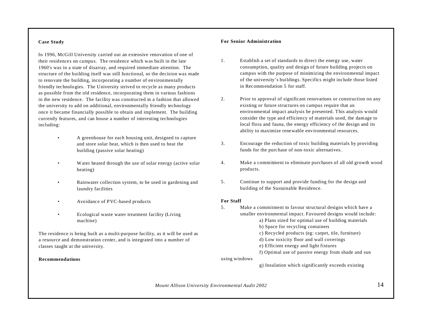## **Case Study**

In 1996, McGill University carried out an extensive renovation of one of their residences on campus. The residence which was built in the late 1960's was in a state of disarray, and required immediate attention. The structure of the building itself was still functional, so the decision was made to renovate the building, incorporating a number of environmentally friendly technologies. The University strived to recycle as many products as possible from the old residence, incorporating them in various fashions in the new residence. The facility was constructed in a fashion that allowed the university to add on additional, environmentally friendly technology once it became financially possible to obtain and implement. The building currently features, and can house a number of interesting technologies including:

- A greenhouse for each housing unit, designed to capture and store solar heat, which is then used to heat the building (passive solar heating)
- Water heated through the use of solar energy (active solar heating)
- Rainwater collection system, to be used in gardening and laundry facilities
- Avoidance of PVC-based products
- Ecological waste water treatment facility (Living machine)

The residence is being built as a multi-purpose facility, as it will be used as a resource and demonstration center, and is integrated into a number of classes taught at the university.

## **Recommendations**

## **For Senior Administration**

- 1. Establish a set of standards to direct the energy use, water consumption, quality and design of future building projects on campus with the purpose of minimizing the environmental impact of the university's buildings. Specifics might include those listed in Recommendation 5 for staff.
- 2. Prior to approval of significant renovations or construction on any existing or future structures on campus require that an environmental impact analysis be presented. This analysis would consider the type and efficiency of materials used, the damage to local flora and fauna, the energy efficiency of the design and its ability to maximize renewable environmental resources.
- 3. Encourage the reduction of toxic building materials by providing funds for the purchase of non-toxic alternatives.
- 4. Make a commitment to eliminate purchases of all old growth wood products.
- 5. Continue to support and provide funding for the design and building of the Sustainable Residence.

#### **For Staff**

- 5. Make a commitment to favour structural designs which have a smaller environmental impact. Favoured designs would include:
	- a) Plans sized for optimal use of building materials
	- b) Space for recycling containers
	- c) Recycled products (eg: carpet, tile, furniture)
	- d) Low toxicity floor and wall coverings
	- e) Efficient energy and light fixtures
	- f) Optimal use of passive energy from shade and sun

using windows

g) Insulation which significantly exceeds existing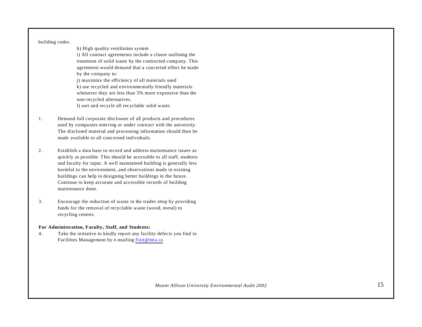building codes

h) High quality ventilation system

i) All contract agreements include a clause outlining the treatment of solid waste by the contracted company. This agreement would demand that a concerted effort be made by the company to:

j) maximize the efficiency of all materials used

k) use recycled and environmentally friendly materials whenever they are less than 5% more expensive than the non-recycled alternatives.

l) sort and recycle all recyclable solid waste.

- 1. Demand full corporate disclosure of all products and procedures used by companies entering or under contract with the university. The disclosed material and processing information should then be made available to all concerned individuals.
- 2. Establish a data base to record and address maintenance issues as quickly as possible. This should be accessible to all staff, students and faculty for input. A well maintained building is generally less harmful to the environment, and observations made in existing buildings can help in designing better buildings in the future. Continue to keep accurate and accessible records of building maintenance done.
- 3. Encourage the reduction of waste in the trades shop by providing funds for the removal of recyclable waste (wood, metal) to recycling centres.

## **For Administration, Faculty, Staff, and Students:**

4. Take the initiative to kindly report any facility defects you find to Facilities Management by e-mailing fixit@mta.ca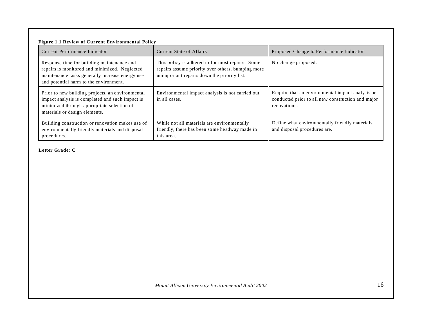# **Figure 1.1 Review of Current Environmental Policy**

| Current Performance Indicator                                                                                                                                                            | <b>Current State of Affairs</b>                                                                                                                      | Proposed Change to Performance Indicator                                                                              |
|------------------------------------------------------------------------------------------------------------------------------------------------------------------------------------------|------------------------------------------------------------------------------------------------------------------------------------------------------|-----------------------------------------------------------------------------------------------------------------------|
| Response time for building maintenance and<br>repairs is monitored and minimized. Neglected<br>maintenance tasks generally increase energy use<br>and potential harm to the environment. | This policy is adhered to for most repairs. Some<br>repairs assume priority over others, bumping more<br>unimportant repairs down the priority list. | No change proposed.                                                                                                   |
| Prior to new building projects, an environmental<br>impact analysis is completed and such impact is<br>minimized through appropriate selection of<br>materials or design elements.       | Environmental impact analysis is not carried out<br>in all cases.                                                                                    | Require that an environmental impact analysis be<br>conducted prior to all new construction and major<br>renovations. |
| Building construction or renovation makes use of<br>environmentally friendly materials and disposal<br>procedures.                                                                       | While not all materials are environmentally<br>friendly, there has been some headway made in<br>this area.                                           | Define what environmentally friendly materials<br>and disposal procedures are.                                        |

**Letter Grade: C**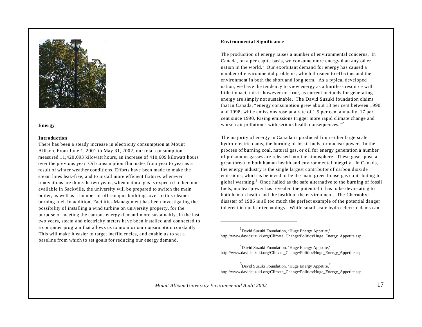

#### **Energy**

#### **Introduction**

There has been a steady increase in electricity consumption at Mount Allison. From June 1, 2001 to May 31, 2002, our total consumption measured 11,420,093 kilowatt hours, an increase of 410,609 kilowatt hours over the previous year. Oil consumption fluctuates from year to year as a result of winter weather conditions. Efforts have been made to make the steam lines leak-free, and to install more efficient fixtures whenever renovations are done. In two years, when natural gas is expected to become available in Sackville, the university will be prepared to switch the main boiler, as well as a number of off-campus buildings over to this cleanerburning fuel. In addition, Facilities Management has been investigating the possibility of installing a wind turbine on university property, for the purpose of meeting the campus energy demand more sustainably. In the last two years, steam and electricity meters have been installed and connected to a computer program that allows us to monitor our consumption constantly. This will make it easier to target inefficiencies, and enable us to set a baseline from which to set goals for reducing our energy demand.

#### **Environmental Significance**

The production of energy raises a number of environmental concerns. In Canada, on a per capita basis, we consume more energy than any other nation in the world.<sup>1</sup> Our exorbitant demand for energy has caused a number of environmental problems, which threaten to effect us and the environment in both the short and long term. As a typical developed nation, we have the tendency to view energy as a limitless resource with little impact, this is however not true, as current methods for generating energy are simply not sustainable. The David Suzuki foundation claims that in Canada, "energy consumption grew about 13 per cent between 1990 and 1998, while emissions rose at a rate of 1.5 per cent annually, 17 per cent since 1990. Rising emissions trigger more rapid climate change and worsen air pollution - with serious health consequences."<sup>2</sup>

The majority of energy in Canada is produced from either large scale hydro-electric dams, the burning of fossil fuels, or nuclear power. In the process of burning coal, natural gas, or oil for energy generation a number of poisonous gasses are released into the atmosphere. These gases pose a great threat to both human health and environmental integrity. In Canada, the energy industry is the single largest contributor of carbon dioxide emissions, which is believed to be the main green house gas contributing to global warming.<sup>3</sup> Once hailed as the safe alternative to the burning of fossil fuels, nuclear power has revealed the potential it has to be devastating to both human health and the health of the environment. The Chernobyl disaster of 1986 is all too much the perfect example of the potential danger inherent in nuclear technology. While small scale hydro-electric dams can

<sup>1</sup>David Suzuki Foundation, 'Huge Energy Appetite,' http://www.davidsuzuki.org/Climate\_Change/Politics/Huge\_Energy\_Appetite.asp

<sup>2</sup> David Suzuki Foundation, 'Huge Energy Appetite,' http://www.davidsuzuki.org/Climate\_Change/Politics/Huge\_Energy\_Appetite.asp

<sup>3</sup>David Suzuki Foundation, 'Huge Energy Appetite,' http://www.davidsuzuki.org/Climate\_Change/Politics/Huge\_Energy\_Appetite.asp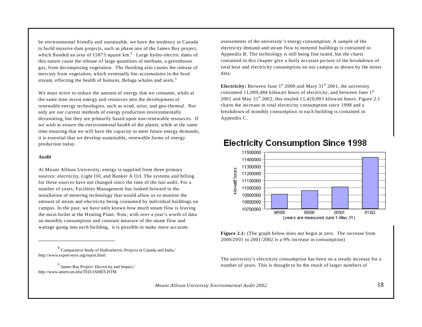be environmental friendly and sustainable, we have the tendency in Canada to build massive dam projects, such as phase one of the James Bay project, which flooded an area of 15873 square  $km<sup>4</sup>$  Large hydro-electric dams of this nature cause the release of large quantities of methane, a greenhouse gas, from decomposing vegetation. The flooding also causes the release of mercury from vegetation, which eventually bio-accumulates in the food stream, effecting the health of humans, Beluga whales and seals.<sup>5</sup>

We must strive to reduce the amount of energy that we consume, while at the same time invest energy and resources into the development of renewable energy technologies, such as wind, solar, and geo-thermal. Not only are our current methods of energy production environmentally devastating, but they are primarily based upon non-renewable resources. If we wish to ensure the environmental health of the planet, while at the same time ensuring that we will have the capacity to meet future energy demands, it is essential that we develop sustainable, renewable forms of energy production today.

#### **Audit**

At Mount Allison University, energy is supplied from three primary sources: electricity, Light Oil, and Bunker A Oil. The systems and billing for these sources have not changed since the time of the last audit. For a number of years, Facilities Management has looked forward to the installation of metering technology that would allow us to monitor the amount of steam and electricity being consumed by individual buildings on campus. In the past, we have only known how much steam flow is leaving the main boiler at the Heating Plant. Now, with over a year's worth of data on monthly consumption and constant measure of the steam flow and wattage going into each building, it is possible to make more accurate

<sup>4</sup> Comparative Study of Hydroelectric Projects in Canada and India,' http://www.expert-eyes.org/report.html

<sup>5</sup> James Bay Project: Electricity and Impact,' http://www.american.edu/TED/JAMES.HTM

assessments of the university's energy consumption. A sample of the electricity demand and steam flow to metered buildings is contained in Appendix B. The technology is still being fine tuned, but the charts contained in this chapter give a fairly accurate picture of the breakdown of total heat and electricity consumption on our campus as shown by the meter data.

**Electricity:** Between June  $1^{st}$  2000 and Mary 31 $^{st}$  2001, the university consumed 11,009,484 kilowatt hours of electricity, and between June  $1<sup>st</sup>$ 2001 and May  $31^{st}$  2002, this totaled 11,420,093 kilowatt hours. Figure 2.1 charts the increase in total electricity consumption since 1998 and a breakdown of monthly consumption in each building is contained in Appendix C.



# **Electricity Consumption Since 1998**

**Figure 2.1:** (The graph below does not begin at zero. The increase from 2000/2001 to 2001/2002 is a 9% increase in consumption)

The university's electricity consumption has been on a steady increase for a number of years. This is thought to be the result of larger numbers of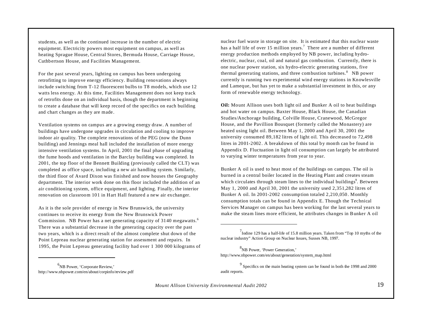students, as well as the continued increase in the number of electric equipment. Electricity powers most equipment on campus, as well as heating Sprague House, Central Stores, Bermuda House, Carriage House, Cuthbertson House, and Facilities Management.

For the past several years, lighting on campus has been undergoing retrofitting to improve energy efficiency. Building renovations always include switching from T-12 fluorescent bulbs to T8 models, which use 12 watts less energy. At this time, Facilities Management does not keep track of retrofits done on an individual basis, though the department is beginning to create a database that will keep record of the specifics on each building and chart changes as they are made.

Ventilation systems on campus are a growing energy draw. A number of buildings have undergone upgrades in circulation and cooling to improve indoor air quality. The complete renovations of the PEG (now the Dunn building) and Jennings meal hall included the installation of more energy intensive ventilation systems. In April, 2001 the final phase of upgrading the fume hoods and ventilation in the Barclay building was completed. In 2001, the top floor of the Bennett Building (previously called the CLT) was completed as office space, including a new air handling system. Similarly, the third floor of Avard Dixon was finished and now houses the Geography department. The interior work done on this floor included the addition of an air conditioning system, office equipment, and lighting. Finally, the interior renovation on classroom 101 in Hart Hall featured a new air exchanger.

As it is the sole provider of energy in New Brunswick, the university continues to receive its energy from the New Brunswick Power Commission. NB Power has a net generating capacity of 3140 megawatts.<sup>6</sup> There was a substantial decrease in the generating capacity over the past two years, which is a direct result of the almost complete shut down of the Point Lepreau nuclear generating station for assessment and repairs. In 1995, the Point Lepreau generating facility had over 1 300 000 kilograms of nuclear fuel waste in storage on site. It is estimated that this nuclear waste has a half life of over 15 million years.<sup>7</sup> There are a number of different energy production methods employed by NB power, including hydroelectric, nuclear, coal, oil and natural gas combustion. Currently, there is one nuclear power station, six hydro-electric generating stations, five thermal generating stations, and three combustion turbines.<sup>8</sup> NB power currently is running two experimental wind energy stations in Knowlesville and Lameque, but has yet to make a substantial investment in this, or any form of renewable energy technology.

**Oil:** Mount Allison uses both light oil and Bunker A oil to heat buildings and hot water on campus. Baxter House, Black House, the Canadian Studies/Anchorage building, Colville House, Cranewood, McGregor House, and the Pavillion Bousquet (formerly called the Monastery) are heated using light oil. Between May 1, 2000 and April 30, 2001 the university consumed 89,182 litres of light oil. This decreased to 72,498 litres in 2001-2002. A breakdown of this total by month can be found in Appendix D. Fluctuation in light oil consumption can largely be attributed to varying winter temperatures from year to year.

Bunker A oil is used to heat most of the buildings on campus. The oil is burned in a central boiler located in the Heating Plant and creates steam which circulates through steam lines to the individual buildings<sup>9</sup>. Between May 1, 2000 and April 30, 2001 the university used 2,351,282 litres of Bunker A oil. In 2001-2002 consumption totaled 2,210,050. Monthly consumption totals can be found in Appendix E. Though the Technical Services Manager on campus has been working for the last several years to make the steam lines more efficient, he attributes changes in Bunker A oil

<sup>8</sup>NB Power, 'Power Generation,' http://www.nbpower.com/en/about/generation/system\_map.html

<sup>9</sup> Specifics on the main heating system can be found in both the 1998 and 2000 audit reports.

 $^{7}$ Iodine 129 has a half-life of 15.8 million years. Taken from "Top 10 myths of the nuclear industry" Action Group on Nuclear Issues, Sussex NB, 1997.

<sup>&</sup>lt;sup>6</sup>NB Power, 'Corporate Review,' http://www.nbpower.com/en/about/corpinfo/review.pdf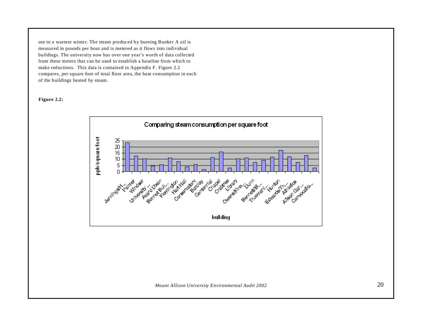use to a warmer winter. The steam produced by burning Bunker A oil is measured in pounds per hour and is metered as it flows into individual buildings. The university now has over one year's worth of data collected from these meters that can be used to establish a baseline from which to make reductions. This data is contained in Appendix F. Figure 2.2 compares, per square foot of total floor area, the heat consumption in each of the buildings heated by steam.

## **Figure 2.2:**

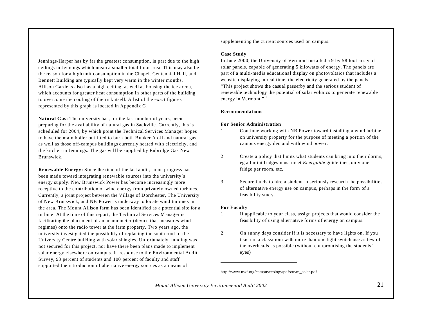Jennings/Harper has by far the greatest consumption, in part due to the high ceilings in Jennings which mean a smaller total floor area. This may also be the reason for a high unit consumption in the Chapel. Centennial Hall, and Bennett Building are typically kept very warm in the winter months. Allison Gardens also has a high ceiling, as well as housing the ice arena, which accounts for greater heat consumption in other parts of the building to overcome the cooling of the rink itself. A list of the exact figures represented by this graph is located in Appendix G.

**Natural Gas:** The university has, for the last number of years, been preparing for the availability of natural gas in Sackville. Currently, this is scheduled for 2004, by which point the Technical Services Manager hopes to have the main boiler outfitted to burn both Bunker A oil and natural gas, as well as those off-campus buildings currently heated with electricity, and the kitchen in Jennings. The gas will be supplied by Enbridge Gas New Brunswick.

**Renewable Energy:** Since the time of the last audit, some progress has been made toward integrating renewable sources into the university's energy supply. New Brunswick Power has become increasingly more receptive to the contribution of wind energy from privately owned turbines. Currently, a joint project between the Village of Dorchester, The University of New Brunswick, and NB Power is underway to locate wind turbines in the area. The Mount Allison farm has been identified as a potential site for a turbine. At the time of this report, the Technical Services Manager is facilitating the placement of an anamometer (device that measures wind regimes) onto the radio tower at the farm property. Two years ago, the university investigated the possibility of replacing the south roof of the University Centre building with solar shingles. Unfortunately, funding was not secured for this project, nor have there been plans made to implement solar energy elsewhere on campus. In response to the Environmental Audit Survey, 93 percent of students and 100 percent of faculty and staff supported the introduction of alternative energy sources as a means of

supplementing the current sources used on campus.

## **Case Study**

In June 2000, the University of Vermont installed a 9 by 58 foot array of solar panels, capable of generating 5 kilowatts of energy. The panels are part of a multi-media educational display on photovoltaics that includes a website displaying in real time, the electricity generated by the panels. "This project shows the casual passerby and the serious student of renewable technology the potential of solar voltaics to generate renewable energy in Vermont."<sup>10</sup>

## **Recommendations**

## **For Senior Administration**

- 1. Continue working with NB Power toward installing a wind turbine on university property for the purpose of meeting a portion of the campus energy demand with wind power.
- 2. Create a policy that limits what students can bring into their dorms, eg all mini fridges must meet *Energuide* guidelines, only one fridge per room, etc.
- 3. Secure funds to hire a student to seriously research the possibilities of alternative energy use on campus, perhaps in the form of a feasibility study.

## **For Faculty**

- 1. If applicable to your class, assign projects that would consider the feasibility of using alternative forms of energy on campus.
- 2. On sunny days consider if it is necessary to have lights on. If you teach in a classroom with more than one light switch use as few of the overheads as possible (without compromising the students' eyes)

http://www.nwf.org/campusecology/pdfs/uvm\_solar.pdf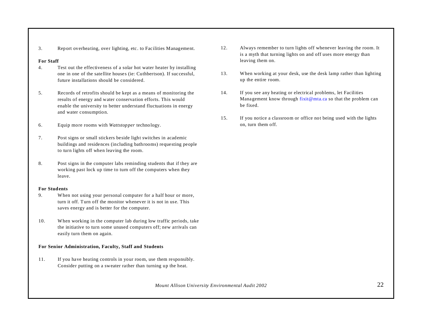3. Report overheating, over lighting, etc. to Facilities Management.

## **For Staff**

- 4. Test out the effectiveness of a solar hot water heater by installing one in one of the satellite houses (ie: Cuthbertson). If successful, future installations should be considered.
- 5. Records of retrofits should be kept as a means of monitoring the results of energy and water conservation efforts. This would enable the university to better understand fluctuations in energy and water consumption.
- 6. Equip more rooms with *Wattstopper* technology.
- 7. Post signs or small stickers beside light switches in academic buildings and residences (including bathrooms) requesting people to turn lights off when leaving the room.
- 8. Post signs in the computer labs reminding students that if they are working past lock up time to turn off the computers when they leave.

#### **For Students**

- 9. When not using your personal computer for a half hour or more, turn it off. Turn off the monitor whenever it is not in use. This saves energy and is better for the computer.
- 10. When working in the computer lab during low traffic periods, take the initiative to turn some unused computers off; new arrivals can easily turn them on again.

## **For Senior Administration, Faculty, Staff and Students**

11. If you have heating controls in your room, use them responsibly. Consider putting on a sweater rather than turning up the heat.

- 12. Always remember to turn lights off whenever leaving the room. It is a myth that turning lights on and off uses more energy than leaving them on.
- 13. When working at your desk, use the desk lamp rather than lighting up the entire room.
- 14. If you see any heating or electrical problems, let Facilities Management know through fixit@mta.ca so that the problem can be fixed.
- 15. If you notice a classroom or office not being used with the lights on, turn them off.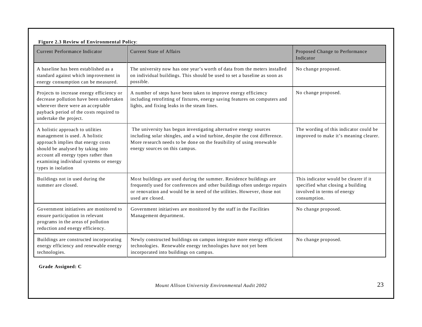| Figure 2.3 Review of Environmental Policy:                                                                                                                                                                                                            |                                                                                                                                                                                                                                                           |                                                                                                                           |  |
|-------------------------------------------------------------------------------------------------------------------------------------------------------------------------------------------------------------------------------------------------------|-----------------------------------------------------------------------------------------------------------------------------------------------------------------------------------------------------------------------------------------------------------|---------------------------------------------------------------------------------------------------------------------------|--|
| Current Performance Indicator                                                                                                                                                                                                                         | <b>Current State of Affairs</b>                                                                                                                                                                                                                           | Proposed Change to Performance<br>Indicator                                                                               |  |
| A baseline has been established as a<br>standard against which improvement in<br>energy consumption can be measured.                                                                                                                                  | The university now has one year's worth of data from the meters installed<br>on individual buildings. This should be used to set a baseline as soon as<br>possible.                                                                                       | No change proposed.                                                                                                       |  |
| Projects to increase energy efficiency or<br>decrease pollution have been undertaken<br>wherever there were an acceptable<br>payback period of the costs required to<br>undertake the project.                                                        | A number of steps have been taken to improve energy efficiency<br>including retrofitting of fixtures, energy saving features on computers and<br>lights, and fixing leaks in the steam lines.                                                             | No change proposed.                                                                                                       |  |
| A holistic approach to utilities<br>management is used. A holistic<br>approach implies that energy costs<br>should be analysed by taking into<br>account all energy types rather than<br>examining individual systems or energy<br>types in isolation | The university has begun investigating alternative energy sources<br>including solar shingles, and a wind turbine, despite the cost difference.<br>More research needs to be done on the feasibility of using renewable<br>energy sources on this campus. | The wording of this indicator could be<br>improved to make it's meaning clearer.                                          |  |
| Buildings not in used during the<br>summer are closed.                                                                                                                                                                                                | Most buildings are used during the summer. Residence buildings are<br>frequently used for conferences and other buildings often undergo repairs<br>or renovation and would be in need of the utilities. However, those not<br>used are closed.            | This indicator would be clearer if it<br>specified what closing a building<br>involved in terms of energy<br>consumption. |  |
| Government initiatives are monitored to<br>ensure participation in relevant<br>programs in the areas of pollution<br>reduction and energy efficiency.                                                                                                 | Government initiatives are monitored by the staff in the Facilities<br>Management department.                                                                                                                                                             | No change proposed.                                                                                                       |  |
| Buildings are constructed incorporating<br>energy efficiency and renewable energy<br>technologies.                                                                                                                                                    | Newly constructed buildings on campus integrate more energy efficient<br>technologies. Renewable energy technologies have not yet been<br>incorporated into buildings on campus.                                                                          | No change proposed.                                                                                                       |  |

**Grade Assigned: C**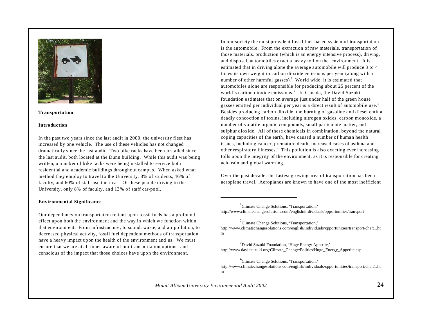



#### **Introduction**

In the past two years since the last audit in 2000, the university fleet has increased by one vehicle. The use of these vehicles has not changed dramatically since the last audit. Two bike racks have been installed since the last audit, both located at the Dunn building. While this audit was being written, a number of bike racks were being installed to service both residential and academic buildings throughout campus. When asked what method they employ to travel to the University, 8% of students, 46% of faculty, and 60% of staff use their car. Of these people driving to the University, only 8% of faculty, and 13% of staff car-pool.

#### **Environmental Significance**

Our dependancy on transportation reliant upon fossil fuels has a profound effect upon both the environment and the way in which we function within that environment. From infrastructure, to sound, waste, and air pollution, to decreased physical activity, fossil fuel dependent methods of transportation have a heavy impact upon the health of the environment and us. We must ensure that we are at all times aware of our transportation options, and conscious of the impact that those choices have upon the environment.

In our society the most prevalent fossil fuel-based system of transportation is the automobile. From the extraction of raw materials, transportation of those materials, production (which is an energy intensive process), driving, and disposal, automobiles exact a heavy toll on the environment. It is estimated that in driving alone the average automobile will produce 3 to 4 times its own weight in carbon dioxide emissions per year (along with a number of other harmful gasses).<sup>1</sup> World wide, it is estimated that automobiles alone are responsible for producing about 25 percent of the world's carbon dioxide emissions.<sup>2</sup> In Canada, the David Suzuki foundation estimates that on average just under half of the green house gasses emitted per individual per year is a direct result of automobile use.<sup>3</sup> Besides producing carbon dioxide, the burning of gasoline and diesel emit a deadly concoction of toxins, including nitrogen oxides, carbon monoxide, a number of volatile organic compounds, small particulate matter, and sulphur dioxide. All of these chemicals in combination, beyond the natural coping capacities of the earth, have caused a number of human health issues, including cancer, premature death, increased cases of asthma and other respiratory illnesses.<sup>4</sup> This pollution is also exacting ever increasing tolls upon the integrity of the environment, as it is responsible for creating acid rain and global warming.

Over the past decade, the fastest growing area of transportation has been aeroplane travel. Aeroplanes are known to have one of the most inefficient

1 Climate Change Solutions, 'Transportation,' http://www.climatechangesolutions.com/english/individuals/opportunities/transport

<sup>2</sup> Climate Change Solutions, 'Transportation,' http://www.climatechangesolutions.com/english/individuals/opportunities/transport/chart1.ht m

<sup>3</sup> David Suzuki Foundation, 'Huge Energy Appetite,' http://www.davidsuzuki.org/Climate\_Change/Politics/Huge\_Energy\_Appetite.asp

<sup>4</sup> Climate Change Solutions, 'Transportation,' http://www.climatechangesolutions.com/english/individuals/opportunities/transport/chart1.ht m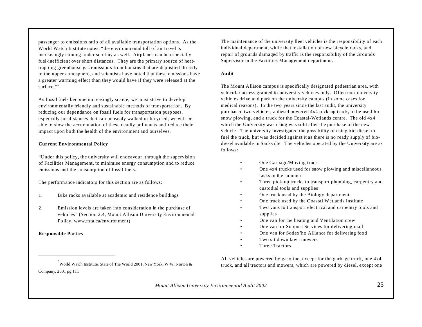passenger to emissions ratio of all available transportation options. As the World Watch Institute notes, "the environmental toll of air travel is increasingly coming under scrutiny as well. Airplanes can be especially fuel-inefficient over short distances. They are the primary source of heattrapping greenhouse gas emissions from humans that are deposited directly in the upper atmosphere, and scientists have noted that these emissions have a greater warming effect than they would have if they were released at the surface."<sup>5</sup>

As fossil fuels become increasingly scarce, we must strive to develop environmentally friendly and sustainable methods of transportation. By reducing our dependance on fossil fuels for transportation purposes, especially for distances that can be easily walked or bicycled, we will be able to slow the accumulation of these deadly pollutants and reduce their impact upon both the health of the environment and ourselves.

## **Current Environmental Policy**

"Under this policy, the university will endeavour, through the supervision of Facilities Management, to minimise energy consumption and to reduce emissions and the consumption of fossil fuels.

The performance indicators for this section are as follows:

- 1. Bike racks available at academic and residence buildings
- 2. Emission levels are taken into consideration in the purchase of vehicles" (Section 2.4, Mount Allison University Environmental Policy, www.mta.ca/environment)

## **Responsible Parties**

The maintenance of the university fleet vehicles is the responsibility of each individual department, while that installation of new bicycle racks, and repair of grounds damaged by traffic is the responsibility of the Grounds Supervisor in the Facilities Management department.

## **Audit**

The Mount Allison campus is specifically designated pedestrian area, with vehicular access granted to university vehicles only. Often non-university vehicles drive and park on the university campus (In some cases for medical reasons). In the two years since the last audit, the university purchased two vehicles, a diesel powered 4x4 pick-up truck, to be used for snow plowing, and a truck for the Coastal-Wetlands centre. The old 4x4 which the University was using was sold after the purchase of the new vehicle. The university investigated the possibility of using bio-diesel to fuel the truck, but was decided against it as there is no ready supply of biodiesel available in Sackville. The vehicles operated by the University are as follows:

- One Garbage/Moving truck
- One 4x4 trucks used for snow plowing and miscellaneous tasks in the summer
- Three pick-up trucks to transport plumbing, carpentry and custodial tools and supplies
- One truck used by the Biology department
- One truck used by the Coastal Wetlands Institute
- Two vans to transport electrical and carpentry tools and supplies
- One van for the heating and Ventilation crew
- One van for Support Services for delivering mail
- One van for Sodex'ho Alliance for delivering food
- Two sit down lawn mowers
- Three Tractors

 $5$ World Watch Institute, State of The World 2001, New York: W.W. Norton & Company, 2001 pg 111

All vehicles are powered by gasoline, except for the garbage truck, one 4x4 truck, and all tractors and mowers, which are powered by diesel, except one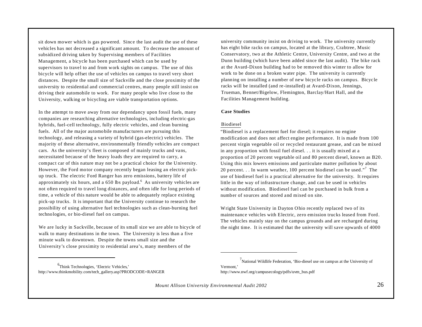sit down mower which is gas powered. Since the last audit the use of these vehicles has not decreased a significant amount. To decrease the amount of subsidized driving taken by Supervising members of Facilities Management, a bicycle has been purchased which can be used by supervisors to travel to and from work sights on campus. The use of this bicycle will help offset the use of vehicles on campus to travel very short distances. Despite the small size of Sackville and the close proximity of the university to residential and commercial centres, many people still insist on driving their automobile to work. For many people who live close to the University, walking or bicycling are viable transportation options.

In the attempt to move away from our dependancy upon fossil fuels, many companies are researching alternative technologies, including electric-gas hybrids, fuel-cell technology, fully electric vehicles, and clean burning fuels. All of the major automobile manufacturers are pursuing this technology, and releasing a variety of hybrid (gas-electric) vehicles. The majority of these alternative, environmentally friendly vehicles are compact cars. As the university's fleet is composed of mainly trucks and vans, necessitated because of the heavy loads they are required to carry, a compact car of this nature may not be a practical choice for the University. However, the Ford motor company recently began leasing an electric pickup truck. The electric Ford Ranger has zero emissions, battery life of approximately six hours, and a 650 lbs payload.  $6$  As university vehicles are not often required to travel long distances, and often idle for long periods of time, a vehicle of this nature would be able to adequately replace existing pick-up trucks. It is important that the University continue to research the possibility of using alternative fuel technologies such as clean-burning fuel technologies, or bio-diesel fuel on campus.

We are lucky in Sackville, because of its small size we are able to bicycle of walk to many destinations in the town. The University is less than a five minute walk to downtown. Despite the towns small size and the University's close proximity to residential area's, many members of the

<sup>6</sup>Think Technologies, 'Electric Vehicles,' http://www.thinkmobility.com/tech\_gallery.asp?PRODCODE=RANGER university community insist on driving to work. The university currently has eight bike racks on campus, located at the library, Crabtree, Music Conservatory, two at the Athletic Centre, University Centre, and two at the Dunn building (which have been added since the last audit). The bike rack at the Avard-Dixon building had to be removed this winter to allow for work to be done on a broken water pipe. The university is currently planning on installing a number of new bicycle racks on campus. Bicycle racks will be installed (and re-installed) at Avard-Dixon, Jennings, Trueman, Bennet/Bigelow, Flemington, Barclay/Hart Hall, and the Facilities Management building.

#### **Case Studies**

## Biodiesel

"Biodiesel is a replacement fuel for diesel; it requires no engine modification and does not affect engine performance. It is made from 100 percent virgin vegetable oil or recycled restaurant grease, and can be mixed in any proportion with fossil fuel diesel. . . it is usually mixed at a proportion of 20 percent vegetable oil and 80 percent diesel, known as B20. Using this mix lowers emissions and particulate matter pollution by about 20 percent... In warm weather, 100 percent biodiesel can be used."<sup>7</sup> The use of biodiesel fuel is a practical alternative for the university. It requires little in the way of infrastructure change, and can be used in vehicles without modification. Biodiesel fuel can be purchased in bulk from a number of sources and stored and mixed on site.

Wright State University in Dayton Ohio recently replaced two of its maintenance vehicles with Electric, zero emission trucks leased from Ford. The vehicles mainly stay on the campus grounds and are recharged during the night time. It is estimated that the university will save upwards of 4000

<sup>&</sup>lt;sup>7</sup> National Wildlife Federation, 'Bio-diesel use on campus at the University of Vermont,' http://www.nwf.org/campusecology/pdfs/uvm\_bus.pdf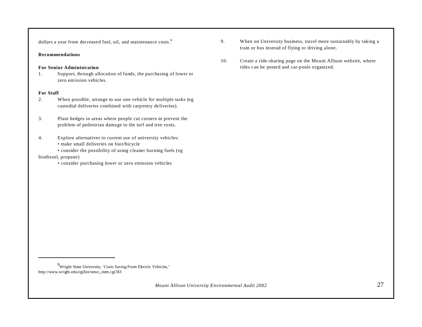dollars a year from decreased fuel, oil, and maintenance costs.<sup>8</sup>

## **Recommendations**

## **For Senior Administration**

1. Support, through allocation of funds, the purchasing of lower or zero emission vehicles.

## **For Staff**

- 2. When possible, arrange to use one vehicle for multiple tasks (eg custodial deliveries combined with carpentry deliveries).
- 3. Plant hedges in areas where people cut corners to prevent the problem of pedestrian damage to the turf and tree roots.
- 4. Explore alternatives to current use of university vehicles: • make small deliveries on foot/bicycle
	- consider the possibility of using cleaner burning fuels (eg

## biodiesel, propane)

• consider purchasing lower or zero emission vehicles

- 9. When on University business, travel more sustainably by taking a train or bus instead of flying or driving alone.
- 10. Create a ride-sharing page on the Mount Allison website, where rides can be posted and car-pools organized.

 ${}^{8}$  Wright State University, 'Costs Saving From Electric Vehicles,' http://www.wright.edu/cgibin/news\_item.cgi?43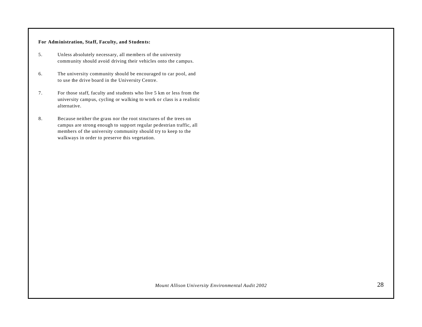## **For Administration, Staff, Faculty, and Students:**

- 5. Unless absolutely necessary, all members of the university community should avoid driving their vehicles onto the campus.
- 6. The university community should be encouraged to car pool, and to use the drive board in the University Centre.
- 7. For those staff, faculty and students who live 5 km or less from the university campus, cycling or walking to work or class is a realistic alternative.
- 8. Because neither the grass nor the root structures of the trees on campus are strong enough to support regular pedestrian traffic, all members of the university community should try to keep to the walkways in order to preserve this vegetation.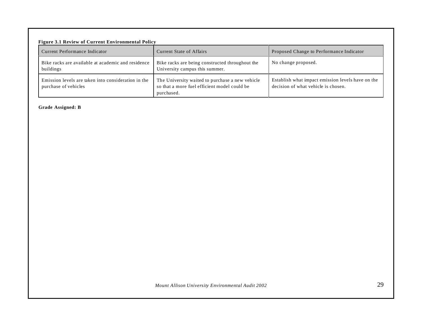# **Figure 3.1 Review of Current Environmental Policy**

| Current Performance Indicator                                               | <b>Current State of Affairs</b>                                                                               | Proposed Change to Performance Indicator                                                 |  |
|-----------------------------------------------------------------------------|---------------------------------------------------------------------------------------------------------------|------------------------------------------------------------------------------------------|--|
| Bike racks are available at academic and residence<br>buildings             | Bike racks are being constructed throughout the<br>University campus this summer.                             | No change proposed.                                                                      |  |
| Emission levels are taken into consideration in the<br>purchase of vehicles | The University waited to purchase a new vehicle<br>so that a more fuel efficient model could be<br>purchased. | Establish what impact emission levels have on the<br>decision of what vehicle is chosen. |  |

# **Grade Assigned: B**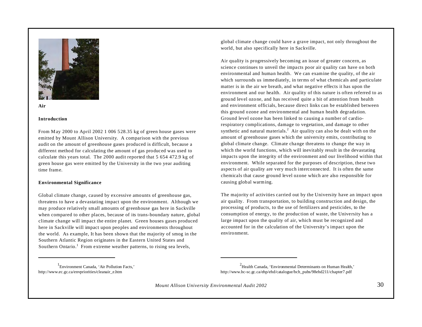

#### **Air**

#### **Introduction**

From May 2000 to April 2002 1 006 528.35 kg of green house gases were emitted by Mount Allison University. A comparison with the previous audit on the amount of greenhouse gases produced is difficult, because a different method for calculating the amount of gas produced was used to calculate this years total. The 2000 audit reported that 5 654 472.9 kg of green house gas were emitted by the University in the two year auditing time frame.

#### **Environmental Significance**

Global climate change, caused by excessive amounts of greenhouse gas, threatens to have a devastating impact upon the environment. Although we may produce relatively small amounts of greenhouse gas here in Sackville when compared to other places, because of its trans-boundary nature, global climate change will impact the entire planet. Green houses gases produced here in Sackville will impact upon peoples and environments throughout the world. As example, It has been shown that the majority of smog in the Southern Atlantic Region originates in the Eastern United States and Southern Ontario.<sup>1</sup> From extreme weather patterns, to rising sea levels,

global climate change could have a grave impact, not only throughout the world, but also specifically here in Sackville.

Air quality is progressively becoming an issue of greater concern, as science continues to unveil the impacts poor air quality can have on both environmental and human health. We can examine the quality, of the air which surrounds us immediately, in terms of what chemicals and particulate matter is in the air we breath, and what negative effects it has upon the environment and our health. Air quality of this nature is often referred to as ground level ozone, and has received quite a bit of attention from health and environment officials, because direct links can be established between this ground ozone and environmental and human health degradation. Ground level ozone has been linked to causing a number of cardiorespiratory complications, damage to vegetation, and damage to other synthetic and natural materials.<sup>2</sup> Air quality can also be dealt with on the amount of greenhouse gases which the university emits, contributing to global climate change. Climate change threatens to change the way in which the world functions, which will inevitably result in the devastating impacts upon the integrity of the environment and our livelihood within that environment. While separated for the purposes of description, these two aspects of air quality are very much interconnected. It is often the same chemicals that cause ground level ozone which are also responsible for causing global warming.

The majority of activities carried out by the University have an impact upon air quality. From transportation, to building construction and design, the processing of products, to the use of fertilizers and pesticides, to the consumption of energy, to the production of waste, the University has a large impact upon the quality of air, which must be recognized and accounted for in the calculation of the University's impact upon the environment.

<sup>1</sup> Environment Canada, 'Air Pollution Facts,' http://www.ec.gc.ca/envpriorities/cleanair\_e.htm

<sup>&</sup>lt;sup>2</sup> Health Canada, 'Environmental Determinants on Human Health,' http://www.hc-sc.gc.ca/ehp/ehd/catalogue/bch\_pubs/98ehd211/chapter7.pdf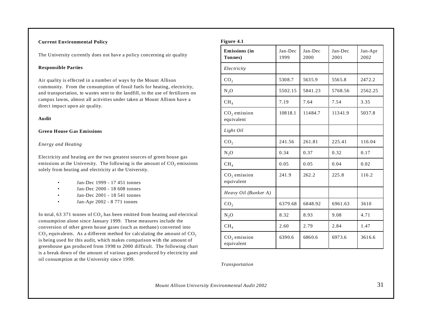## **Current Environmental Policy**

The University currently does not have a policy concerning air quality

## **Responsible Parties**

Air quality is effected in a number of ways by the Mount Allison community. From the consumption of fossil fuels for heating, electricity, and transportation, to wastes sent to the landfill, to the use of fertilizers on campus lawns, almost all activities under taken at Mount Allison have a direct impact upon air quality.

## **Audit**

## **Green House Gas Emissions**

## *Energy and Heating*

Electricity and heating are the two greatest sources of green house gas emissions at the University. The following is the amount of  $\mathrm{CO}_2$  emissions solely from heating and electricity at the University.

- Jan-Dec 1999 17 451 tonnes
- Jan-Dec 2000 18 608 tonnes
- Jan-Dec 2001 18 541 tonnes
- Jan-Apr 2002 8 771 tonnes

In total, 63 371 tonnes of  $\mathrm{CO}_2$  has been emitted from heating and electrical consumption alone since January 1999. These measures include the conversion of other green house gases (such as methane) converted into  $\mathrm{CO}_2$  equivalents. As a different method for calculating the amount of  $\mathrm{CO}_2$ is being used for this audit, which makes comparison with the amount of greenhouse gas produced from 1998 to 2000 difficult. The following chart is a break down of the amount of various gases produced by electricity and oil consumption at the University since 1999.

| Fıgure |  |
|--------|--|
|--------|--|

| <b>Emissions</b> (in<br>Tonnes) | Jan-Dec<br>1999 | Jan-Dec<br>2000 | Jan-Dec<br>2001 | Jan-Apr<br>2002 |
|---------------------------------|-----------------|-----------------|-----------------|-----------------|
| Electricity                     |                 |                 |                 |                 |
| CO <sub>2</sub>                 | 5308.7          | 5635.9          | 5565.8          | 2472.2          |
| $N_2$ O                         | 5502.15         | 5841.23         | 5768.56         | 2562.25         |
| CH <sub>4</sub>                 | 7.19            | 7.64            | 7.54            | 3.35            |
| $CO2$ emission<br>equivalent    | 10818.1         | 11484.7         | 11341.9         | 5037.8          |
| Light Oil                       |                 |                 |                 |                 |
| CO <sub>2</sub>                 | 241.56          | 261.81          | 225.41          | 116.04          |
| $N_2$ O                         | 0.34            | 0.37            | 0.32            | 0.17            |
| CH <sub>4</sub>                 | 0.05            | 0.05            | 0.04            | 0.02            |
| $CO2$ emission<br>equivalent    | 241.9           | 262.2           | 225.8           | 116.2           |
| Heavy Oil (Bunker A)            |                 |                 |                 |                 |
| CO <sub>2</sub>                 | 6379.68         | 6848.92         | 6961.63         | 3610            |
| $N_2O$                          | 8.32            | 8.93            | 9.08            | 4.71            |
| CH <sub>4</sub>                 | 2.60            | 2.79            | 2.84            | 1.47            |
| $CO2$ emission<br>equivalent    | 6390.6          | 6860.6          | 6973.6          | 3616.6          |

*Transportation*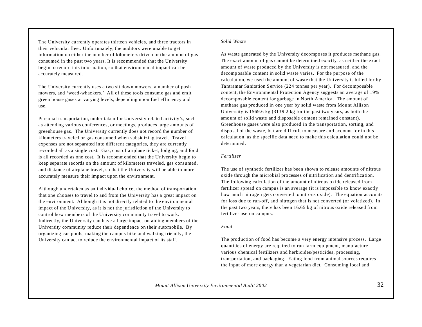The University currently operates thirteen vehicles, and three tractors in their vehicular fleet. Unfortunately, the auditors were unable to get information on either the number of kilometers driven or the amount of gas consumed in the past two years. It is recommended that the University begin to record this information, so that environmental impact can be accurately measured.

The University currently uses a two sit down mowers, a number of push mowers, and 'weed-whackers.' All of these tools consume gas and emit green house gases at varying levels, depending upon fuel efficiency and use.

Personal transportation, under taken for University related activity's, such as attending various conferences, or meetings, produces large amounts of greenhouse gas. The University currently does not record the number of kilometers traveled or gas consumed when subsidizing travel. Travel expenses are not separated into different categories, they are currently recorded all as a single cost. Gas, cost of airplane ticket, lodging, and food is all recorded as one cost. It is recommended that the University begin to keep separate records on the amount of kilometers traveled, gas consumed, and distance of airplane travel, so that the University will be able to more accurately measure their impact upon the environment.

Although undertaken as an individual choice, the method of transportation that one chooses to travel to and from the University has a great impact on the environment. Although it is not directly related to the environmental impact of the University, as it is not the jurisdiction of the University to control how members of the University community travel to work. Indirectly, the University can have a large impact on aiding members of the University community reduce their dependence on their automobile. By organizing car-pools, making the campus bike and walking friendly, the University can act to reduce the environmental impact of its staff.

#### *Solid Waste*

As waste generated by the University decomposes it produces methane gas. The exact amount of gas cannot be determined exactly, as neither the exact amount of waste produced by the University is not measured, and the decomposable content in solid waste varies. For the purpose of the calculation, we used the amount of waste that the University is billed for by Tantramar Sanitation Service (224 tonnes per year). For decomposable content, the Environmental Protection Agency suggests an average of 19% decomposable content for garbage in North America. The amount of methane gas produced in one year by solid waste from Mount Allison University is 1569.6 kg (3139.2 kg for the past two years, as both the amount of solid waste and disposable content remained constant). Greenhouse gases were also produced in the transportation, sorting, and disposal of the waste, but are difficult to measure and account for in this calculation, as the specific data need to make this calculation could not be determined.

## *Fertilizer*

The use of synthetic fertilizer has been shown to release amounts of nitrous oxide through the microbial processes of nitrification and dentrification. The following calculation of the amount of nitrous oxide released from fertilizer spread on campus is an average (it is impossible to know exactly how much nitrogen gets converted to nitrous oxide). The equation accounts for loss due to run-off, and nitrogen that is not converted (or volatized). In the past two years, there has been 16.65 kg of nitrous oxide released from fertilizer use on campus.

#### *Food*

The production of food has become a very energy intensive process. Large quantities of energy are required to run farm equipment, manufacture various chemical fertilizers and herbicides/pesticides, processing, transportation, and packaging. Eating food from animal sources requires the input of more energy than a vegetarian diet. Consuming local and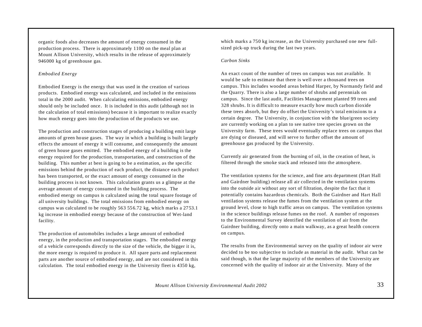organic foods also decreases the amount of energy consumed in the production process. There is approximately 1100 on the meal plan at Mount Allison University, which results in the release of approximately 946000 kg of greenhouse gas.

## *Embodied Energy*

Embodied Energy is the energy that was used in the creation of various products. Embodied energy was calculated, and included in the emissions total in the 2000 audit. When calculating emissions, embodied energy should only be included once. It is included in this audit (although not in the calculation of total emissions) because it is important to realize exactly how much energy goes into the production of the products we use.

The production and construction stages of producing a building emit large amounts of green house gases. The way in which a building is built largely effects the amount of energy it will consume, and consequently the amount of green house gases emitted. The embodied energy of a building is the energy required for the production, transportation, and construction of the building. This number at best is going to be a estimation, as the specific emissions behind the production of each product, the distance each product has been transported, or the exact amount of energy consumed in the building process is not known. This calculation grants us a glimpse at the average amount of energy consumed in the building process. The embodied energy on campus is calculated using the total square footage of all university buildings. The total emissions from embodied energy on campus was calculated to be roughly 563 556.72 kg, which marks a 2753.1 kg increase in embodied energy because of the construction of Wet-land facility.

The production of automobiles includes a large amount of embodied energy, in the production and transportation stages. The embodied energy of a vehicle corresponds directly to the size of the vehicle, the bigger it is, the more energy is required to produce it. All spare parts and replacement parts are another source of embodied energy, and are not considered in this calculation. The total embodied energy in the University fleet is 4350 kg,

which marks a 750 kg increase, as the University purchased one new fullsized pick-up truck during the last two years.

#### *Carbon Sinks*

An exact count of the number of trees on campus was not available. It would be safe to estimate that there is well over a thousand trees on campus. This includes wooded areas behind Harper, by Normandy field and the Quarry. There is also a large number of shrubs and perennials on campus. Since the last audit, Facilities Management planted 99 trees and 328 shrubs. It is difficult to measure exactly how much carbon dioxide these trees absorb, but they do offset the University's total emissions to a certain degree. The University, in conjunction with the blue/green society are currently working on a plan to see native tree species grown on the University farm. These trees would eventually replace trees on campus that are dying or diseased, and will serve to further offset the amount of greenhouse gas produced by the University.

Currently air generated from the burning of oil, in the creation of heat, is filtered through the smoke stack and released into the atmosphere.

The ventilation systems for the science, and fine arts department (Hart Hall and Gairdner building) release all air collected in the ventilation systems into the outside air without any sort of filtration, despite the fact that it potentially contains hazardous chemicals. Both the Gairdner and Hart Hall ventilation systems release the fumes from the ventilation system at the ground level, close to high traffic areas on campus. The ventilation systems in the science buildings release fumes on the roof. A number of responses to the Environmental Survey identified the ventilation of air from the Gairdner building, directly onto a main walkway, as a great health concern on campus.

The results from the Environmental survey on the quality of indoor air were decided to be too subjective to include as material in the audit. What can be said though, is that the large majority of the members of the University are concerned with the quality of indoor air at the University. Many of the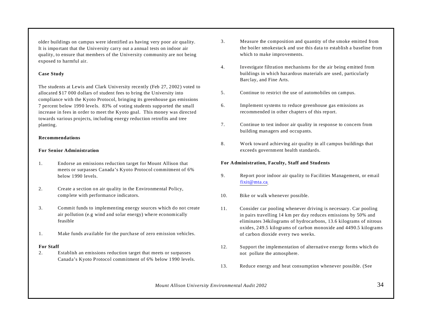older buildings on campus were identified as having very poor air quality. It is important that the University carry out a annual tests on indoor air quality, to ensure that members of the University community are not being exposed to harmful air.

# **Case Study**

The students at Lewis and Clark University recently (Feb 27, 2002) voted to allocated \$17 000 dollars of student fees to bring the University into compliance with the Kyoto Protocol, bringing its greenhouse gas emissions 7 percent below 1990 levels. 83% of voting students supported the small increase in fees in order to meet the Kyoto goal. This money was directed towards various projects, including energy reduction retrofits and tree planting.

# **Recommendations**

# **For Senior Administration**

- 1. Endorse an emissions reduction target for Mount Allison that meets or surpasses Canada's Kyoto Protocol commitment of 6% below 1990 levels.
- 2. Create a section on air quality in the Environmental Policy, complete with performance indicators.
- 3. Commit funds to implementing energy sources which do not create air pollution (e.g wind and solar energy) where economically feasible
- 1. Make funds available for the purchase of zero emission vehicles.

# **For Staff**

2. Establish an emissions reduction target that meets or surpasses Canada's Kyoto Protocol commitment of 6% below 1990 levels.

- 3. Measure the composition and quantity of the smoke emitted from the boiler smokestack and use this data to establish a baseline from which to make improvements.
- 4. Investigate filtration mechanisms for the air being emitted from buildings in which hazardous materials are used, particularly Barclay, and Fine Arts.
- 5. Continue to restrict the use of automobiles on campus.
- 6. Implement systems to reduce greenhouse gas emissions as recommended in other chapters of this report.
- 7. Continue to test indoor air quality in response to concern from building managers and occupants.
- 8. Work toward achieving air quality in all campus buildings that exceeds government health standards.

# **For Administration, Faculty, Staff and Students**

- 9. Report poor indoor air quality to Facilities Management, or email fixit@mta.ca.
- 10. Bike or walk whenever possible.
- 11. Consider car pooling whenever driving is necessary. Car pooling in pairs travelling 14 km per day reduces emissions by 50% and eliminates 34kilograms of hydrocarbons, 13.6 kilograms of nitrous oxides, 249.5 kilograms of carbon monoxide and 4490.5 kilograms of carbon dioxide every two weeks.
- 12. Support the implementation of alternative energy forms which do not pollute the atmosphere.
- 13. Reduce energy and heat consumption whenever possible. (See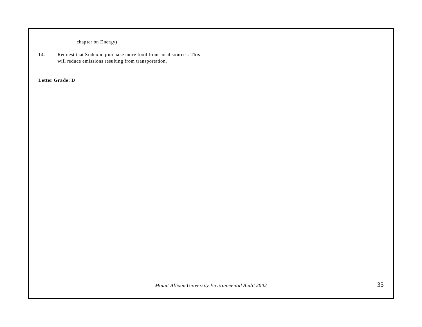chapter on Energy)

14. Request that Sodexho purchase more food from local sources. This will reduce emissions resulting from transportation.

**Letter Grade: D**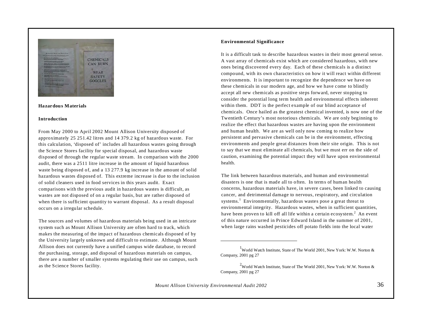

## **Hazardous Materials**

#### **Introduction**

From May 2000 to April 2002 Mount Allison University disposed of approximately 25 251.42 litres and 14 379.2 kg of hazardous waste. For this calculation, 'disposed of' includes all hazardous wastes going through the Science Stores facility for special disposal, and hazardous waste disposed of through the regular waste stream. In comparison with the 2000 audit, there was a 2511 litre increase in the amount of liquid hazardous waste being disposed of, and a 13 277.9 kg increase in the amount of solid hazardous wastes disposed of. This extreme increase is due to the inclusion of solid cleaners used in food services in this years audit. Exact comparisons with the previous audit in hazardous wastes is difficult, as wastes are not disposed of on a regular basis, but are rather disposed of when there is sufficient quantity to warrant disposal. As a result disposal occurs on a irregular schedule.

The sources and volumes of hazardous materials being used in an intricate system such as Mount Allison University are often hard to track, which makes the measuring of the impact of hazardous chemicals disposed of by the University largely unknown and difficult to estimate. Although Mount Allison does not currently have a unified campus wide database, to record the purchasing, storage, and disposal of hazardous materials on campus, there are a number of smaller systems regulating their use on campus, such as the Science Stores facility.

### **Environmental Significance**

It is a difficult task to describe hazardous wastes in their most general sense. A vast array of chemicals exist which are considered hazardous, with new ones being discovered every day. Each of these chemicals is a distinct compound, with its own characteristics on how it will react within different environments. It is important to recognize the dependence we have on these chemicals in our modern age, and how we have come to blindly accept all new chemicals as positive steps forward, never stopping to consider the potential long term health and environmental effects inherent within them. DDT is the perfect example of our blind acceptance of chemicals. Once hailed as the greatest chemical invented, is now one of the Twentieth Century's most notorious chemicals. We are only beginning to realize the effect that hazardous wastes are having upon the environment and human health. We are as well only now coming to realize how persistent and pervasive chemicals can be in the environment, effecting environments and people great distances from their site origin. This is not to say that we must eliminate all chemicals, but we must err on the side of caution, examining the potential impact they will have upon environmental health.

The link between hazardous materials, and human and environmental disasters is one that is made all to often. In terms of human health concerns, hazardous materials have, in severe cases, been linked to causing cancer, and detrimental damage to nervous, respiratory, and circulation systems.<sup>1</sup> Environmentally, hazardous wastes pose a great threat to environmental integrity. Hazardous wastes, when in sufficient quantities, have been proven to kill off all life within a certain ecosystem. $^2$  An event of this nature occurred in Prince Edward Island in the summer of 2001, when large rains washed pesticides off potato fields into the local water

<sup>&</sup>lt;sup>1</sup>World Watch Institute, State of The World 2001, New York: W.W. Norton  $&$ Company, 2001 pg 27

<sup>&</sup>lt;sup>2</sup>World Watch Institute, State of The World 2001, New York: W.W. Norton & Company, 2001 pg 27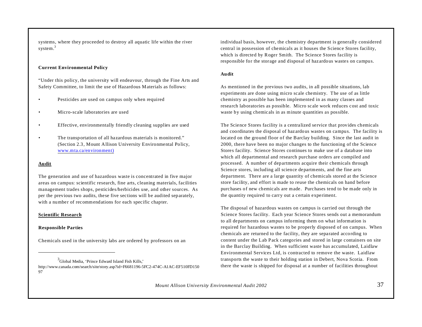systems, where they proceeded to destroy all aquatic life within the river system.<sup>3</sup>

# **Current Environmental Policy**

"Under this policy, the university will endeavour, through the Fine Arts and Safety Committee, to limit the use of Hazardous Materials as follows:

- Pesticides are used on campus only when required
- Micro-scale laboratories are used
- Effective, environmentally friendly cleaning supplies are used
- The transportation of all hazardous materials is monitored." (Section 2.3, Mount Allison University Environmental Policy, www.mta.ca/environment)

## **Audit**

The generation and use of hazardous waste is concentrated in five major areas on campus: scientific research, fine arts, cleaning materials, facilities management trades shops, pesticides/herbicides use, and other sources. As per the previous two audits, these five sections will be audited separately, with a number of recommendations for each specific chapter.

## **Scientific Research**

## **Responsible Parties**

Chemicals used in the university labs are ordered by professors on an

individual basis, however, the chemistry department is generally considered central in possession of chemicals as it houses the Science Stores facility, which is directed by Roger Smith. The Science Stores facility is responsible for the storage and disposal of hazardous wastes on campus.

## **Audit**

As mentioned in the previous two audits, in all possible situations, lab experiments are done using micro scale chemistry. The use of as little chemistry as possible has been implemented in as many classes and research laboratories as possible. Micro scale work reduces cost and toxic waste by using chemicals in as minute quantities as possible.

The Science Stores facility is a centralized service that provides chemicals and coordinates the disposal of hazardous wastes on campus. The facility is located on the ground floor of the Barclay building. Since the last audit in 2000, there have been no major changes to the functioning of the Science Stores facility. Science Stores continues to make use of a database into which all departmental and research purchase orders are compiled and processed. A number of departments acquire their chemicals through Science stores, including all science departments, and the fine arts department. There are a large quantity of chemicals stored at the Science store facility, and effort is made to reuse the chemicals on hand before purchases of new chemicals are made. Purchases tend to be made only in the quantity required to carry out a certain experiment.

The disposal of hazardous wastes on campus is carried out through the Science Stores facility. Each year Science Stores sends out a memorandum to all departments on campus informing them on what information is required for hazardous wastes to be properly disposed of on campus. When chemicals are returned to the facility, they are separated according to content under the Lab Pack categories and stored in large containers on site in the Barclay Building. When sufficient waste has accumulated, Laidlaw Environmental Services Ltd, is contracted to remove the waste. Laidlaw transports the waste to their holding station in Debert, Nova Scotia. From there the waste is shipped for disposal at a number of facilities throughout

<sup>&</sup>lt;sup>3</sup> Global Media, 'Prince Edward Island Fish Kills,' http://www.canada.com/search/site/story.asp?id=F6681196-5FC2-474C-A1AC-EF510FD150 97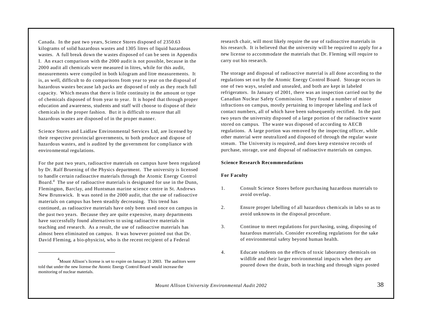Canada. In the past two years, Science Stores disposed of 2350.63 kilograms of solid hazardous wastes and 1305 litres of liquid hazardous wastes. A full break down the wastes disposed of can be seen in Appendix I. An exact comparison with the 2000 audit is not possible, because in the 2000 audit all chemicals were measured in litres, while for this audit, measurements were compiled in both kilogram and litre measurements. It is, as well, difficult to do comparisons from year to year on the disposal of hazardous wastes because lab packs are disposed of only as they reach full capacity. Which means that there is little continuity in the amount or type of chemicals disposed of from year to year. It is hoped that through proper education and awareness, students and staff will choose to dispose of their chemicals in the proper fashion. But it is difficult to ensure that all hazardous wastes are disposed of in the proper manner.

Science Stores and Laidlaw Environmental Services Ltd, are licensed by their respective provincial governments, to both produce and dispose of hazardous wastes, and is audited by the government for compliance with environmental regulations.

For the past two years, radioactive materials on campus have been regulated by Dr. Ralf Bruening of the Physics department. The university is licensed to handle certain radioactive materials through the Atomic Energy Control Board.<sup>4</sup> The use of radioactive materials is designated for use in the Dunn, Flemington, Barclay, and Huntsman marine science centre in St. Andrews New Brunswick. It was noted in the 2000 audit, that the use of radioactive materials on campus has been steadily decreasing. This trend has continued, as radioactive materials have only been used once on campus in the past two years. Because they are quite expensive, many departments have successfully found alternatives to using radioactive materials in teaching and research. As a result, the use of radioactive materials has almost been eliminated on campus. It was however pointed out that Dr. David Fleming, a bio-physicist, who is the recent recipient of a Federal

research chair, will most likely require the use of radioactive materials in his research. It is believed that the university will be required to apply for a new license to accommodate the materials that Dr. Fleming will require to carry out his research.

The storage and disposal of radioactive material is all done according to the regulations set out by the Atomic Energy Control Board. Storage occurs in one of two ways, sealed and unsealed, and both are kept in labeled refrigerators. In January of 2001, there was an inspection carried out by the Canadian Nuclear Safety Commission. They found a number of minor infractions on campus, mostly pertaining to improper labeling and lack of contact numbers, all of which have been subsequently rectified. In the past two years the university disposed of a large portion of the radioactive waste stored on campus. The waste was disposed of according to AECB regulations. A large portion was removed by the inspecting officer, while other material were neutralized and disposed of through the regular waste stream. The University is required, and does keep extensive records of purchase, storage, use and disposal of radioactive materials on campus.

### **Science Research Recommendations**

### **For Faculty**

- 1. Consult Science Stores before purchasing hazardous materials to avoid overlap.
- 2. Ensure proper labelling of all hazardous chemicals in labs so as to avoid unknowns in the disposal procedure.
- 3. Continue to meet regulations for purchasing, using, disposing of hazardous materials. Consider exceeding regulations for the sake of environmental safety beyond human health.
- 4. Educate students on the effects of toxic laboratory chemicals on wildlife and their larger environmental impacts when they are poured down the drain, both in teaching and through signs posted

 $^{4}$ Mount Allison's license is set to expire on January 31 2003. The auditors were told that under the new license the Atomic Energy Control Board would increase the monitoring of nuclear materials.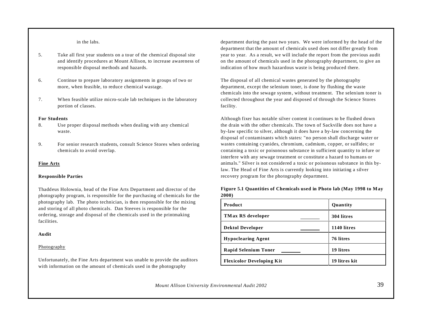## in the labs.

- 5. Take all first year students on a tour of the chemical disposal site and identify procedures at Mount Allison, to increase awareness of responsible disposal methods and hazards.
- 6. Continue to prepare laboratory assignments in groups of two or more, when feasible, to reduce chemical wastage.
- 7. When feasible utilize micro-scale lab techniques in the laboratory portion of classes.

### **For Students**

- 8. Use proper disposal methods when dealing with any chemical waste.
- 9. For senior research students, consult Science Stores when ordering chemicals to avoid overlap.

## **Fine Arts**

### **Responsible Parties**

Thaddeus Holownia, head of the Fine Arts Department and director of the photography program, is responsible for the purchasing of chemicals for the photography lab. The photo technician, is then responsible for the mixing and storing of all photo chemicals. Dan Steeves is responsible for the ordering, storage and disposal of the chemicals used in the printmaking facilities.

### **Audit**

### Photography

Unfortunately, the Fine Arts department was unable to provide the auditors with information on the amount of chemicals used in the photography

department during the past two years. We were informed by the head of the department that the amount of chemicals used does not differ greatly from year to year. As a result, we will include the report from the previous audit on the amount of chemicals used in the photography department, to give an indication of how much hazardous waste is being produced there.

The disposal of all chemical wastes generated by the photography department, except the selenium toner, is done by flushing the waste chemicals into the sewage system, without treatment. The selenium toner is collected throughout the year and disposed of through the Science Stores facility.

Although fixer has notable silver content it continues to be flushed down the drain with the other chemicals. The town of Sackville does not have a by-law specific to silver, although it does have a by-law concerning the disposal of contaminants which states: "no person shall discharge water or wastes containing cyanides, chromium, cadmium, copper, or sulfides; or containing a toxic or poisonous substance in sufficient quantity to infure or interfere with any sewage treatment or constitute a hazard to humans or animals." Silver is not considered a toxic or poisonous substance in this bylaw. The Head of Fine Arts is currently looking into initiating a silver recovery program for the photography department.

|       | Figure 5.1 Quantities of Chemicals used in Photo lab (May 1998 to May |  |  |
|-------|-----------------------------------------------------------------------|--|--|
| 2000) |                                                                       |  |  |

| Product                          | Ouantity      |
|----------------------------------|---------------|
| <b>TMax RS</b> developer         | 304 litres    |
| <b>Dektol Developer</b>          | 1140 litres   |
| <b>Hypoclearing Agent</b>        | 76 litres     |
| <b>Rapid Selenium Toner</b>      | 19 litres     |
| <b>Flexicolor Developing Kit</b> | 19 litres kit |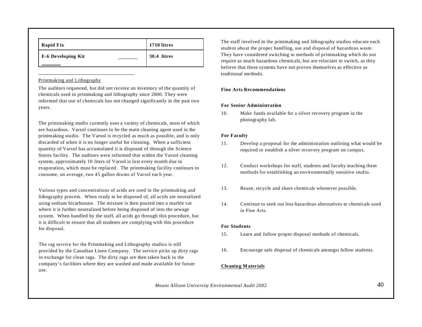| <b>Rapid Fix</b>   | 1710 litres |
|--------------------|-------------|
| E-6 Developing Kit | 30.4 litres |

# Printmaking and Lithography

The auditors requested, but did not receive an inventory of the quantity of chemicals used in printmaking and lithography since 2000. They were informed that use of chemicals has not changed significantly in the past two years.

The printmaking studio currently uses a variety of chemicals, most of which are hazardous. Varsol continues to be the main cleaning agent used in the printmaking studio. The Varsol is recycled as much as possible, and is only discarded of when it is no longer useful for cleaning. When a sufficient quantity of Varsol has accumulated it is disposed of through the Science Stores facility. The auditors were informed that within the Varsol cleaning system, approximately 10 liters of Varsol is lost every month due to evaporation, which must be replaced. The printmaking facility continues to consume, on average, two 45 gallon drums of Varsol each year.

Various types and concentrations of acids are used in the printmaking and lithography process. When ready to be disposed of, all acids are neutralized using sodium bicarbonate. The mixture is then poured into a marble vat where it is further neutralized before being disposed of into the sewage system. When handled by the staff, all acids go through this procedure, but it is difficult to ensure that all students are complying with this procedure for disposal.

The rag service for the Printmaking and Lithography studios is still provided by the Canadian Linen Company. The service picks up dirty rags in exchange for clean rags. The dirty rags are then taken back to the company's facilities where they are washed and made available for future use.

The staff involved in the printmaking and lithography studios educate each student about the proper handling, use and disposal of hazardous waste. They have considered switching to methods of printmaking which do not require as much hazardous chemicals, but are reluctant to switch, as they believe that these systems have not proven themselves as effective as traditional methods.

# **Fine Arts Recommendations**

# **For Senior Administration**

10. Make funds available for a silver recovery program in the photography lab.

# **For Faculty**

- 11. Develop a proposal for the administration outlining what would be required to establish a silver recovery program on campus.
- 12. Conduct workshops for staff, students and faculty teaching them methods for establishing an environmentally sensitive studio.
- 13. Reuse, recycle and share chemicals whenever possible.
- 14. Continue to seek out less hazardous alternatives to chemicals used in Fine Arts.

## **For Students**

- 15. Learn and follow proper disposal methods of chemicals.
- 16. Encourage safe disposal of chemicals amongst fellow students.

# **Cleaning Materials**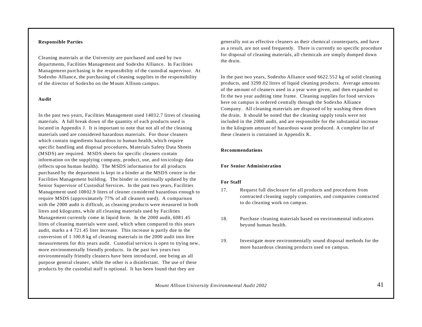## **Responsible Parties**

Cleaning materials at the University are purchased and used by two departments, Facilities Management and Sodexho Alliance. In Facilities Management purchasing is the responsibility of the custodial supervisor. At Sodexho Alliance, the purchasing of cleaning supplies in the responsibility of the director of Sodexho on the Mount Allison campus.

### **Audit**

In the past two years, Facilities Management used 14032.7 litres of cleaning materials. A full break down of the quantity of each products used is located in Appendix J. It is important to note that not all of the cleaning materials used are considered hazardous materials. For those cleaners which contain ingredients hazardous to human health, which require specific handling and disposal procedures, Materials Safety Data Sheets (MSDS) are required. MSDS sheets for specific cleaners contain information on the supplying company, product, use, and toxicology data (effects upon human health). The MSDS information for all products purchased by the department is kept in a binder at the MSDS centre in the Facilities Management building. The binder in continually updated by the Senior Supervisor of Custodial Services. In the past two years, Facilities Management used 10802.9 liters of cleaner considered hazardous enough to require MSDS (approximately 77% of all cleaners used). A comparison with the 2000 audit is difficult, as cleaning products were measured in both litres and kilograms, while all cleaning materials used by Facilities Management currently come in liquid form. In the 2000 audit, 6081.45 litres of cleaning materials were used, which when compared to this years audit, marks a 4 721.45 liter increase. This increase is partly due to the conversion of 1 100.8 kg of cleaning materials in the 2000 audit into litre measurements for this years audit. Custodial services is open to trying new, more environmentally friendly products. In the past two years two environmentally friendly cleaners have been introduced, one being an all purpose general cleaner, while the other is a disinfectant. The use of these products by the custodial staff is optional. It has been found that they are

generally not as effective cleaners as their chemical counterparts, and have as a result, are not used frequently. There is currently no specific procedure for disposal of cleaning materials, all chemicals are simply dumped down the drain.

In the past two years, Sodexho Alliance used 6622.552 kg of solid cleaning products, and 3299.02 litres of liquid cleaning products. Average amounts of the amount of cleaners used in a year were given, and then expanded to fit the two year auditing time frame. Cleaning supplies for food services here on campus is ordered centrally through the Sodexho Alliance Company. All cleaning materials are disposed of by washing them down the drain. It should be noted that the cleaning supply totals were not included in the 2000 audit, and are responsible for the substantial increase in the kilogram amount of hazardous waste produced. A complete list of these cleaners is contained in Appendix K.

## **Recommendations**

### **For Senior Administration**

### **For Staff**

- 17. Request full disclosure for all products and procedures from contracted cleaning supply companies, and companies contracted to do cleaning work on campus.
- 18. Purchase cleaning materials based on environmental indicators beyond human health.
- 19. Investigate more environmentally sound disposal methods for the more hazardous cleaning products used on campus.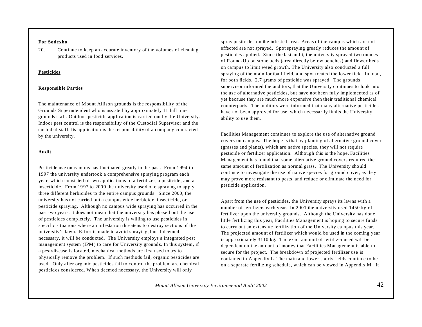# **For Sodexho**

20. Continue to keep an accurate inventory of the volumes of cleaning products used in food services.

### **Pesticides**

### **Responsible Parties**

The maintenance of Mount Allison grounds is the responsibility of the Grounds Superintendent who is assisted by approximately 11 full time grounds staff. Outdoor pesticide application is carried out by the University. Indoor pest control is the responsibility of the Custodial Supervisor and the custodial staff. Its application is the responsibility of a company contracted by the university.

### **Audit**

Pesticide use on campus has fluctuated greatly in the past. From 1994 to 1997 the university undertook a comprehensive spraying program each year, which consisted of two applications of a fertilizer, a pesticide, and a insecticide. From 1997 to 2000 the university used one spraying to apply three different herbicides to the entire campus grounds. Since 2000, the university has not carried out a campus wide herbicide, insecticide, or pesticide spraying. Although no campus wide spraying has occurred in the past two years, it does not mean that the university has phased out the use of pesticides completely. The university is willing to use pesticides in specific situations where an infestation threatens to destroy sections of the university's lawn. Effort is made to avoid spraying, but if deemed necessary, it will be conducted. The University employs a integrated pest management system (IPM) to care for University grounds. In this system, if a pest/disease is located, mechanical methods are first used to try to physically remove the problem. If such methods fail, organic pesticides are used. Only after organic pesticides fail to control the problem are chemical pesticides considered. When deemed necessary, the University will only

spray pesticides on the infested area. Areas of the campus which are not effected are not sprayed. Spot spraying greatly reduces the amount of pesticides applied. Since the last audit, the university sprayed two ounces of Round-Up on stone beds (area directly below benches) and flower beds on campus to limit weed growth. The University also conducted a full spraying of the main football field, and spot treated the lower field. In total, for both fields, 2.7 grams of pesticide was sprayed. The grounds supervisor informed the auditors, that the University continues to look into the use of alternative pesticides, but have not been fully implemented as of yet because they are much more expensive then their traditional chemical counterparts. The auditors were informed that many alternative pesticides have not been approved for use, which necessarily limits the University ability to use them.

Facilities Management continues to explore the use of alternative ground covers on campus. The hope is that by planting of alternative ground cover (grasses and plants), which are native species, they will not require pesticide or fertilizer application. Although this is the hope, Facilities Management has found that some alternative ground covers required the same amount of fertilization as normal grass. The University should continue to investigate the use of native species for ground cover, as they may prove more resistant to pests, and reduce or eliminate the need for pesticide application.

Apart from the use of pesticides, the University sprays its lawns with a number of fertilizers each year. In 2001 the university used 1450 kg of fertilizer upon the university grounds. Although the University has done little fertilizing this year, Facilities Management is hoping to secure funds to carry out an extensive fertilization of the University campus this year. The projected amount of fertilizer which would be used in the coming year is approximately 3110 kg. The exact amount of fertilizer used will be dependent on the amount of money that Facilities Management is able to secure for the project. The breakdown of projected fertilizer use is contained in Appendix L. The main and lower sports fields continue to be on a separate fertilizing schedule, which can be viewed in Appendix M. It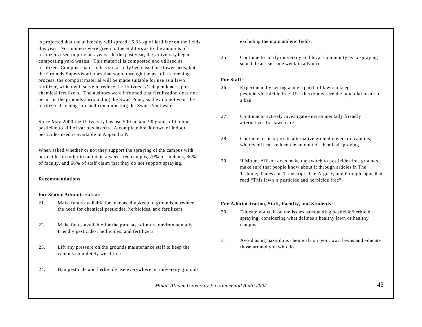is projected that the university will spread 16.33 kg of fertilizer on the fields this year. No numbers were given to the auditors as to the amounts of fertilizers used in previous years. In the past year, the University began composting yard wastes. This material is composted and utilized as fertilizer. Compost material has so far only been used on flower beds, but the Grounds Supervisor hopes that soon, through the use of a screening process, the compost material will be made suitable for use as a lawn fertilizer, which will serve to reduce the University's dependence upon chemical fertilizers. The auditors were informed that fertilization does not occur on the grounds surrounding the Swan Pond, as they do not want the fertilizers leaching into and contaminating the Swan Pond water.

Since May 2000 the University has use 500 ml and 90 grams of indoor pesticide to kill of various insects. A complete break down of indoor pesticides used is available in Appendix N

When asked whether or not they support the spraying of the campus with herbicides in order to maintain a weed free campus, 70% of students, 86% of faculty, and 66% of staff claim that they do not support spraying.

## **Recommendations**

### **For Senior Administration:**

- 21. Make funds available for increased upkeep of grounds to reduce the need for chemical pesticides, herbicides, and fertilizers.
- 22. Make funds available for the purchase of more environmentally friendly pesticides, herbicides, and fertilizers.
- 23. Lift any pressure on the grounds maintenance staff to keep the campus completely weed free.
- 24. Ban pesticide and herbicide use everywhere on university grounds

excluding the main athletic fields.

25. Continue to notify university and local community as to spraying schedule at least one week in advance.

## **For Staff:**

- 26. Experiment by setting aside a patch of lawn to keep pesticide/herbicide free. Use this to measure the potential result of a ban.
- 27. Continue to actively investigate environmentally friendly alternatives for lawn care
- 28. Continue to incorporate alternative ground covers on campus, wherever it can reduce the amount of chemical spraying.
- 29. If Mount Allison does make the switch to pesticide- free grounds, make sure that people know about it through articles in The Tribune, Times and Transcript, The Argosy, and through signs that read "This lawn is pesticide and herbicide free".

## **For Administration, Staff, Faculty, and Students:**

- 30. Educate yourself on the issues surrounding pesticide/herbicide spraying, considering what defines a healthy lawn or healthy campus.
- 31. Avoid using hazardous chemicals on your own lawns and educate those around you who do.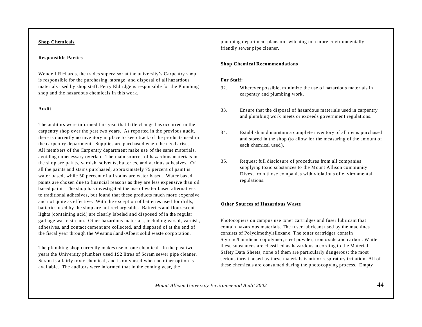# **Shop Chemicals**

#### **Responsible Parties**

Wendell Richards, the trades supervisor at the university's Carpentry shop is responsible for the purchasing, storage, and disposal of all hazardous materials used by shop staff. Perry Eldridge is responsible for the Plumbing shop and the hazardous chemicals in this work.

#### **Audit**

The auditors were informed this year that little change has occurred in the carpentry shop over the past two years. As reported in the previous audit, there is currently no inventory in place to keep track of the products used in the carpentry department. Supplies are purchased when the need arises. All members of the Carpentry department make use of the same materials, avoiding unnecessary overlap. The main sources of hazardous materials in the shop are paints, varnish, solvents, batteries, and various adhesives. Of all the paints and stains purchased, approximately 75 percent of paint is water based, while 50 percent of all stains are water based. Water based paints are chosen due to financial reasons as they are less expensive than oil based paint. The shop has investigated the use of water based alternatives to traditional adhesives, but found that these products much more expensive and not quite as effective. With the exception of batteries used for drills, batteries used by the shop are not rechargeable. Batteries and flourescent lights (containing acid) are clearly labeled and disposed of in the regular garbage waste stream. Other hazardous materials, including varsol, varnish, adhesives, and contact cement are collected, and disposed of at the end of the fiscal year through the Westmorland-Albert solid waste corporation.

The plumbing shop currently makes use of one chemical. In the past two years the University plumbers used 192 litres of Scram sewer pipe cleaner. Scram is a fairly toxic chemical, and is only used when no other option is available. The auditors were informed that in the coming year, the

plumbing department plans on switching to a more environmentally friendly sewer pipe cleaner.

#### **Shop Chemical Recommendations**

## **For Staff:**

- 32. Wherever possible, minimize the use of hazardous materials in carpentry and plumbing work.
- 33. Ensure that the disposal of hazardous materials used in carpentry and plumbing work meets or exceeds government regulations.
- 34. Establish and maintain a complete inventory of all items purchased and stored in the shop (to allow for the measuring of the amount of each chemical used).
- 35. Request full disclosure of procedures from all companies supplying toxic substances to the Mount Allison community. Divest from those companies with violations of environmental regulations.

### **Other Sources of Hazardous Waste**

Photocopiers on campus use toner cartridges and fuser lubricant that contain hazardous materials. The fuser lubricant used by the machines consists of Polydimethylsiloxane. The toner cartridges contain Styrene/butadiene copolymer, steel powder, iron oxide and carbon. While these substances are classified as hazardous according to the Material Safety Data Sheets, none of them are particularly dangerous; the most serious threat posed by these materials is minor respiratory irritation. All of these chemicals are consumed during the photocopying process. Empty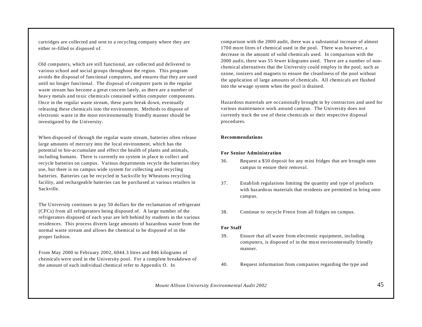cartridges are collected and sent to a recycling company where they are either re-filled or disposed of.

Old computers, which are still functional, are collected and delivered to various school and social groups throughout the region. This program avoids the disposal of functional computers, and ensures that they are used until no longer functional. The disposal of computer parts in the regular waste stream has become a great concern lately, as there are a number of heavy metals and toxic chemicals contained within computer components. Once in the regular waste stream, these parts break down, eventually releasing these chemicals into the environment. Methods to dispose of electronic waste in the most environmentally friendly manner should be investigated by the University.

When disposed of through the regular waste stream, batteries often release large amounts of mercury into the local environment, which has the potential to bio-accumulate and effect the health of plants and animals, including humans. There is currently no system in place to collect and recycle batteries on campus. Various departments recycle the batteries they use, but there is no campus wide system for collecting and recycling batteries. Batteries can be recycled in Sackville by Wheatons recycling facility, and rechargeable batteries can be purchased at various retailers in Sackville.

The University continues to pay 50 dollars for the reclamation of refrigerant (CFCs) from all refrigerators being disposed of. A large number of the refrigerators disposed of each year are left behind by students in the various residences. This process diverts large amounts of hazardous waste from the normal waste stream and allows the chemical to be disposed of in the proper fashion.

From May 2000 to February 2002, 6044.3 litres and 846 kilograms of chemicals were used in the University pool. For a complete breakdown of the amount of each individual chemical refer to Appendix O. In

comparison with the 2000 audit, there was a substantial increase of almost 1700 more litres of chemical used in the pool. There was however, a decrease in the amount of solid chemicals used. In comparison with the 2000 audit, there was 55 fewer kilograms used. There are a number of nonchemical alternatives that the University could employ in the pool, such as ozone, ionizers and magnets to ensure the cleanliness of the pool without the application of large amounts of chemicals. All chemicals are flushed into the sewage system when the pool is drained.

Hazardous materials are occasionally brought in by contractors and used for various maintenance work around campus. The University does not currently track the use of these chemicals or their respective disposal procedures.

## **Recommendations**

## **For Senior Administration**

- 36. Request a \$50 deposit for any mini fridges that are brought onto campus to ensure their removal.
- 37. Establish regulations limiting the quantity and type of products with hazardous materials that residents are permitted to bring onto campus.
- 38. Continue to recycle Freon from all fridges on campus.

## **For Staff**

- 39. Ensure that all waste from electronic equipment, including computers, is disposed of in the most environmentally friendly manner.
- 40. Request information from companies regarding the type and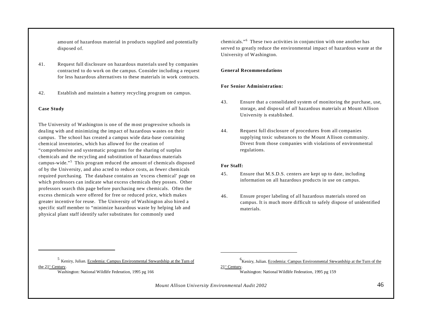amount of hazardous material in products supplied and potentially disposed of.

- 41. Request full disclosure on hazardous materials used by companies contracted to do work on the campus. Consider including a request for less hazardous alternatives to these materials in work contracts.
- 42. Establish and maintain a battery recycling program on campus.

### **Case Study**

The University of Washington is one of the most progressive schools in dealing with and minimizing the impact of hazardous wastes on their campus. The school has created a campus wide data-base containing chemical inventories, which has allowed for the creation of "comprehensive and systematic programs for the sharing of surplus chemicals and the recycling and substitution of hazardous materials campus-wide."<sup>5</sup> This program reduced the amount of chemicals disposed of by the University, and also acted to reduce costs, as fewer chemicals required purchasing. The database contains an 'excess chemical' page on which professors can indicate what excess chemicals they posses. Other professors search this page before purchasing new chemicals. Often the excess chemicals were offered for free or reduced price, which makes greater incentive for reuse. The University of Washington also hired a specific staff member to "minimize hazardous waste by helping lab and physical plant staff identify safer substitutes for commonly used

chemicals."<sup>6</sup> These two activities in conjunction with one another has served to greatly reduce the environmental impact of hazardous waste at the University of Washington.

# **General Recommendations**

## **For Senior Administration:**

- 43. Ensure that a consolidated system of monitoring the purchase, use, storage, and disposal of *all* hazardous materials at Mount Allison University is established.
- 44. Request full disclosure of procedures from all companies supplying toxic substances to the Mount Allison community. Divest from those companies with violations of environmental regulations.

# **For Staff:**

- 45. Ensure that M.S.D.S. centers are kept up to date, including information on all hazardous products in use on campus.
- 46. Ensure proper labeling of all hazardous materials stored on campus. It is much more difficult to safely dispose of unidentified materials.

<sup>5</sup> Keniry, Julian. Ecodemia: Campus Environmental Stewardship at the Turn of the  $21^{st}$  Century.

Washington: National Wildlife Federation, 1995 pg 166

<sup>6</sup> Keniry, Julian. Ecodemia: Campus Environmental Stewardship at the Turn of the  $21<sup>st</sup>$  Century.

Washington: National Wildlife Federation, 1995 pg 159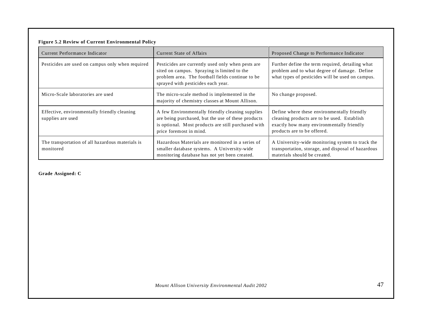| Current Performance Indicator                                     | <b>Current State of Affairs</b>                                                                                                                                                                                                                                                                                                                                    | Proposed Change to Performance Indicator                                                                                               |  |
|-------------------------------------------------------------------|--------------------------------------------------------------------------------------------------------------------------------------------------------------------------------------------------------------------------------------------------------------------------------------------------------------------------------------------------------------------|----------------------------------------------------------------------------------------------------------------------------------------|--|
| Pesticides are used on campus only when required                  | Pesticides are currently used only when pests are<br>Further define the term required, detailing what<br>problem and to what degree of damage. Define<br>sited on campus. Spraying is limited to the<br>what types of pesticides will be used on campus.<br>problem area. The football fields continue to be<br>sprayed with pesticides each year.                 |                                                                                                                                        |  |
| Micro-Scale laboratories are used                                 | The micro-scale method is implemented in the<br>majority of chemistry classes at Mount Allison.                                                                                                                                                                                                                                                                    | No change proposed.                                                                                                                    |  |
| Effective, environmentally friendly cleaning<br>supplies are used | A few Environmentally friendly cleaning supplies<br>Define where these environmentally friendly<br>cleaning products are to be used. Establish<br>are being purchased, but the use of these products<br>is optional. Most products are still purchased with<br>exactly how many environmentally friendly<br>price foremost in mind.<br>products are to be offered. |                                                                                                                                        |  |
| The transportation of all hazardous materials is<br>monitored     | Hazardous Materials are monitored in a series of<br>smaller database systems. A University-wide<br>monitoring database has not yet been created.                                                                                                                                                                                                                   | A University-wide monitoring system to track the<br>transportation, storage, and disposal of hazardous<br>materials should be created. |  |

# **Figure 5.2 Review of Current Environmental Policy**

**Grade Assigned: C**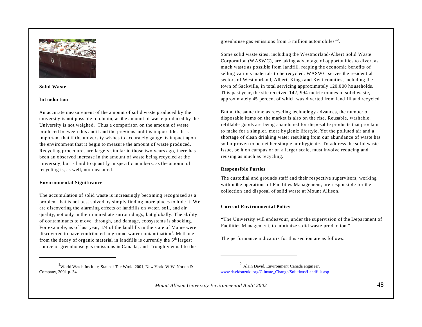

**Solid Waste**

### **Introduction**

An accurate measurement of the amount of solid waste produced by the university is not possible to obtain, as the amount of waste produced by the University is not weighed. Thus a comparison on the amount of waste produced between this audit and the previous audit is impossible. It is important that if the university wishes to accurately gauge its impact upon the environment that it begin to measure the amount of waste produced. Recycling procedures are largely similar to those two years ago, there has been an observed increase in the amount of waste being recycled at the university, but is hard to quantify in specific numbers, as the amount of recycling is, as well, not measured.

# **Environmental Significance**

The accumulation of solid waste is increasingly becoming recognized as a problem that is not best solved by simply finding more places to hide it. We are discovering the alarming effects of landfills on water, soil, and air quality, not only in their immediate surroundings, but globally. The ability of contaminants to move through, and damage, ecosystems is shocking. For example, as of last year, 1/4 of the landfills in the state of Maine were discovered to have contributed to ground water contamination<sup>1</sup>. Methane from the decay of organic material in landfills is currently the  $5<sup>th</sup>$  largest source of greenhouse gas emissions in Canada, and "roughly equal to the

<sup>1</sup>World Watch Institute, State of The World 2001, New York: W.W. Norton  $&$ Company, 2001 p. 34

greenhouse gas emissions from 5 million automobiles"<sup>2</sup>.

Some solid waste sites, including the Westmorland-Albert Solid Waste Corporation (WASWC), are taking advantage of opportunities to divert as much waste as possible from landfill, reaping the economic benefits of selling various materials to be recycled. WASW C serves the residential sectors of Westmorland, Albert, Kings and Kent counties, including the town of Sackville, in total servicing approximately 120,000 households. This past year, the site received 142, 994 metric tonnes of solid waste, approximately 45 percent of which was diverted from landfill and recycled.

But at the same time as recycling technology advances, the number of disposable items on the market is also on the rise. Reusable, washable, refillable goods are being abandoned for disposable products that proclaim to make for a simpler, more hygienic lifestyle. Yet the polluted air and a shortage of clean drinking water resulting from our abundance of waste has so far proven to be neither simple nor hygienic. To address the solid waste issue, be it on campus or on a larger scale, must involve reducing and reusing as much as recycling.

# **Responsible Parties**

The custodial and grounds staff and their respective supervisors, working within the operations of Facilities Management, are responsible for the collection and disposal of solid waste at Mount Allison.

# **Current Environmental Policy**

"The University will endeavour, under the supervision of the Department of Facilities Management, to minimize solid waste production."

The performance indicators for this section are as follows:

 $2$  Alain David, Environment Canada engineer, www.davidsuzuki.org/Climate\_Change/Solutions/Landfills.asp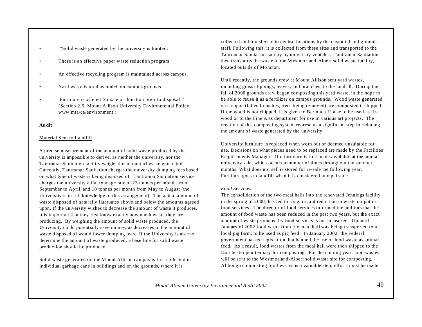- "Solid waste generated by the university is limited.
- There is an effective paper waste reduction program.
- An effective recycling program is maintained across campus.
- Yard waste is used as mulch on campus grounds
- Furniture is offered for sale or donation prior to disposal." (Section 2.6, Mount Allison University Environmental Policy, www.mta/ca/environment )

## **Audit**

# Material Sent to Landfill

A precise measurement of the amount of solid waste produced by the university is impossible to derive, as neither the university, nor the Tantramar Sanitation facility weighs the amount of waste generated. Currently, Tantramar Sanitation charges the university dumping fees based on what type of waste is being disposed of. Tantramar Sanitation service charges the university a flat tonnage rate of 23 tonnes per month from September to April, and 10 tonnes per month from May to August (the University is in full knowledge of this arrangement). The actual amount of waste disposed of naturally fluctuates above and below the amounts agreed upon. If the university wishes to decrease the amount of waste it produces, it is important that they first know exactly how much waste they are producing. By weighing the amount of solid waste produced, the University could potentially save money, as decreases in the amount of waste disposed of would lower dumping fees. If the University is able to determine the amount of waste produced, a base line for solid waste production should be produced.

Solid waste generated on the Mount Allison campus is first collected in individual garbage cans in buildings and on the grounds, where it is

collected and transferred to central locations by the custodial and grounds staff. Following this, it is collected from these sites and transported to the Tantramar Sanitation facility by university vehicles. Tantramar Sanitation then transports the waste to the Westmorland-Albert solid waste facility, located outside of Moncton.

Until recently, the grounds crew at Mount Allison sent yard wastes, including grass clippings, leaves, and branches, to the landfill. During the fall of 2000 grounds crew began composting this yard waste, in the hope to be able to reuse it as a fertilizer on campus grounds. Wood waste generated on campus (fallen branches, trees being removed) are composted if chipped. If the wood is not chipped, it is given to Bermuda House to be used as fire wood or to the Fine Arts department for use in various art projects. The creation of this composting system represents a significant step in reducing the amount of waste generated by the university.

University furniture is replaced when worn out or deemed unsuitable for use. Decisions on what pieces need to be replaced are made by the Facilities Requirements Manager. Old furniture is first made available at the annual university sale, which occurs a number of times throughout the summer months. What does not sell is stored for re-sale the following year. Furniture goes to landfill when it is considered unrepairable.

# *Food Services*

The consolidation of the two meal halls into the renovated Jennings facility in the spring of 2000, has led to a significant reduction in waste output in food services. The director of food services informed the auditors that the amount of food waste has been reduced in the past two years, but the exact amount of waste produced by food services is not measured. Up until January of 2002 food waste from the meal hall was being transported to a local pig farm, to be used as pig feed. In January 2002, the Federal government passed legislation that banned the use of food waste as animal feed. As a result, food wastes from the meal hall were then shipped to the Dorchester penitentiary for composting. For the coming year, food wastes will be sent to the Westmorland-Albert solid waste site for composting. Although composting food wastes is a valuable step, efforts must be made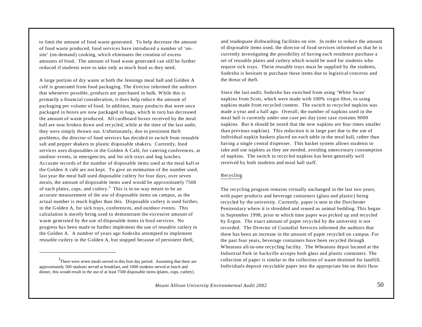to limit the amount of food waste generated. To help decrease the amount of food waste produced, food services have introduced a number of 'onsite' (on-demand) cooking, which eliminates the creation of excess amounts of food. The amount of food waste generated can still be further reduced if students were to take only as much food as they need.

A large portion of dry waste at both the Jennings meal hall and Golden A café is generated from food packaging. The director informed the auditors that whenever possible, products are purchased in bulk. While this is primarily a financial consideration, it does help reduce the amount of packaging per volume of food. In addition, many products that were once packaged in boxes are now packaged in bags, which in turn has decreased the amount of waste produced. All cardboard boxes received by the meal hall are now broken down and recycled, while at the time of the last audit, they were simply thrown out. Unfortunately, due to persistent theft problems, the director of food services has decided to switch from reusable salt and pepper shakers to plastic disposable shakers. Currently, food services uses disposables in the Golden A Café, for catering conferences, at outdoor events, in emergencies, and for sick trays and bag lunches. Accurate records of the number of disposable items used at the meal hall or the Golden A café are not kept. To give an estimation of the number used, last year the meal hall used disposable cutlery for four days, over seven meals, the amount of disposable items used would be approximately 7500 of each plates, cups, and cutlery.<sup>3</sup> This is in no way meant to be an accurate measurement of the use of disposable items on campus, as the actual number is much higher than this. Disposable cutlery is used further, in the Golden A, for sick trays, conferences, and outdoor events. This calculation is merely being used to demonstrate the excessive amount of waste generated by the use of disposable items in food services. No progress has been made to further implement the use of reusable cutlery in the Golden A. A number of years ago Sodexho attempted to implement reusable cutlery in the Golden A, but stopped because of persistent theft,

and inadequate dishwashing facilities on site. In order to reduce the amount of disposable items used, the director of food services informed us that he is currently investigating the possibility of having each residence purchase a set of reusable plates and cutlery which would be used for students who require sick trays. These reusable trays must be supplied by the students, Sodexho is hesitant to purchase these items due to logistical concerns and the threat of theft.

Since the last audit, Sodexho has switched from using 'White Swan' napkins from Scott, which were made with 100% virgin fibre, to using napkins made from recycled content. The switch to recycled napkins was made a year and a half ago. Overall, the number of napkins used in the meal hall is currently under one case per day (one case contains 9000 napkins. But it should be noted that the new napkins are four times smaller than previous napkins). This reduction is in large part due to the use of individual napkin baskets placed on each table in the meal hall, rather than having a single central dispenser. This basket system allows students to take and use napkins as they are needed, avoiding unnecessary consumption of napkins. The switch to recycled napkins has been generally well received by both students and meal hall staff.

# Recycling

The recycling program remains virtually unchanged in the last two years, with paper products and beverage containers (glass and plastic) being recycled by the university. Currently, paper is sent to the Dorchester Penitentiary where it is shredded and reused as animal bedding. This began in September 1998, prior to which time paper was picked up and recycled by Ergon. The exact amount of paper recycled by the university is not recorded. The Director of Custodial Services informed the auditors that there has been an increase in the amount of paper recycled on campus. For the past four years, beverage containers have been recycled through Wheatons all-in-one recycling facility. The Wheatons depot located at the Industrial Park in Sackville accepts both glass and plastic containers. The collection of paper is similar to the collection of waste destined for landfill. Individuals deposit recyclable paper into the appropriate bin on their floor

 $3$ There were seven meals served in this four day period. Assuming that there are approximately 500 students served at breakfast, and 1000 students served at lunch and dinner, this would result in the use of at least 7500 disposable items (plates, cups, cutlery).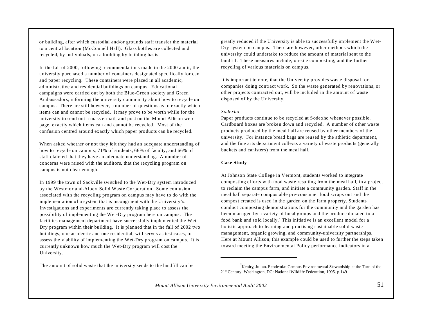or building, after which custodial and/or grounds staff transfer the material to a central location (McConnell Hall). Glass bottles are collected and recycled, by individuals, on a building by building basis.

In the fall of 2000, following recommendations made in the 2000 audit, the university purchased a number of containers designated specifically for can and paper recycling. These containers were placed in all academic, administrative and residential buildings on campus. Educational campaigns were carried out by both the Blue-Green society and Green Ambassadors, informing the university community about how to recycle on campus. There are still however, a number of questions as to exactly which items can and cannot be recycled. It may prove to be worth while for the university to send out a mass e-mail, and post on the Mount Allison web page, exactly which items can and cannot be recycled. Most of the confusion centred around exactly which paper products can be recycled.

When asked whether or not they felt they had an adequate understanding of how to recycle on campus, 71% of students, 66% of faculty, and 66% of staff claimed that they have an adequate understanding. A number of concerns were raised with the auditors, that the recycling program on campus is not clear enough.

In 1999 the town of Sackville switched to the Wet-Dry system introduced by the Westmorland-Albert Solid Waste Corporation. Some confusion associated with the recycling program on campus may have to do with the implementation of a system that is incongruent with the University's. Investigations and experiments are currently taking place to assess the possibility of implementing the Wet-Dry program here on campus. The facilities management department have successfully implemented the Wet-Dry program within their building. It is planned that in the fall of 2002 two buildings, one academic and one residential, will serves as test cases, to assess the viability of implementing the Wet-Dry program on campus. It is currently unknown how much the W et-Dry program will cost the University.

The amount of solid waste that the university sends to the landfill can be

greatly reduced if the University is able to successfully implement the Wet-Dry system on campus. There are however, other methods which the university could undertake to reduce the amount of material sent to the landfill. These measures include, on-site composting, and the further recycling of various materials on campus.

It is important to note, that the University provides waste disposal for companies doing contract work. So the waste generated by renovations, or other projects contracted out, will be included in the amount of waste disposed of by the University.

## *Sodexho*

Paper products continue to be recycled at Sodexho whenever possible. Cardboard boxes are broken down and recycled. A number of other waste products produced by the meal hall are reused by other members of the university. For instance bread bags are reused by the athletic department, and the fine arts department collects a variety of waste products (generally buckets and canisters) from the meal hall.

## **Case Study**

At Johnson State College in Vermont, students worked to integrate composting efforts with food waste resulting from the meal hall, in a project to reclaim the campus farm, and initiate a community garden. Staff in the meal hall separate compostable pre-consumer food scraps out and the compost created is used in the garden on the farm property. Students conduct composting demonstrations for the community and the garden has been managed by a variety of local groups and the produce donated to a food bank and sold locally.<sup>4</sup> This initiative is an excellent model for a holistic approach to learning and practising sustainable solid waste management, organic growing, and community-university partnerships. Here at Mount Allison, this example could be used to further the steps taken toward meeting the Environmental Policy performance indicators in a

<sup>&</sup>lt;sup>4</sup> Keniry, Julian. Ecodemia: Campus Environmental Stewardship at the Turn of the 21<sup>st</sup> Century. Washington, DC: National Wildlife Federation, 1995. p.149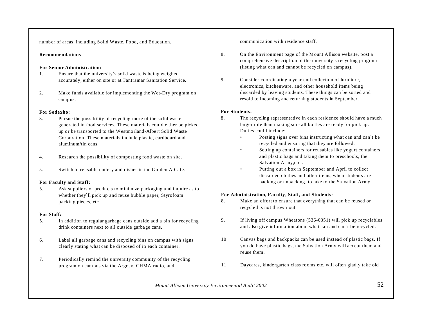number of areas, including Solid Waste, Food, and Education.

## **Recommendations**

## **For Senior Administration:**

- 1. Ensure that the university's solid waste is being weighed accurately, either on site or at Tantramar Sanitation Service.
- 2. Make funds available for implementing the Wet-Dry program on campus.

# **For Sodexho:**

- 3. Pursue the possibility of recycling more of the solid waste generated in food services. These materials could either be picked up or be transported to the Westmorland-Albert Solid Waste Corporation. These materials include plastic, cardboard and aluminum/tin cans.
- 4. Research the possibility of composting food waste on site.
- 5. Switch to reusable cutlery and dishes in the Golden A Cafe.

# **For Faculty and Staff:**

5. Ask suppliers of products to minimize packaging and inquire as to whether they`ll pick up and reuse bubble paper, Styrofoam packing pieces, etc.

# **For Staff:**

- 5. In addition to regular garbage cans outside add a bin for recycling drink containers next to all outside garbage cans.
- 6. Label all garbage cans and recycling bins on campus with signs clearly stating what can be disposed of in each container.
- 7. Periodically remind the university community of the recycling program on campus via the Argosy, CHMA radio, and

communication with residence staff.

- 8. On the Environment page of the Mount Allison website, post a comprehensive description of the university's recycling program (listing what can and cannot be recycled on campus).
- 9. Consider coordinating a year-end collection of furniture, electronics, kitchenware, and other household items being discarded by leaving students. These things can be sorted and resold to incoming and returning students in September.

# **For Students:**

- 8. The recycling representative in each residence should have a much larger role than making sure all bottles are ready for pick up. Duties could include:
	- Posting signs over bins instructing what can and can't be recycled and ensuring that they are followed.
	- Setting up containers for reusables like yogurt containers and plastic bags and taking them to preschools, the Salvation Army,etc .
	- Putting out a box in September and April to collect discarded clothes and other items, when students are packing or unpacking, to take to the Salvation Army.

# **For Administration, Faculty, Staff, and Students:**

- 8. Make an effort to ensure that everything that can be reused or recycled is not thrown out.
- 9. If living off campus Wheatons (536-0351) will pick up recyclables and also give information about what can and can`t be recycled.
- 10. Canvas bags and backpacks can be used instead of plastic bags. If you do have plastic bags, the Salvation Army will accept them and reuse them.
- 11. Daycares, kindergarten class rooms etc. will often gladly take old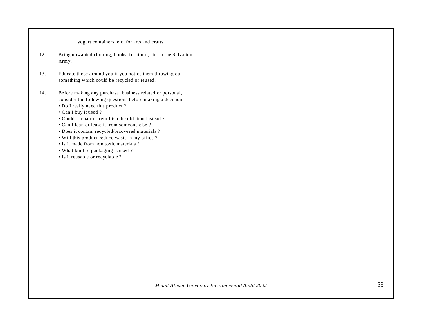yogurt containers, etc. for arts and crafts.

- 12. Bring unwanted clothing, books, furniture, etc. to the Salvation Army.
- 13. Educate those around you if you notice them throwing out something which could be recycled or reused.
- 14. Before making any purchase, business related or personal, consider the following questions before making a decision:
	- Do I really need this product ?
	- Can I buy it used ?
	- Could I repair or refurbish the old item instead ?
	- Can I loan or lease it from someone else ?
	- Does it contain recycled/recovered materials ?
	- Will this product reduce waste in my office ?
	- Is it made from non toxic materials ?
	- What kind of packaging is used ?
	- Is it reusable or recyclable ?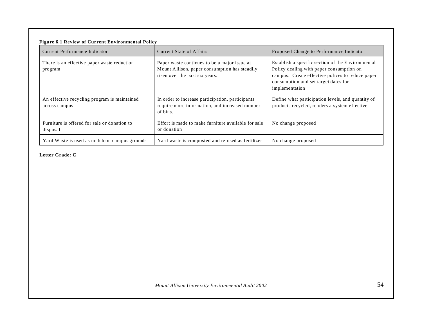| Figure 6.1 Review of Current Environmental Policy             |                                                                                                                                 |                                                                                                                                                                                                             |  |  |
|---------------------------------------------------------------|---------------------------------------------------------------------------------------------------------------------------------|-------------------------------------------------------------------------------------------------------------------------------------------------------------------------------------------------------------|--|--|
| Current Performance Indicator                                 | <b>Current State of Affairs</b>                                                                                                 | Proposed Change to Performance Indicator                                                                                                                                                                    |  |  |
| There is an effective paper waste reduction<br>program        | Paper waste continues to be a major issue at<br>Mount Allison, paper consumption has steadily<br>risen over the past six years. | Establish a specific section of the Environmental<br>Policy dealing with paper consumption on<br>campus. Create effective polices to reduce paper<br>consumption and set target dates for<br>implementation |  |  |
| An effective recycling program is maintained<br>across campus | In order to increase participation, participants<br>require more information, and increased number<br>of bins.                  | Define what participation levels, and quantity of<br>products recycled, renders a system effective.                                                                                                         |  |  |
| Furniture is offered for sale or donation to<br>disposal      | Effort is made to make furniture available for sale<br>or donation                                                              | No change proposed                                                                                                                                                                                          |  |  |
| Yard Waste is used as mulch on campus grounds                 | Yard waste is composted and re-used as fertilizer                                                                               | No change proposed                                                                                                                                                                                          |  |  |

## **Figure 6.1 Review of Current Environmental Policy**

**Letter Grade: C**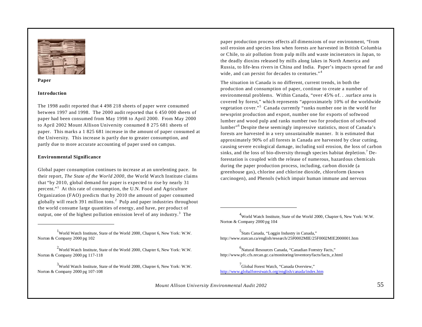

#### **Paper**

## **Introduction**

The 1998 audit reported that 4 498 218 sheets of paper were consumed between 1997 and 1998. The 2000 audit reported that 6 450 000 sheets of paper had been consumed from May 1998 to April 2000. From May 2000 to April 2002 Mount Allison University consumed 8 275 681 sheets of paper. This marks a 1 825 681 increase in the amount of paper consumed at the University. This increase is partly due to greater consumption, and partly due to more accurate accounting of paper used on campus.

## **Environmental Significance**

Global paper consumption continues to increase at an unrelenting pace. In their report, *The State of the World 2000*, the World Watch Institute claims that "by 2010, global demand for paper is expected to rise by nearly 31 percent."<sup>1</sup> At this rate of consumption, the U.N. Food and Agriculture Organization (FAO) predicts that by 2010 the amount of paper consumed globally will reach 391 million tons.<sup>2</sup> Pulp and paper industries throughout the world consume large quantities of energy, and have, per product of output, one of the highest pollution emission level of any industry.<sup>3</sup> The

paper production process effects all dimensions of our environment, "from soil erosion and species loss when forests are harvested in British Columbia or Chile, to air pollution from pulp mills and waste incinerators in Japan, to the deadly dioxins released by mills along lakes in North America and Russia, to life-less rivers in China and India. Paper's impacts spread far and wide, and can persist for decades to centuries."<sup>4</sup>

The situation in Canada is no different, current trends, in both the production and consumption of paper, continue to create a number of environmental problems. Within Canada, "over 45% of. . .surface area is covered by forest," which represents "approximately 10% of the worldwide vegetation cover."<sup>5</sup> Canada currently "ranks number one in the world for newsprint production and export, number one for exports of softwood lumber and wood pulp and ranks number two for production of softwood lumber"<sup>6</sup> Despite these seemingly impressive statistics, most of Canada's forests are harvested in a very unsustainable manner. It is estimated that approximately 90% of all forests in Canada are harvested by clear cutting, causing severe ecological damage, including soil erosion, the loss of carbon sinks, and the loss of bio-diversity through species habitat depletion.<sup>7</sup> Deforestation is coupled with the release of numerous, hazardous chemicals during the paper production process, including, carbon dioxide (a greenhouse gas), chlorine and chlorine dioxide, chloroform (known carcinogen), and Phenols (which impair human immune and nervous

5 Stats Canada, "Loggin Industry in Canada," http://www.statcan.ca/english/research/25F0002MIE/25F0002MIE2000001.htm

6 Natural Resources Canada, "Canadian Forestry Facts," http://www.pfc.cfs.nrcan.gc.ca/monitoring/inventory/facts/facts\_e.html

7 Global Forest Watch, "Canada Overview," http://www.globalforestwatch.org/english/canada/index.htm

<sup>1</sup>World Watch Institute, State of the World 2000, Chapter 6, New York: W.W. Norton & Company 2000 pg 102

<sup>2</sup>World Watch Institute, State of the World 2000, Chapter 6, New York: W.W. Norton & Company 2000 pg 117-118

<sup>3</sup>World Watch Institute, State of the World 2000, Chapter 6, New York: W.W. Norton & Company 2000 pg 107-108

 $^4\!$  World Watch Institute, State of the World 2000, Chapter 6, New York: W.W. Norton & Company 2000 pg 104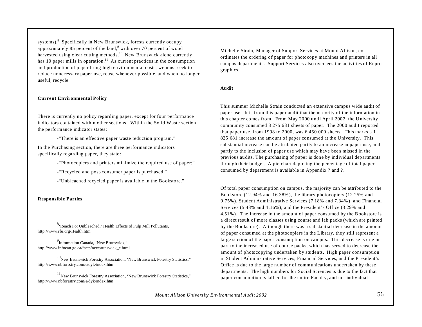systems).<sup>8</sup> Specifically in New Brunswick, forests currently occupy approximately 85 percent of the land,  $9$  with over 70 percent of wood harvested using clear cutting methods.<sup>10</sup> New Brunswick alone currently has 10 paper mills in operation.<sup>11</sup> As current practices in the consumption and production of paper bring high environmental costs, we must seek to reduce unnecessary paper use, reuse whenever possible, and when no longer useful, recycle.

# **Current Environmental Policy**

There is currently no policy regarding paper, except for four performance indicators contained within other sections. Within the Solid Waste section, the performance indicator states:

-"There is an effective paper waste reduction program."

In the Purchasing section, there are three performance indicators specifically regarding paper, they state:

-"Photocopiers and printers minimize the required use of paper;"

-"Recycled and post-consumer paper is purchased;"

-"Unbleached recycled paper is available in the Bookstore."

## **Responsible Parties**

8 'Reach For Unbleached,' Health Effects of Pulp Mill Pollutants, http://www.rfu.org/Health.htm

<sup>9</sup>Information Canada, 'New Brunswick," http://www.infocan.gc.ca/facts/newbrunswick\_e.html

 $10$ New Brunswick Forestry Association, 'New Brunswick Forestry Statistics," http://www.nbforestry.com/e/dyk/index.htm

<sup>11</sup>New Brunswick Forestry Association, 'New Brunswick Forestry Statistics," http://www.nbforestry.com/e/dyk/index.htm

Michelle Strain, Manager of Support Services at Mount Allison, coordinates the ordering of paper for photocopy machines and printers in all campus departments. Support Services also oversees the activities of Repro graphics.

## **Audit**

This summer Michelle Strain conducted an extensive campus wide audit of paper use. It is from this paper audit that the majority of the information in this chapter comes from. From May 2000 until April 2002, the University community consumed 8 275 681 sheets of paper. The 2000 audit reported that paper use, from 1998 to 2000, was 6 450 000 sheets. This marks a 1 825 681 increase the amount of paper consumed at the University. This substantial increase can be attributed partly to an increase in paper use, and partly to the inclusion of paper use which may have been missed in the previous audits. The purchasing of paper is done by individual departments through their budget. A pie chart depicting the percentage of total paper consumed by department is available in Appendix ? and ?.

Of total paper consumption on campus, the majority can be attributed to the Bookstore (12.94% and 16.38%), the library photocopiers (12.25% and 9.75%), Student Administrative Services (7.18% and 7.34%), and Financial Services (5.48% and 4.16%), and the President's Office (3.29% and 4.51%). The increase in the amount of paper consumed by the Bookstore is a direct result of more classes using course and lab packs (which are printed by the Bookstore). Although there was a substantial decrease in the amount of paper consumed at the photocopiers in the Library, they still represent a large section of the paper consumption on campus. This decrease is due in part to the increased use of course packs, which has served to decrease the amount of photocopying undertaken by students. High paper consumption in Student Administrative Services, Financial Services, and the President's Office is due to the large number of communications undertaken by these departments. The high numbers for Social Sciences is due to the fact that paper consumption is tallied for the entire Faculty, and not individual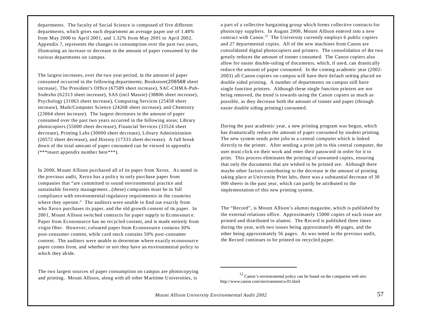departments. The faculty of Social Science is composed of five different departments, which gives each department an average paper use of 1.48% from May 2000 to April 2001, and 1.32% from May 2001 to April 2002. Appendix ?, represents the changes in consumption over the past two years, illustrating an increase or decrease in the amount of paper consumed by the various departments on campus.

The largest increases, over the two year period, in the amount of paper consumed occurred in the following departments; Bookstore(206568 sheet increase), The President's Office (67589 sheet increase), SAC-CHMA-Pub-Sodexho (62313 sheet increase), SAS (incl Massie) (38806 sheet increase), Psychology (31063 sheet increase), Computing Services (25458 sheet increase), Math/Computer Science (24268 sheet increase), and Chemistry (23064 sheet increase). The largest decreases in the amount of paper consumed over the past two years occurred in the following areas; Library photocopiers (55000 sheet decrease), Financial Services (33524 sheet decrease), Printing Labs (30000 sheet decrease), Library Administration (20572 sheet decrease), and History (17333 sheet decrease). A full break down of the total amount of paper consumed can be viewed in appendix (\*\*\*insert appendix number here\*\*\*).

In 2000, Mount Allison purchased all of its paper from Xerox. As noted in the previous audit, Xerox has a policy to only purchase paper from companies that "are committed to sound environmental practice and sustainable forestry management...(these) companies must be in full compliance with environmental regulatory requirements in the countries where they operate." The auditors were unable to find out exactly from who Xerox purchases its paper, and the old growth content of its paper. In 2001, Mount Allison switched contracts for paper supply to Econosource. Paper from Econosource has no recycled content, and is made entirely from virgin fiber. However, coloured paper from Econosource contains 30% post-consumer content, while card stock contains 50% post-consumer content. The auditors were unable to determine where exactly econosource paper comes from, and whether or not they have an environmental policy to which they abide.

The two largest sources of paper consumption on campus are photocopying and printing. Mount Allison, along with all other Maritime Universities, is

a part of a collective bargaining group which forms collective contracts for photocopy suppliers. In August 2000, Mount Allison entered into a new contract with Canon.<sup>12</sup> The University currently employs 6 public copiers and 27 departmental copies. All of the new machines from Canon are consolidated digital photocopiers and printers. The consolidation of the two greatly reduces the amount of tonner consumed. The Canon copiers also allow for easier double-siding of documents, which, if used, can drastically reduce the amount of paper consumed. In the coming academic year (2002- 2003) all Canon copiers on campus will have their default setting placed on double sided printing. A number of departments on campus still have single function printers. Although these single function printers are not being removed, the trend is towards using the Canon copiers as much as possible, as they decrease both the amount of tonner and paper (through easier double siding printing) consumed.

During the past academic year, a new printing program was begun, which has dramatically reduce the amount of paper consumed by student printing. The new system sends print jobs to a central computer which is linked directly to the printer. After sending a print job to this central computer, the user must click on their work and enter their password in order for it to print. This process eliminates the printing of unwanted copies, ensuring that only the documents that are wished to be printed are. Although there maybe other factors contributing to the decrease in the amount of printing taking place at University Print labs, there was a substantial decrease of 30 000 sheets in the past year, which can partly be attributed to the implementation of this new printing system.

The "Record", is Mount Allison's alumni magazine, which is published by the external relations office. Approximately 15000 copies of each issue are printed and distributed to alumni. The Record is published three times during the year, with two issues being approximately 40 pages, and the other being approximately 56 pages. As was noted in the previous audit, the Record continues to be printed on recycled paper.

<sup>&</sup>lt;sup>12</sup> Canon's environmental policy can be found on the companies web site: http://www.canon.com/environment/a-01.html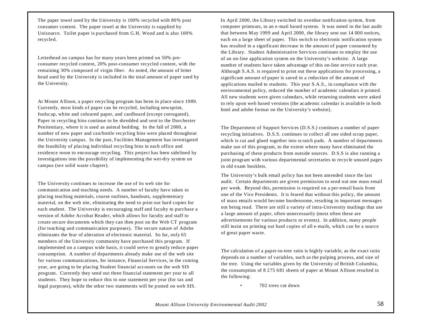The paper towel used by the University is 100% recycled with 80% post consumer content. The paper towel at the University is supplied by Unisource. Toilet paper is purchased from G.H. Wood and is also 100% recycled.

Letterhead on campus has for many years been printed on 50% preconsumer recycled content, 20% post-consumer recycled content, with the remaining 30% composed of virgin fiber. As noted, the amount of letter head used by the University is included in the total amount of paper used by the University.

At Mount Allison, a paper recycling program has been in place since 1989. Currently, most kinds of paper can be recycled, including newsprint, foolscap, white and coloured paper, and cardboard (except corrugated). Paper in recycling bins continue to be shredded and sent to the Dorchester Penitentiary, where it is used as animal bedding. In the fall of 2000, a number of new paper and can/bottle recycling bins were placed throughout the University campus. In the past, Facilities Management has investigated the feasibility of placing individual recycling bins in each office and residence room to encourage recycling. This project has been sidelined by investigations into the possibility of implementing the wet-dry system on campus (see solid waste chapter).

The University continues to increase the use of its web site for communication and teaching needs. A number of faculty have taken to placing teaching materials, course outlines, handouts, supplementary material, on the web site, eliminating the need to print out hard copies for each student. The University is encouraging staff and faculty to purchase a version of Adobe Acrobat Reader, which allows for faculty and staff to create secure documents which they can then post on the Web CT program (for teaching and communication purposes). The secure nature of Adobe eliminates the fear of alteration of electronic material. So far, only 65 members of the University community have purchased this program. If implemented on a campus wide basis, it could serve to greatly reduce paper consumption. A number of departments already make use of the web site for various communications, for instance, Financial Services, in the coming year, are going to be placing Student financial accounts on the web SIS program. Currently they send out three financial statement per year to all students. They hope to reduce this to one statement per year (for tax and legal purposes), while the other two statements will be posted on web SIS.

In April 2000, the Library switched its overdue notification system, from computer printouts, to an e-mail based system. It was noted in the last audit that between May 1999 and April 2000, the library sent out 14 000 notices, each on a large sheet of paper. This switch to electronic notification system has resulted in a significant decrease in the amount of paper consumed by the Library. Student Administrative Services continues to employ the use of an on-line application system on the University's website. A large number of students have taken advantage of this on-line service each year. Although S.A.S. is required to print out these applications for processing, a significant amount of paper is saved in a reduction of the amount of applications mailed to students. This year S.A.S., in compliance with the environmental policy, reduced the number of academic calendars it printed. All new students were given calendars, while returning students were asked to rely upon web based versions (the academic calendar is available in both html and adobe format on the University's website).

The Department of Support Services (D.S.S.) continues a number of paper recycling initiatives. D.S.S. continues to collect all one sided scrap paper, which is cut and glued together into scratch pads. A number of departments make use of this program, to the extent where many have eliminated the purchasing of these products from outside sources. D.S.S is also running a joint program with various departmental secretaries to recycle unused pages in old exam booklets.

The University's bulk email policy has not been amended since the last audit. Certain departments are given permission to send out one mass email per week. Beyond this, permission is required on a per-email basis from one of the Vice Presidents. It is feared that without this policy, the amount of mass emails would become burdensome, resulting in important messages not being read. There are still a variety of intra-University mailings that use a large amount of paper, often unnecessarily (most often these are advertisements for various products or events). In addition, many people still insist on printing out hard copies of all e-mails, which can be a source of great paper waste.

The calculation of a paper-to-tree ratio is highly variable, as the exact ratio depends on a number of variables, such as the pulping process, and size of the tree. Using the variables given by the University of British Columbia, the consumption of 8 275 681 sheets of paper at Mount Allison resulted in the following:

• 702 trees cut down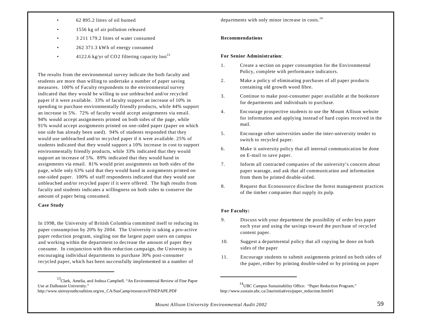- 62 895.2 litres of oil burned
- 1556 kg of air pollution released
- 3 211 179.2 litres of water consumed
- 262 371.3 kWh of energy consumed
- 4122.6 kg/yr of CO2 filtering capacity lost<sup>13</sup>

The results from the environmental survey indicate the both faculty and students are more than willing to undertake a number of paper saving measures. 100% of Faculty respondents to the environmental survey indicated that they would be willing to use unbleached and/or recycled paper if it were available. 33% of faculty support an increase of 10% in spending to purchase environmentally friendly products, while 44% support an increase in 5%. 72% of faculty would accept assignments via email. 94% would accept assignments printed on both sides of the page, while 91% would accept assignments printed on one-sided paper (paper on which one side has already been used). 94% of students responded that they would use unbleached and/or recycled paper if it were available. 25% of students indicated that they would support a 10% increase in cost to support environmentally friendly products, while 33% indicated that they would support an increase of 5%. 89% indicated that they would hand in assignments via email. 81% would print assignments on both sides of the page, while only 63% said that they would hand in assignments printed on one-sided paper. 100% of staff respondents indicated that they would use unbleached and/or recycled paper if it were offered. The high results from faculty and students indicates a willingness on both sides to conserve the amount of paper being consumed.

# **Case Study**

In 1998, the University of British Columbia committed itself to reducing its paper consumption by 20% by 2004. The University is taking a pro-active paper reduction program, singling out the largest paper users on campus and working within the department to decrease the amount of paper they consume. In conjunction with this reduction campaign, the University is encouraging individual departments to purchase 30% post-consumer recycled paper, which has been successfully implemented in a number of

http://www.sierrayouthcoalition.org/en\_CA/SusCamp/resources/FINEPAPE.PDF

departments with only minor increase in costs.<sup>14</sup>

# **Recommendations**

# **For Senior Administration**:

- 1. Create a section on paper consumption for the Environmental Policy, complete with performance indicators.
- 2. Make a policy of eliminating purchases of all paper products containing old growth wood fibre.
- 3. Continue to make post-consumer paper available at the bookstore for departments and individuals to purchase.
- 4. Encourage prospective students to use the Mount Allison website for information and applying instead of hard copies received in the mail.
- 5. Encourage other universities under the inter-university tender to switch to recycled paper.
- 6. Make it university policy that all internal communication be done on E-mail to save paper.
- 7. Inform all contracted companies of the university's concern about paper wastage, and ask that all communication and information from them be printed double-sided.
- 8. Request that Econosource disclose the forest management practices of the timber companies that supply its pulp.

# **For Faculty:**

- 9. Discuss with your department the possibility of order less paper each year and using the savings toward the purchase of recycled content paper.
- 10. Suggest a departmental policy that all copying be done on both sides of the paper
- 11. Encourage students to submit assignments printed on both sides of the paper, either by printing double-sided or by printing on paper

<sup>&</sup>lt;sup>13</sup>Clark, Amelia, and Joshua Campbell. "An Environmental Review of Fine Paper Use at Dalhousie University."

<sup>14</sup>UBC Campus Sustainability Office: "Paper Reduction Program." http://www.sustain.ubc.ca/2ourinitiatives/paper\_reduction.html#1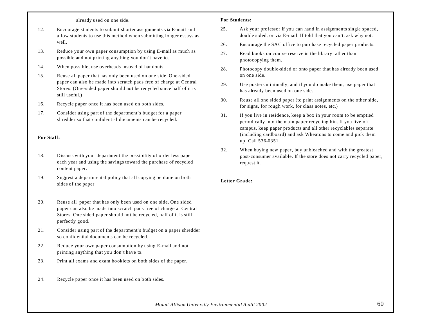already used on one side.

- 12. Encourage students to submit shorter assignments via E-mail and allow students to use this method when submitting longer essays as well.
- 13. Reduce your own paper consumption by using E-mail as much as possible and not printing anything you don't have to.
- 14. When possible, use overheads instead of handouts.
- 15. Reuse all paper that has only been used on one side. One-sided paper can also be made into scratch pads free of charge at Central Stores. (One-sided paper should not be recycled since half of it is still useful.)
- 16. Recycle paper once it has been used on both sides.
- 17. Consider using part of the department's budget for a paper shredder so that confidential documents can be recycled.

## **For Staff:**

- 18. Discuss with your department the possibility of order less paper each year and using the savings toward the purchase of recycled content paper.
- 19. Suggest a departmental policy that all copying be done on both sides of the paper
- 20. Reuse all paper that has only been used on one side. One sided paper can also be made into scratch pads free of charge at Central Stores. One sided paper should not be recycled, half of it is still perfectly good.
- 21. Consider using part of the department's budget on a paper shredder so confidential documents can be recycled.
- 22. Reduce your own paper consumption by using E-mail and not printing anything that you don't have to.
- 23. Print all exams and exam booklets on both sides of the paper.
- 24. Recycle paper once it has been used on both sides.

# **For Students:**

- 25. Ask your professor if you can hand in assignments single spaced, double sided, or via E-mail. If told that you can't, ask why not.
- 26. Encourage the SAC office to purchase recycled paper products.
- 27. Read books on course reserve in the library rather than photocopying them.
- 28. Photocopy double-sided or onto paper that has already been used on one side.
- 29. Use posters minimally, and if you do make them, use paper that has already been used on one side.
- 30. Reuse all one sided paper (to print assignments on the other side, for signs, for rough work, for class notes, etc.)
- 31. If you live in residence, keep a box in your room to be emptied periodically into the main paper recycling bin. If you live off campus, keep paper products and all other recyclables separate (including cardboard) and ask Wheatons to come and pick them up. Call 536-0351.
- 32. When buying new paper, buy unbleached and with the greatest post-consumer available. If the store does not carry recycled paper, request it.

# **Letter Grade:**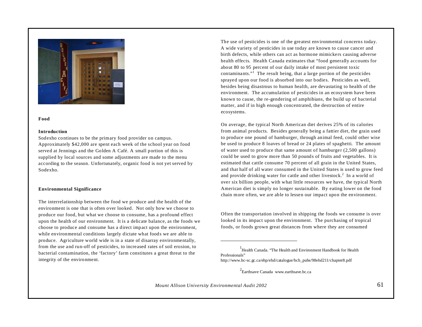

#### **Food**

#### **Introduction**

Sodexho continues to be the primary food provider on campus. Approximately \$42,000 are spent each week of the school year on food served at Jennings and the Golden A Café. A small portion of this is supplied by local sources and some adjustments are made to the menu according to the season. Unfortunately, organic food is not yet served by Sodexho.

### **Environmental Significance**

The interrelationship between the food we produce and the health of the environment is one that is often over looked. Not only how we choose to produce our food, but what we choose to consume, has a profound effect upon the health of our environment. It is a delicate balance, as the foods we choose to produce and consume has a direct impact upon the environment, while environmental conditions largely dictate what foods we are able to produce. Agriculture world wide is in a state of disarray environmentally, from the use and run-off of pesticides, to increased rates of soil erosion, to bacterial contamination, the 'factory' farm constitutes a great threat to the integrity of the environment.

The use of pesticides is one of the greatest environmental concerns today. A wide variety of pesticides in use today are known to cause cancer and birth defects, while others can act as hormone mimickers causing adverse health effects. Health Canada estimates that "food generally accounts for about 80 to 95 percent of our daily intake of most persistent toxic contaminants."<sup>1</sup> The result being, that a large portion of the pesticides sprayed upon our food is absorbed into our bodies. Pesticides as well, besides being disastrous to human health, are devastating to health of the environment. The accumulation of pesticides in an ecosystem have been known to cause, the re-gendering of amphibians, the build up of bacterial matter, and if in high enough concentrated, the destruction of entire ecosystems.

On average, the typical North American diet derives 25% of its calories from animal products. Besides generally being a fattier diet, the grain used to produce one pound of hamburger, through animal feed, could other wise be used to produce 8 loaves of bread or 24 plates of spaghetti. The amount of water used to produce that same amount of hamburger (2,500 gallons) could be used to grow more than 50 pounds of fruits and vegetables. It is estimated that cattle consume 70 percent of all grain in the United States, and that half of all water consumed in the United States is used to grow feed and provide drinking water for cattle and other livestock.<sup>2</sup> In a world of over six billion people, with what little resources we have, the typical North American diet is simply no longer sustainable. By eating lower on the food chain more often, we are able to lessen our impact upon the environment.

Often the transportation involved in shipping the foods we consume is over looked in its impact upon the environment. The purchasing of tropical foods, or foods grown great distances from where they are consumed

<sup>2</sup> Earthsave Canada www.earthsave.bc.ca

<sup>1</sup> Health Canada. "The Health and Environment Handbook for Health Professionals"

http://www.hc-sc.gc.ca/ehp/ehd/catalogue/bch\_pubs/98ehd211/chapter8.pdf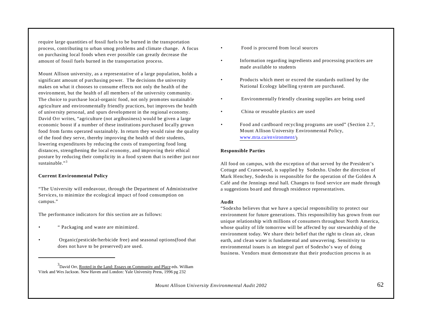require large quantities of fossil fuels to be burned in the transportation process, contributing to urban smog problems and climate change. A focus on purchasing local foods when ever possible can greatly decrease the amount of fossil fuels burned in the transportation process.

Mount Allison university, as a representative of a large population, holds a significant amount of purchasing power. The decisions the university makes on what it chooses to consume effects not only the health of the environment, but the health of all members of the university community. The choice to purchase local-organic food, not only promotes sustainable agriculture and environmentally friendly practices, but improves the health of university personal, and spurs development in the regional economy. David Orr writes, "agriculture (not argibusiness) would be given a large economic boost if a number of these institutions purchased locally grown food from farms operated sustainably. In return they would raise the quality of the food they serve, thereby improving the health of their students, lowering expenditures by reducing the costs of transporting food long distances, strengthening the local economy, and improving their ethical posture by reducing their complicity in a food system that is neither just nor sustainable."<sup>3</sup>

## **Current Environmental Policy**

"The University will endeavour, through the Department of Administrative Services, to minimize the ecological impact of food consumption on campus."

The performance indicators for this section are as follows:

- " Packaging and waste are minimized.
- Organic(pesticide/herbicide free) and seasonal options(food that does not have to be preserved) are used.
- Food is procured from local sources
- Information regarding ingredients and processing practices are made available to students
- Products which meet or exceed the standards outlined by the National Ecology labelling system are purchased.
- Environmentally friendly cleaning supplies are being used
- China or reusable plastics are used
- Food and cardboard recycling programs are used" (Section 2.7, Mount Allison University Environmental Policy, www.mta.ca/environment/)

## **Responsible Parties**

All food on campus, with the exception of that served by the President's Cottage and Cranewood, is supplied by Sodexho. Under the direction of Mark Henchey, Sodexho is responsible for the operation of the Golden A Café and the Jennings meal hall. Changes to food service are made through a suggestions board and through residence representatives.

### **Audit**

"Sodexho believes that we have a special responsibility to protect our environment for future generations. This responsibility has grown from our unique relationship with millions of consumers throughout North America, whose quality of life tomorrow will be affected by our stewardship of the environment today. We share their belief that the right to clean air, clean earth, and clean water is fundamental and unwavering. Sensitivity to environmental issues is an integral part of Sodexho's way of doing business. Vendors must demonstrate that their production process is as

 $^3$ David Orr, <u>Rooted in the Land: Essays on Community and Place</u> eds. William Vitek and Wes Jackson. New Haven and London: Yale University Press, 1996 pg 232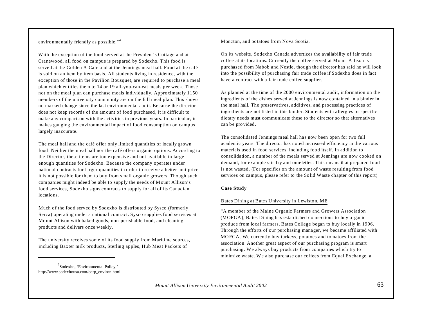environmentally friendly as possible."<sup>4</sup>

With the exception of the food served at the President's Cottage and at Cranewood, all food on campus is prepared by Sodexho. This food is served at the Golden A Café and at the Jennings meal hall. Food at the café is sold on an item by item basis. All students living in residence, with the exception of those in the Pavilion Bousquet, are required to purchase a meal plan which entitles them to 14 or 19 all-you-can-eat meals per week. Those not on the meal plan can purchase meals individually. Approximately 1150 members of the university community are on the full meal plan. This shows no marked change since the last environmental audit. Because the director does not keep records of the amount of food purchased, it is difficult to make any comparison with the activities in previous years. In particular, it makes gauging the environmental impact of food consumption on campus largely inaccurate.

The meal hall and the café offer only limited quantities of locally grown food. Neither the meal hall nor the café offers organic options. According to the Director, these items are too expensive and not available in large enough quantities for Sodexho. Because the company operates under national contracts for larger quantities in order to receive a better unit price it is not possible for them to buy from small organic growers. Though such companies might indeed be able to supply the needs of Mount Allison's food services, Sodexho signs contracts to supply for all of its Canadian locations.

Much of the food served by Sodexho is distributed by Sysco (formerly Serca) operating under a national contract. Sysco supplies food services at Mount Allison with baked goods, non-perishable food, and cleaning products and delivers once weekly.

The university receives some of its food supply from Maritime sources, including Baxter milk products, Sterling apples, Hub Meat Packers of

4 Sodexho, 'Environmental Policy,' http://www.sodexhousa.com/corp\_environ.html Moncton, and potatoes from Nova Scotia.

On its website, Sodexho Canada advertizes the availability of fair trade coffee at its locations. Currently the coffee served at Mount Allison is purchased from Nabob and Nestle, though the director has said he will look into the possibility of purchasing fair trade coffee if Sodexho does in fact have a contract with a fair trade coffee supplier.

As planned at the time of the 2000 environmental audit, information on the ingredients of the dishes served at Jennings is now contained in a binder in the meal hall. The preservatives, additives, and processing practices of ingredients are not listed in this binder. Students with allergies or specific dietary needs must communicate these to the director so that alternatives can be provided.

The consolidated Jennings meal hall has now been open for two full academic years. The director has noted increased efficiency in the various materials used in food services, including food itself. In addition to consolidation, a number of the meals served at Jennings are now cooked on demand, for example stir-fry and omelettes. This means that prepared food is not wasted. (For specifics on the amount of waste resulting from food services on campus, please refer to the Solid Waste chapter of this report)

### **Case Study**

### Bates Dining at Bates University in Lewiston, ME

"A member of the Maine Organic Farmers and Growers Association (MOFGA), Bates Dining has established connections to buy organic produce from local farmers. Bates College began to buy locally in 1996. Through the efforts of our purchasing manager, we became affiliated with MO FGA. We currently buy turkeys, potatoes and tomatoes from the association. Another great aspect of our purchasing program is smart purchasing. We always buy products from companies which try to minimize waste. We also purchase our coffees from Equal Exchange, a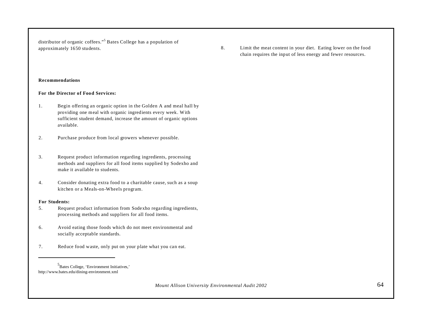distributor of organic coffees."<sup>5</sup> Bates College has a population of approximately 1650 students.

# 8. Limit the meat content in your diet. Eating lower on the food chain requires the input of less energy and fewer resources.

## **Recommendations**

## **For the Director of Food Services:**

- 1. Begin offering an organic option in the Golden A and meal hall by providing one meal with organic ingredients every week. With sufficient student demand, increase the amount of organic options available.
- 2. Purchase produce from local growers whenever possible.
- 3. Request product information regarding ingredients, processing methods and suppliers for all food items supplied by Sodexho and make it available to students.
- 4. Consider donating extra food to a charitable cause, such as a soup kitchen or a Meals-on-Wheels program.

### **For Students:**

- 5. Request product information from Sodexho regarding ingredients, processing methods and suppliers for all food items.
- 6. Avoid eating those foods which do not meet environmental and socially acceptable standards.
- 7. Reduce food waste, only put on your plate what you can eat.

<sup>5</sup> Bates College, 'Environment Initiatives,' http://www.bates.edu/dining-environment.xml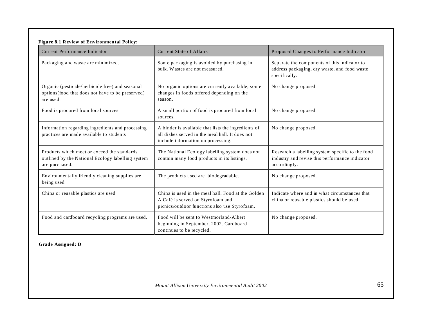# **Figure 8.1 Review of Environmental Policy:**

| Current Performance Indicator                                                                                                                                      | <b>Current State of Affairs</b>                                                                                                              | Proposed Changes to Performance Indicator                                                                          |  |
|--------------------------------------------------------------------------------------------------------------------------------------------------------------------|----------------------------------------------------------------------------------------------------------------------------------------------|--------------------------------------------------------------------------------------------------------------------|--|
| Packaging and waste are minimized.                                                                                                                                 | Some packaging is avoided by purchasing in<br>bulk. Wastes are not measured.                                                                 | Separate the components of this indicator to<br>address packaging, dry waste, and food waste<br>specifically.      |  |
| Organic (pesticide/herbicide free) and seasonal<br>options (food that does not have to be preserved)<br>are used.                                                  | No organic options are currently available; some<br>changes in foods offered depending on the<br>season.                                     | No change proposed.                                                                                                |  |
| Food is procured from local sources                                                                                                                                | A small portion of food is procured from local<br>sources.                                                                                   | No change proposed.                                                                                                |  |
| Information regarding ingredients and processing<br>practices are made available to students                                                                       | A binder is available that lists the ingredients of<br>all dishes served in the meal hall. It does not<br>include information on processing. | No change proposed.                                                                                                |  |
| Products which meet or exceed the standards<br>outlined by the National Ecology labelling system<br>are purchased.                                                 | The National Ecology labelling system does not<br>contain many food products in its listings.                                                | Research a labelling system specific to the food<br>industry and revise this performance indicator<br>accordingly. |  |
| Environmentally friendly cleaning supplies are<br>being used                                                                                                       | The products used are biodegradable.                                                                                                         | No change proposed.                                                                                                |  |
| China or reusable plastics are used                                                                                                                                | China is used in the meal hall. Food at the Golden<br>A Café is served on Styrofoam and<br>picnics/outdoor functions also use Styrofoam.     |                                                                                                                    |  |
| Food will be sent to Westmorland-Albert<br>Food and cardboard recycling programs are used.<br>beginning in September, 2002. Cardboard<br>continues to be recycled. |                                                                                                                                              | No change proposed.                                                                                                |  |

**Grade Assigned: D**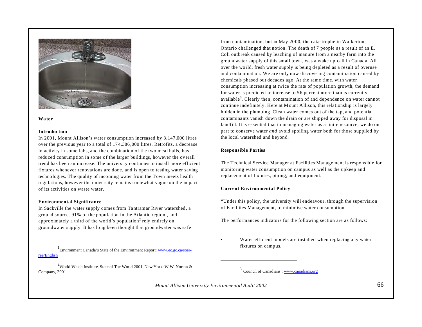

#### **Water**

#### **Introduction**

In 2001, Mount Allison's water consumption increased by 3,147,000 litres over the previous year to a total of 174,386,000 litres. Retrofits, a decrease in activity in some labs, and the combination of the two meal halls, has reduced consumption in some of the larger buildings, however the overall trend has been an increase. The university continues to install more efficient fixtures whenever renovations are done, and is open to testing water saving technologies. The quality of incoming water from the Town meets health regulations, however the university remains somewhat vague on the impact of its activities on waste water.

### **Environmental Significance**

In Sackville the water supply comes from Tantramar River watershed, a ground source. 91% of the population in the Atlantic region<sup>1</sup>, and approximately a third of the world's population $^2$  rely entirely on groundwater supply. It has long been thought that groundwater was safe

<sup>1</sup>Environment Canada's State of the Environment Report: www.ec.gc.ca/soer-<br>Environment Canada's State of the Environment Report: www.ec.gc.ca/soerree/English

<sup>2</sup>World Watch Institute, State of The World 2001, New York: W.W. Norton & Company, 2001

from contamination, but in May 2000, the catastrophe in Walkerton, Ontario challenged that notion. The death of 7 people as a result of an E. Coli outbreak caused by leaching of manure from a nearby farm into the groundwater supply of this small town, was a wake up call in Canada. All over the world, fresh water supply is being depleted as a result of overuse and contamination. We are only now discovering contamination caused by chemicals phased out decades ago. At the same time, with water consumption increasing at twice the rate of population growth, the demand for water is predicted to increase to 56 percent more than is currently available<sup>3</sup>. Clearly then, contamination of and dependence on water cannot continue indefinitely. Here at Mount Allison, this relationship is largely hidden in the plumbing. Clean water comes out of the tap, and potential contaminants vanish down the drain or are shipped away for disposal in landfill. It is essential that in managing water as a finite resource, we do our part to conserve water *and* avoid spoiling water both for those supplied by the local watershed and beyond.

### **Responsible Parties**

The Technical Service Manager at Facilities Management is responsible for monitoring water consumption on campus as well as the upkeep and replacement of fixtures, piping, and equipment.

## **Current Environmental Policy**

"Under this policy, the university will endeavour, through the supervision of Facilities Management, to minimise water consumption.

The performances indicators for the following section are as follows:

Water efficient models are installed when replacing any water

<sup>&</sup>lt;sup>3</sup> Council of Canadians : www.canadians.org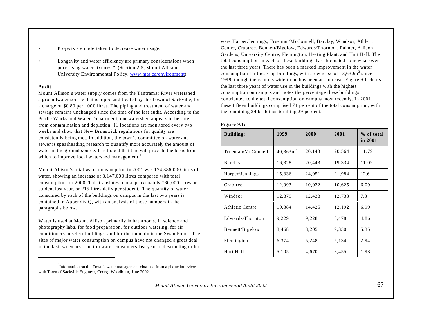- Projects are undertaken to decrease water usage.
- Longevity and water efficiency are primary considerations when purchasing water fixtures." (Section 2.5, Mount Allison University Environmental Policy, www.mta.ca/environment)

## **Audit**

Mount Allison's water supply comes from the Tantramar River watershed, a groundwater source that is piped and treated by the Town of Sackville, for a charge of \$0.80 per 1000 litres. The piping and treatment of water and sewage remains unchanged since the time of the last audit. According to the Public Works and Water Department, our watershed appears to be safe from contamination and depletion. 11 locations are monitored every two weeks and show that New Brunswick regulations for quality are consistently being met. In addition, the town's committee on water and sewer is spearheading research to quantify more accurately the amount of water in the ground source. It is hoped that this will provide the basis from which to improve local watershed management.<sup>4</sup>

Mount Allison's total water consumption in 2001 was 174,386,000 litres of water, showing an increase of 3,147,000 litres compared with total consumption for 2000. This translates into approximately 780,000 litres per student last year, or 215 litres daily per student. The quantity of water consumed by each of the buildings on campus in the last two years is contained in Appendix Q, with an analysis of those numbers in the paragraphs below.

Water is used at Mount Allison primarily in bathrooms, in science and photography labs, for food preparation, for outdoor watering, for air conditioners in select buildings, and for the fountain in the Swan Pond. The sites of major water consumption on campus have not changed a great deal in the last two years. The top water consumers last year in descending order

<sup>4</sup>Information on the Town's water management obtained from a phone interview with Town of Sackville Engineer, George Woodburn, June 2002.

were Harper/Jennings, Trueman/McConnell, Barclay, Windsor, Athletic Centre, Crabtree, Bennett/Bigelow, Edwards/Thornton, Palmer, Allison Gardens, University Centre, Flemington, Heating Plant, and Hart Hall. The total consumption in each of these buildings has fluctuated somewhat over the last three years. There has been a marked improvement in the water consumption for these top buildings, with a decrease of  $13,630m^3$  since 1999, though the campus wide trend has been an increase. Figure 9.1 charts the last three years of water use in the buildings with the highest consumption on campus and notes the percentage these buildings contributed to the total consumption on campus most recently. In 2001, these fifteen buildings comprised 71 percent of the total consumption, with the remaining 24 buildings totalling 29 percent.

| <b>Building:</b>       | 1999                 | 2000   | 2001   | % of total<br>in 2001 |  |
|------------------------|----------------------|--------|--------|-----------------------|--|
| Trueman/McConnell      | $40,363 \text{ m}^3$ | 20,143 | 20,564 | 11.79                 |  |
| Barclay                | 16,328               | 20,443 | 19,334 | 11.09                 |  |
| Harper/Jennings        | 15,336               | 24,051 | 21,984 | 12.6                  |  |
| Crabtree               | 12,993               | 10,022 | 10,625 | 6.09                  |  |
| Windsor                | 12,879               | 12,438 | 12,733 | 7.3                   |  |
| <b>Athletic Centre</b> | 10,384               | 14,425 | 12,192 | 6.99                  |  |
| Edwards/Thornton       | 9,229                | 9,228  | 8,478  | 4.86                  |  |
| Bennett/Bigelow        | 8,468                | 8,205  | 9,330  | 5.35                  |  |
| Flemington             | 6,374                | 5,248  | 5,134  | 2.94                  |  |
| Hart Hall              | 5,105                | 4,670  | 3,455  | 1.98                  |  |

#### **Figure 9.1:**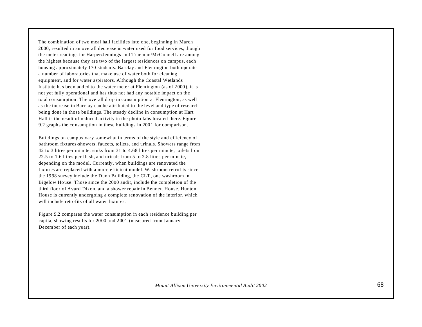The combination of two meal hall facilities into one, beginning in March 2000, resulted in an overall decrease in water used for food services, though the meter readings for Harper/Jennings and Trueman/McConnell are among the highest because they are two of the largest residences on campus, each housing approximately 170 students. Barclay and Flemington both operate a number of laboratories that make use of water both for cleaning equipment, and for water aspirators. Although the Coastal Wetlands Institute has been added to the water meter at Flemington (as of 2000), it is not yet fully operational and has thus not had any notable impact on the total consumption. The overall drop in consumption at Flemington, as well as the increase in Barclay can be attributed to the level and type of research being done in those buildings. The steady decline in consumption at Hart Hall is the result of reduced activity in the photo labs located there. Figure 9.2 graphs the consumption in these buildings in 2001 for comparison.

Buildings on campus vary somewhat in terms of the style and efficiency of bathroom fixtures-showers, faucets, toilets, and urinals. Showers range from 42 to 3 litres per minute, sinks from 31 to 4.68 litres per minute, toilets from 22.5 to 1.6 litres per flush, and urinals from 5 to 2.8 litres per minute, depending on the model. Currently, when buildings are renovated the fixtures are replaced with a more efficient model. Washroom retrofits since the 1998 survey include the Dunn Building, the CLT, one washroom in Bigelow House. Those since the 2000 audit, include the completion of the third floor of Avard Dixon, and a shower repair in Bennett House. Hunton House is currently undergoing a complete renovation of the interior, which will include retrofits of all water fixtures.

Figure 9.2 compares the water consumption in each residence building per capita, showing results for 2000 and 2001 (measured from January-December of each year).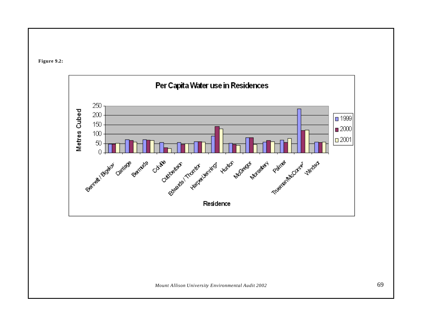

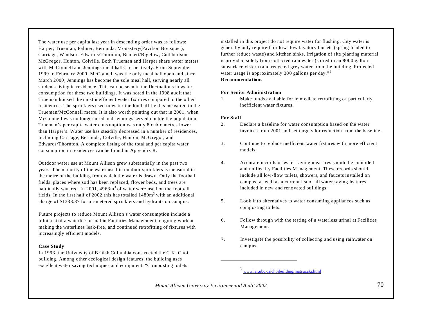The water use per capita last year in descending order was as follows: Harper, Trueman, Palmer, Bermuda, Monastery(Pavilion Bousquet), Carriage, Windsor, Edwards/Thornton, Bennett/Bigelow, Cuthbertson, McG regor, Hunton, Colville. Both Trueman and Harper share water meters with McConnell and Jennings meal halls, respectively. From September 1999 to February 2000, McConnell was the only meal hall open and since March 2000, Jennings has become the sole meal hall, serving nearly all students living in residence. This can be seen in the fluctuations in water consumption for these two buildings. It was noted in the 1998 audit that Trueman housed the most inefficient water fixtures compared to the other residences. The sprinklers used to water the football field is measured in the Trueman/McConnell metre. It is also worth pointing out that in 2001, when McConnell was no longer used and Jennings served double the population, Trueman's per capita water consumption was only 8 cubic metres lower than Harper's. Water use has steadily decreased in a number of residences, including Carriage, Bermuda, Colville, Hunton, McGregor, and Edwards/Thornton. A complete listing of the total and per capita water consumption in residences can be found in Appendix R.

Outdoor water use at Mount Allison grew substantially in the past two years. The majority of the water used in outdoor sprinklers is measured in the metre of the building from which the water is drawn. Only the football fields, places where sod has been replaced, flower beds, and trees are habitually watered. In 2001, 4963 $m<sup>3</sup>$  of water were used on the football fields. In the first half of 2002 this has totalled  $1489\text{m}^3$  with an additional charge of \$1333.37 for un-metered sprinklers and hydrants on campus.

Future projects to reduce Mount Allison's water consumption include a pilot test of a waterless urinal in Facilities Management, ongoing work at making the waterlines leak-free, and continued retrofitting of fixtures with increasingly efficient models.

### **Case Study**

In 1993, the University of British Columbia constructed the C.K. Choi building. Among other ecological design features, the building uses excellent water saving techniques and equipment. "Composting toilets

installed in this project do not require water for flushing. City water is generally only required for low flow lavatory faucets (spring loaded to further reduce waste) and kitchen sinks. Irrigation of site planting material is provided solely from collected rain water (stored in an 8000 gallon subsurface cistern) and recycled grey water from the building. Projected water usage is approximately 300 gallons per day."<sup>5</sup> **Recommendations**

#### **For Senior Administration**

1. Make funds available for immediate retrofitting of particularly inefficient water fixtures.

#### **For Staff**

- 2. Declare a baseline for water consumption based on the water invoices from 2001 and set targets for reduction from the baseline.
- 3. Continue to replace inefficient water fixtures with more efficient models.
- 4. Accurate records of water saving measures should be compiled and unified by Facilities Management. These records should include all low-flow toilets, showers, and faucets installed on campus, as well as a current list of all water saving features included in new and renovated buildings.
- 5. Look into alternatives to water consuming appliances such as composting toilets.
- 6. Follow through with the testing of a waterless urinal at Facilities Management.
- 7. Investigate the possibility of collecting and using rainwater on campus.

<sup>5</sup> www.iar.ubc.ca/choibuilding/matsuzaki.html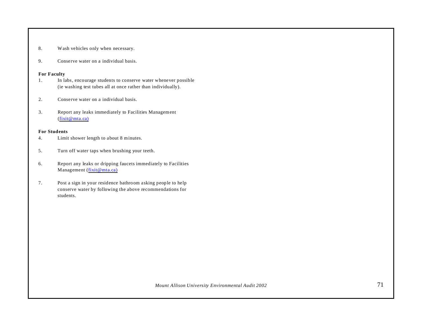- 8. Wash vehicles only when necessary.
- 9. Conserve water on a individual basis.

### **For Faculty**

- 1. In labs, encourage students to conserve water whenever possible (ie washing test tubes all at once rather than individually).
- 2. Conserve water on a individual basis.
- 3. Report any leaks immediately to Facilities Management (fixit@mta.ca)

#### **For Students**

- 4. Limit shower length to about 8 minutes.
- 5. Turn off water taps when brushing your teeth.
- 6. Report any leaks or dripping faucets immediately to Facilities Management (fixit@mta.ca)
- 7. Post a sign in your residence bathroom asking people to help conserve water by following the above recommendations for students.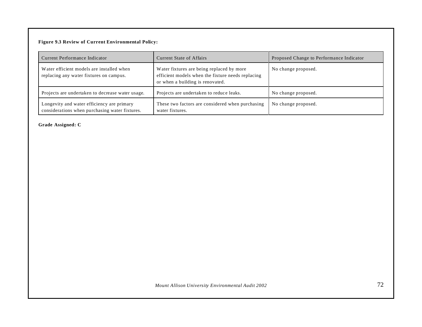# **Figure 9.3 Review of Current Environmental Policy:**

| Current Performance Indicator                                                                | <b>Current State of Affairs</b>                                                                                                    | Proposed Change to Performance Indicator |
|----------------------------------------------------------------------------------------------|------------------------------------------------------------------------------------------------------------------------------------|------------------------------------------|
| Water efficient models are installed when<br>replacing any water fixtures on campus.         | Water fixtures are being replaced by more<br>efficient models when the fixture needs replacing<br>or when a building is renovated. | No change proposed.                      |
| Projects are undertaken to decrease water usage.                                             | Projects are undertaken to reduce leaks.                                                                                           | No change proposed.                      |
| Longevity and water efficiency are primary<br>considerations when purchasing water fixtures. | These two factors are considered when purchasing<br>water fixtures.                                                                | No change proposed.                      |

**Grade Assigned: C**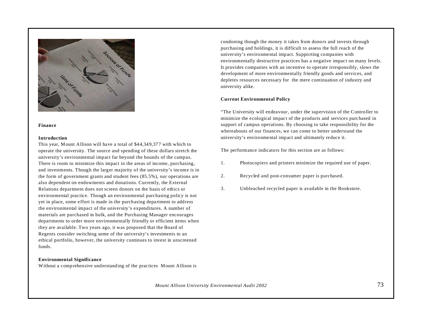

#### **Finance**

#### **Introduction**

This year, Mount Allison will have a total of \$44,349,377 with which to operate the university. The source and spending of these dollars stretch the university's environmental impact far beyond the bounds of the campus. There is room to minimize this impact in the areas of income, purchasing, and investments. Though the larger majority of the university's income is in the form of government grants and student fees (85.5%), our operations are also dependent on endowments and donations. Currently, the External Relations department does not screen donors on the basis of ethics or environmental practice. Though an environmental purchasing policy is not yet in place, some effort is made in the purchasing department to address the environmental impact of the university's expenditures. A number of materials are purchased in bulk, and the Purchasing Manager encourages departments to order more environmentally friendly or efficient items when they are available. Two years ago, it was proposed that the Board of Regents consider switching some of the university's investments to an ethical portfolio, however, the university continues to invest in unscreened funds.

### **Environmental Significance**

Without a comprehensive understanding of the practices Mount Allison is

condoning though the money it takes from donors and invests through purchasing and holdings, it is difficult to assess the full reach of the university's environmental impact. Supporting companies with environmentally destructive practices has a negative impact on many levels. It provides companies with an incentive to operate irresponsibly, slows the development of more environmentally friendly goods and services, and depletes resources necessary for the mere continuation of industry and university alike.

#### **Current Environmental Policy**

"The University will endeavour, under the supervision of the Controller to minimize the ecological impact of the products and services purchased in support of campus operations. By choosing to take responsibility for the whereabouts of our finances, we can come to better understand the university's environmental impact and ultimately reduce it.

The performance indicators for this section are as follows:

- 1. Photocopiers and printers minimize the required use of paper.
- 2. Recycled and post-consumer paper is purchased.
- 3. Unbleached recycled paper is available in the Bookstore.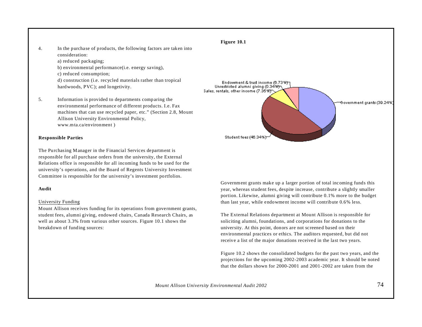- 4. In the purchase of products, the following factors are taken into consideration:
	- a) reduced packaging;
	- b) environmental performance(i.e. energy saving),
	- c) reduced consumption;
	- d) construction (i.e. recycled materials rather than tropical hardwoods, PVC); and longetivity.
- 5. Information is provided to departments comparing the environmental performance of different products. I.e. Fax machines that can use recycled paper, etc." (Section 2.8, Mount Allison University Environmental Policy, www.mta.ca/environment )

### **Responsible Parties**

The Purchasing Manager in the Financial Services department is responsible for all purchase orders from the university, the External Relations office is responsible for all incoming funds to be used for the university's operations, and the Board of Regents University Investment Committee is responsible for the university's investment portfolios.

#### **Audit**

#### University Funding

Mount Allison receives funding for its operations from government grants, student fees, alumni giving, endowed chairs, Canada Research Chairs, as well as about 3.3% from various other sources. Figure 10.1 shows the breakdown of funding sources:



Government grants make up a larger portion of total incoming funds this year, whereas student fees, despite increase, contribute a slightly smaller portion. Likewise, alumni giving will contribute 0.1% more to the budget than last year, while endowment income will contribute 0.6% less.

The External Relations department at Mount Allison is responsible for soliciting alumni, foundations, and corporations for donations to the university. At this point, donors are not screened based on their environmental practices or ethics. The auditors requested, but did not receive a list of the major donations received in the last two years.

Figure 10.2 shows the consolidated budgets for the past two years, and the projections for the upcoming 2002-2003 academic year. It should be noted that the dollars shown for 2000-2001 and 2001-2002 are taken from the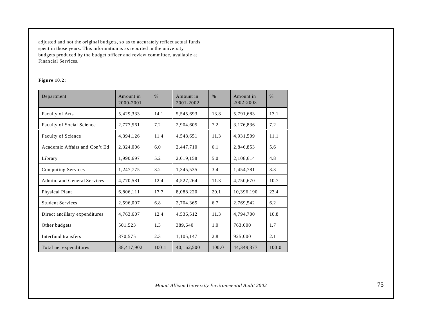adjusted and not the original budgets, so as to accurately reflect actual funds spent in those years. This information is as reported in the university budgets produced by the budget officer and review committee, available at Financial Services.

# **Figure 10.2:**

| Department                    | Amount in<br>2000-2001 | $\frac{0}{0}$ | Amount in<br>2001-2002 | $\%$  | Amount in<br>2002-2003 | $\%$  |
|-------------------------------|------------------------|---------------|------------------------|-------|------------------------|-------|
| Faculty of Arts               | 5,429,333              | 14.1          | 5,545,693              | 13.8  | 5,791,683              | 13.1  |
| Faculty of Social Science     | 2,777,561              | 7.2           | 2,904,605              | 7.2   | 3,176,836              | 7.2   |
| Faculty of Science            | 4,394,126              | 11.4          | 4,548,651              | 11.3  | 4,931,509              | 11.1  |
| Academic Affairs and Con't Ed | 2,324,006              | 6.0           | 2,447,710              | 6.1   | 2,846,853              | 5.6   |
| Library                       | 1.990.697              | 5.2           | 2,019,158              | 5.0   | 2,108,614              | 4.8   |
| <b>Computing Services</b>     | 1,247,775              | 3.2           | 1,345,535              | 3.4   | 1,454,781              | 3.3   |
| Admin, and General Services   | 4,770,581              | 12.4          | 4,527,264              | 11.3  | 4,750,670              | 10.7  |
| Physical Plant                | 6,806,111              | 17.7          | 8,088,220              | 20.1  | 10,396,190             | 23.4  |
| <b>Student Services</b>       | 2,596,007              | 6.8           | 2,704,365              | 6.7   | 2,769,542              | 6.2   |
| Direct ancillary expenditures | 4,763,607              | 12.4          | 4,536,512              | 11.3  | 4,794,700              | 10.8  |
| Other budgets                 | 501,523                | 1.3           | 389,640                | 1.0   | 763,000                | 1.7   |
| Interfund transfers           | 870,575                | 2.3           | 1,105,147              | 2.8   | 925,000                | 2.1   |
| Total net expenditures:       | 38,417,902             | 100.1         | 40,162,500             | 100.0 | 44, 349, 377           | 100.0 |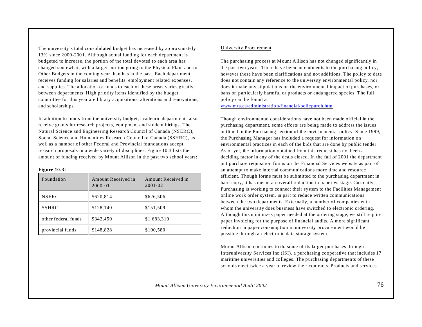The university's total consolidated budget has increased by approximately 13% since 2000-2001. Although actual funding for each department is budgeted to increase, the portion of the total devoted to each area has changed somewhat, with a larger portion going to the Physical Plant and to Other Budgets in the coming year than has in the past. Each department receives funding for salaries and benefits, employment related expenses, and supplies. The allocation of funds to each of these areas varies greatly between departments. High priority items identified by the budget committee for this year are library acquisitions, alterations and renovations, and scholarships.

In addition to funds from the university budget, academic departments also receive grants for research projects, equipment and student hirings. The Natural Science and Engineering Research Council of Canada (NSERC), Social Science and Humanities Research Council of Canada (SSHRC), as well as a number of other Federal and Provincial foundations accept research proposals in a wide variety of disciplines. Figure 10.3 lists the amount of funding received by Mount Allison in the past two school years:

#### **Figure 10.3:**

| Foundation          | Amount Received in<br>2000-01 | Amount Received in<br>$2001 - 02$ |
|---------------------|-------------------------------|-----------------------------------|
| <b>NSERC</b>        | \$620,814                     | \$626,506                         |
| <b>SSHRC</b>        | \$128,140                     | \$151,509                         |
| other federal funds | \$342,450                     | \$1,683,319                       |
| provincial funds    | \$148,828                     | \$100,580                         |

#### University Procurement

The purchasing process at Mount Allison has not changed significantly in the past two years. There have been amendments to the purchasing policy, however these have been clarifications and not additions. The policy to date does not contain any reference to the university environmental policy, nor does it make any stipulations on the environmental impact of purchases, or bans on particularly harmful or products or endangered species. The full policy can be found at

www.mta.ca/administration/financial/policpurch.htm.

Though environmental considerations have not been made official in the purchasing department, some efforts are being made to address the issues outlined in the Purchasing section of the environmental policy. Since 1999, the Purchasing Manager has included a request for information on environmental practices in each of the bids that are done by public tender. As of yet, the information obtained from this request has not been a deciding factor in any of the deals closed. In the fall of 2001 the department put purchase requisition forms on the Financial Services website as part of an attempt to make internal communications more time and resource efficient. Though forms must be submitted to the purchasing department in hard copy, it has meant an overall reduction in paper wastage. Currently, Purchasing is working to connect their system to the Facilities Management online work order system, in part to reduce written communications between the two departments. Externally, a number of companies with whom the university does business have switched to electronic ordering. Although this minimizes paper needed at the ordering stage, we still require paper invoicing for the purpose of financial audits. A more significant reduction in paper consumption in university procurement would be possible through an electronic data storage system.

Mount Allison continues to do some of its larger purchases through Interuniversity Services Inc.(ISI), a purchasing cooperative that includes 17 maritime universities and colleges. The purchasing departments of these schools meet twice a year to review their contracts. Products and services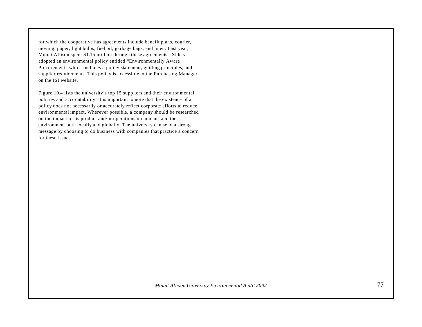for which the cooperative has agreements include benefit plans, courier, moving, paper, light bulbs, fuel oil, garbage bags, and linen. Last year, Mount Allison spent \$1.15 million through these agreements. ISI has adopted an environmental policy entitled "Environmentally Aware Procurement" which includes a policy statement, guiding principles, and supplier requirements. This policy is accessible to the Purchasing Manager on the ISI website.

Figure 10.4 lists the university's top 15 suppliers and their environmental policies and accountability. It is important to note that the existence of a policy does not necessarily or accurately reflect corporate efforts to reduce environmental impact. Wherever possible, a company should be researched on the impact of its product and/or operations on humans and the environment both locally and globally. The university can send a strong message by choosing to do business with companies that practice a concern for these issues.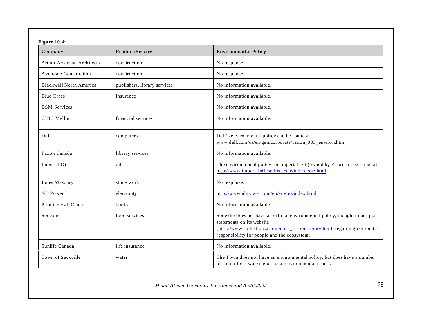| Figure 10.4:                      |                              |                                                                                                                                                                                                                                      |
|-----------------------------------|------------------------------|--------------------------------------------------------------------------------------------------------------------------------------------------------------------------------------------------------------------------------------|
| Company                           | <b>Product/Service</b>       | <b>Environmental Policy</b>                                                                                                                                                                                                          |
| <b>Arthur Arseneau Architects</b> | construction                 | No response.                                                                                                                                                                                                                         |
| <b>Avondale Construction</b>      | construction                 | No response.                                                                                                                                                                                                                         |
| Blackwell North America           | publishers, library services | No information available.                                                                                                                                                                                                            |
| <b>Blue Cross</b>                 | insurance                    | No information available.                                                                                                                                                                                                            |
| <b>BSM</b> Services               |                              | No information available.                                                                                                                                                                                                            |
| CIBC Mellon                       | financial services           | No information available.                                                                                                                                                                                                            |
| Dell                              | computers                    | Dell's environmental policy can be found at<br>www.dell.com/us/en/gen/corporate/vision_003_environ.htm                                                                                                                               |
| Faxon Canada                      | library services             | No information available.                                                                                                                                                                                                            |
| Imperial Oil                      | oil                          | The environmental policy for Imperial Oil (owned by Esso) can be found at:<br>http://www.imperialoil.ca/thisis/she/index_she.html                                                                                                    |
| Jones Masonry                     | stone work                   | No response.                                                                                                                                                                                                                         |
| NB Power                          | electricity                  | http://www.nbpower.com/en/enviro/index.html                                                                                                                                                                                          |
| Prentice Hall Canada              | books                        | No information available.                                                                                                                                                                                                            |
| Sodexho                           | food services                | Sodexho does not have an official environmental policy, though it does post<br>statements on its website<br>(http://www.sodexhousa.com/corp_responsibility.html) regarding corporate<br>responsibility for people and the ecosystem. |
| Sunlife Canada                    | life insurance               | No information available.                                                                                                                                                                                                            |
| Town of Sackville                 | water                        | The Town does not have an environmental policy, but does have a number<br>of committees working on local environmental issues.                                                                                                       |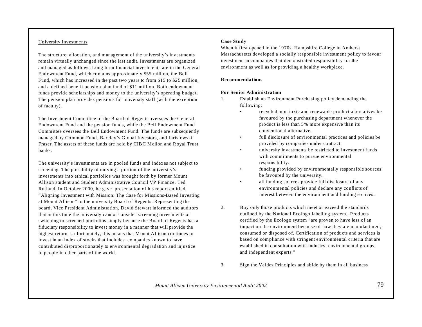### University Investments

The structure, allocation, and management of the university's investments remain virtually unchanged since the last audit. Investments are organized and managed as follows: Long term financial investments are in the General Endowment Fund, which contains approximately \$55 million, the Bell Fund, which has increased in the past two years to from \$15 to \$25 million, and a defined benefit pension plan fund of \$11 million. Both endowment funds provide scholarships and money to the university's operating budget. The pension plan provides pensions for university staff (with the exception of faculty).

The Investment Committee of the Board of Regents oversees the General Endowment Fund and the pension funds, while the Bell Endowment Fund Committee oversees the Bell Endowment Fund. The funds are subsequently managed by Common Fund, Barclay's Global Investors, and Jarislowski Fraser. The assets of these funds are held by CIBC Mellon and Royal Trust banks.

The university's investments are in pooled funds and indexes not subject to screening. The possibility of moving a portion of the university's investments into ethical portfolios was brought forth by former Mount Allison student and Student Administrative Council VP Finance, Ted Rutland. In October 2000, he gave presentation of his report entitled "Aligning Investment with Mission: The Case for Missions-Based Investing at Mount Allison" to the university Board of Regents. Representing the board, Vice President Administration, David Stewart informed the auditors that at this time the university cannot consider screening investments or switching to screened portfolios simply because the Board of Regents has a fiduciary responsibility to invest money in a manner that will provide the highest return. Unfortunately, this means that Mount Allison continues to invest in an index of stocks that includes companies known to have contributed disproportionately to environmental degradation and injustice to people in other parts of the world.

### **Case Study**

When it first opened in the 1970s, Hampshire College in Amherst Massachusetts developed a socially responsible investment policy to favour investment in companies that demonstrated responsibility for the environment as well as for providing a healthy workplace.

### **Recommendations**

### **For Senior Administration**

- 1. Establish an Environment Purchasing policy demanding the following:
	- recycled, non toxic and renewable product alternatives be favoured by the purchasing department whenever the product is less than 5% more expensive than its conventional alternative.
	- full disclosure of environmental practices and policies be provided by companies under contract.
	- university investments be restricted to investment funds with commitments to pursue environmental responsibility.
	- funding provided by environmentally responsible sources be favoured by the university.
	- all funding sources provide full disclosure of any environmental policies and declare any conflicts of interest between the environment and funding sources.
- 2. Buy only those products which meet or exceed the standards outlined by the National Ecologo labelling system.. Products certified by the Ecologo system "are proven to have less of an impact on the environment because of how they are manufactured, consumed or disposed of. Certification of products and services is based on compliance with stringent environmental criteria that are established in consultation with industry, environmental groups, and independent experts."
- 3. Sign the Valdez Principles and abide by them in all business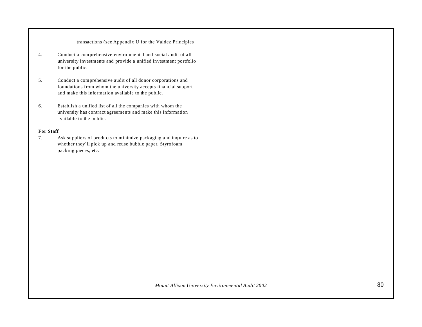transactions (see Appendix U for the Valdez Principles

- 4. Conduct a comprehensive environmental and social audit of all university investments and provide a unified investment portfolio for the public.
- 5. Conduct a comprehensive audit of all donor corporations and foundations from whom the university accepts financial support and make this information available to the public.
- 6. Establish a unified list of all the companies with whom the university has contract agreements and make this information available to the public.

### **For Staff**

7. Ask suppliers of products to minimize packaging and inquire as to whether they`ll pick up and reuse bubble paper, Styrofoam packing pieces, etc.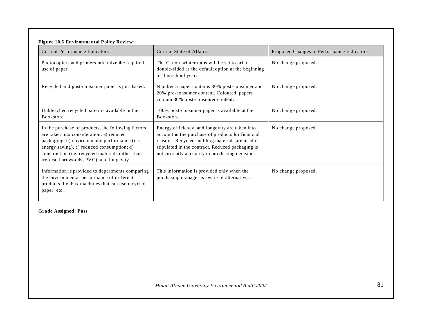| <b>Figure 10.5 Environmental Policy Review:</b>                                                                                                                                                                                                                                                |                                                                                                                                                                                                                                                                   |                                            |
|------------------------------------------------------------------------------------------------------------------------------------------------------------------------------------------------------------------------------------------------------------------------------------------------|-------------------------------------------------------------------------------------------------------------------------------------------------------------------------------------------------------------------------------------------------------------------|--------------------------------------------|
| <b>Current Performance Indicators</b>                                                                                                                                                                                                                                                          | <b>Current State of Affairs</b>                                                                                                                                                                                                                                   | Proposed Changes to Performance Indicators |
| Photocopiers and printers minimize the required<br>use of paper.                                                                                                                                                                                                                               | The Canon printer units will be set to print<br>double-sided as the default option at the beginning<br>of this school year.                                                                                                                                       | No change proposed.                        |
| Recycled and post-consumer paper is purchased.                                                                                                                                                                                                                                                 | Number 5 paper contains 30% post-consumer and<br>20% pre-consumer content. Coloured papers<br>contain 30% post-consumer content.                                                                                                                                  | No change proposed.                        |
| Unbleached recycled paper is available in the<br>Bookstore.                                                                                                                                                                                                                                    | 100% post-consumer paper is available at the<br>Bookstore.                                                                                                                                                                                                        | No change proposed.                        |
| In the purchase of products, the following factors<br>are taken into consideration: a) reduced<br>packaging; b) environmental performance (i.e.<br>energy saving), c) reduced consumption; d)<br>construction (i.e. recycled materials rather than<br>tropical hardwoods, PVC); and longevity. | Energy efficiency, and longevity are taken into<br>account in the purchase of products for financial<br>reasons. Recycled building materials are used if<br>stipulated in the contract. Reduced packaging is<br>not currently a priority in purchasing decisions. | No change proposed.                        |
| Information is provided to departments comparing<br>the environmental performance of different<br>products. I.e. Fax machines that can use recycled<br>paper, etc.                                                                                                                             | This information is provided only when the<br>purchasing manager is aware of alternatives.                                                                                                                                                                        | No change proposed.                        |

**Grade Assigned: Pass**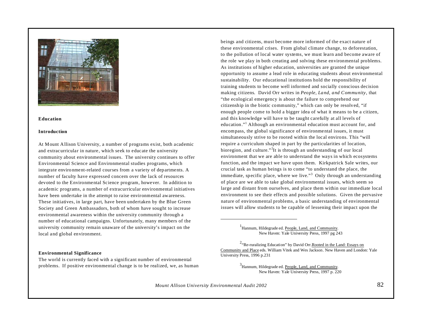



#### **Introduction**

At Mount Allison University, a number of programs exist, both academic and extracurricular in nature, which seek to educate the university community about environmental issues. The university continues to offer Environmental Science and Environmental studies programs, which integrate environment-related courses from a variety of departments. A number of faculty have expressed concern over the lack of resources devoted to the Environmental Science program, however. In addition to academic programs, a number of extracurricular environmental initiatives have been undertake in the attempt to raise environmental awareness. These initiatives, in large part, have been undertaken by the Blue Green Society and Green Ambassadors, both of whom have sought to increase environmental awareness within the university community through a number of educational campaigns. Unfortunately, many members of the university community remain unaware of the university's impact on the local and global environment.

#### **Environmental Significance**

The world is currently faced with a significant number of environmental problems. If positive environmental change is to be realized, we, as human

beings and citizens, must become more informed of the exact nature of these environmental crises. From global climate change, to deforestation, to the pollution of local water systems, we must learn and become aware of the role we play in both creating and solving these environmental problems. As institutions of higher education, universities are granted the unique opportunity to assume a lead role in educating students about environmental sustainability. Our educational institutions hold the responsibility of training students to become well informed and socially conscious decision making citizens. David Orr writes in *People, Land, and Community*, that "the ecological emergency is about the failure to comprehend our citizenship in the biotic community," which can only be resolved, "if enough people come to hold a bigger idea of what it means to be a citizen, and this knowledge will have to be taught carefully at all levels of education."<sup>1</sup> Although an environmental education must account for, and encompass, the global significance of environmental issues, it must simultaneously strive to be rooted within the local environs. This "will require a curriculum shaped in part by the particularities of location, bioregion, and culture."<sup>2</sup>It is through an understanding of our local environment that we are able to understand the ways in which ecosystems function, and the impact we have upon them. Kirkpatrick Sale writes, our crucial task as human beings is to come "to understand the place, the immediate, specific place, where we live."<sup>3</sup> Only through an understanding of place are we able to take global environmental issues, which seem so large and distant from ourselves, and place them within our immediate local environment to see their effects and possible solutions. Given the pervasive nature of environmental problems, a basic understanding of environmental issues will allow students to be capable of lessening their impact upon the

<sup>3</sup> Hannum, Hildegrade ed. <u>People, Land, and Community</u>. New Haven: Yale University Press, 1997 p. 220

<sup>&</sup>lt;sup>1</sup> Hannum, Hildegrade ed. People, Land, and Community. New Haven: Yale University Press, 1997 pg 243

 $^{2}$ "Re-ruralizing Education" by David Orr. Rooted in the Land: Essays on Community and Place eds. William Vitek and Wes Jackson. New Haven and London: Yale University Press, 1996 p.231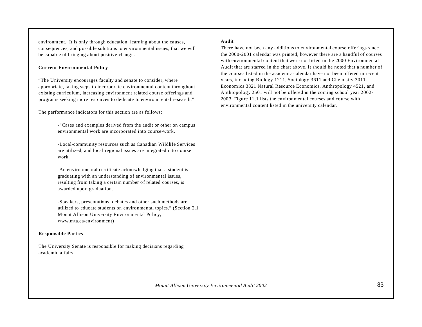environment. It is only through education, learning about the causes, consequences, and possible solutions to environmental issues, that we will be capable of bringing about positive change.

### **Current Environmental Policy**

"The University encourages faculty and senate to consider, where appropriate, taking steps to incorporate environmental content throughout existing curriculum, increasing environment related course offerings and programs seeking more resources to dedicate to environmental research."

The performance indicators for this section are as follows:

-"Cases and examples derived from the audit or other on campus environmental work are incorporated into course-work.

-Local-community resources such as Canadian Wildlife Services are utilized, and local regional issues are integrated into course work.

-An environmental certificate acknowledging that a student is graduating with an understanding of environmental issues, resulting from taking a certain number of related courses, is awarded upon graduation.

-Speakers, presentations, debates and other such methods are utilized to educate students on environmental topics." (Section 2.1 Mount Allison University Environmental Policy, www.mta.ca/environment)

### **Responsible Parties**

The University Senate is responsible for making decisions regarding academic affairs.

### **Audit**

There have not been any additions to environmental course offerings since the 2000-2001 calendar was printed, however there are a handful of courses with environmental content that were not listed in the 2000 Environmental Audit that are starred in the chart above. It should be noted that a number of the courses listed in the academic calendar have not been offered in recent years, including Biology 1211, Sociology 3611 and Chemistry 3011. Economics 3821 Natural Resource Economics, Anthropology 4521, and Anthropology 2501 will not be offered in the coming school year 2002- 2003. Figure 11.1 lists the environmental courses and course with environmental content listed in the university calendar.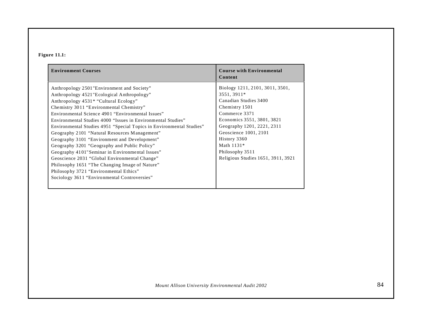# **Figure 11.1:**

| <b>Environment Courses</b>                                                                                                                                                                                                                                                                                                                                                                                                                                                                                                                                                                                                                                                                                                                                                     | <b>Course with Environmental</b><br>Content                                                                                                                                                                                                                                              |
|--------------------------------------------------------------------------------------------------------------------------------------------------------------------------------------------------------------------------------------------------------------------------------------------------------------------------------------------------------------------------------------------------------------------------------------------------------------------------------------------------------------------------------------------------------------------------------------------------------------------------------------------------------------------------------------------------------------------------------------------------------------------------------|------------------------------------------------------------------------------------------------------------------------------------------------------------------------------------------------------------------------------------------------------------------------------------------|
| Anthropology 2501 "Environment and Society"<br>Anthropology 4521 "Ecological Anthropology"<br>Anthropology 4531* "Cultural Ecology"<br>Chemistry 3011 "Environmental Chemistry"<br>Environmental Science 4901 "Environmental Issues"<br>Environmental Studies 4000 "Issues in Environmental Studies"<br>Environmental Studies 4951 "Special Topics in Environmental Studies"<br>Geography 2101 "Natural Resources Management"<br>Geography 3101 "Environment and Development"<br>Geography 3201 "Geography and Public Policy"<br>Geography 4101" Seminar in Environmental Issues"<br>Geoscience 2031 "Global Environmental Change"<br>Philosophy 1651 "The Changing Image of Nature"<br>Philosophy 3721 "Environmental Ethics"<br>Sociology 3611 "Environmental Controversies" | Biology 1211, 2101, 3011, 3501,<br>3551, 3911*<br>Canadian Studies 3400<br>Chemistry 1501<br>Commerce 3371<br>Economics 3551, 3801, 3821<br>Geography 1201, 2221, 2311<br>Geoscience 1001, 2101<br>History 3360<br>Math $1131*$<br>Philosophy 3511<br>Religious Studies 1651, 3911, 3921 |
|                                                                                                                                                                                                                                                                                                                                                                                                                                                                                                                                                                                                                                                                                                                                                                                |                                                                                                                                                                                                                                                                                          |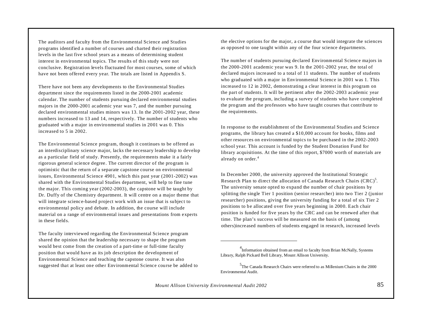The auditors and faculty from the Environmental Science and Studies programs identified a number of courses and charted their registration levels in the last five school years as a means of determining student interest in environmental topics. The results of this study were not conclusive. Registration levels fluctuated for most courses, some of which have not been offered every year. The totals are listed in Appendix S.

There have not been any developments to the Environmental Studies department since the requirements listed in the 2000-2001 academic calendar. The number of students pursuing declared environmental studies majors in the 2000-2001 academic year was 7, and the number pursuing declared environmental studies minors was 13. In the 2001-2002 year, these numbers increased to 13 and 14, respectively. The number of students who graduated with a major in environmental studies in 2001 was 0. This increased to 5 in 2002.

The Environmental Science program, though it continues to be offered as an interdisciplinary science major, lacks the necessary leadership to develop as a particular field of study. Presently, the requirements make it a fairly rigorous general science degree. The current director of the program is optimistic that the return of a separate capstone course on environmental issues, Environmental Science 4901, which this past year (2001-2002) was shared with the Environmental Studies department, will help to fine tune the major. This coming year (2002-2003), the capstone will be taught by Dr. Duffy of the Chemistry department. It will centre on a major theme that will integrate science-based project work with an issue that is subject to environmental policy and debate. In addition, the course will include material on a range of environmental issues and presentations from experts in these fields.

The faculty interviewed regarding the Environmental Science program shared the opinion that the leadership necessary to shape the program would best come from the creation of a part-time or full-time faculty position that would have as its job description the development of Environmental Science and teaching the capstone course. It was also suggested that at least one other Environmental Science course be added to the elective options for the major, a course that would integrate the sciences as opposed to one taught within any of the four science departments.

The number of students pursuing declared Environmental Science majors in the 2000-2001 academic year was 9. In the 2001-2002 year, the total of declared majors increased to a total of 11 students. The number of students who graduated with a major in Environmental Science in 2001 was 1. This increased to 12 in 2002, demonstrating a clear interest in this program on the part of students. It will be pertinent after the 2002-2003 academic year to evaluate the program, including a survey of students who have completed the program and the professors who have taught courses that contribute to the requirements.

In response to the establishment of the Environmental Studies and Science programs, the library has created a \$10,000 account for books, films and other resources on environmental topics to be purchased in the 2002-2003 school year. This account is funded by the Student Donation Fund for library acquisitions. At the time of this report, \$7000 worth of materials are already on order.<sup>4</sup>

In December 2000, the university approved the Institutional Strategic Research Plan to direct the allocation of Canada Research Chairs  $(CRC)^5$ . The university senate opted to expand the number of chair positions by splitting the single Tier 1 position (senior researcher) into two Tier 2 (junior researcher) positions, giving the university funding for a total of six Tier 2 positions to be allocated over five years beginning in 2000. Each chair position is funded for five years by the CRC and can be renewed after that time. The plan's success will be measured on the basis of (among others)increased numbers of students engaged in research, increased levels

<sup>&</sup>lt;sup>4</sup>Information obtained from an email to faculty from Brian McNally, Systems Library, Ralph Pickard Bell Library, Mount Allison University.

<sup>5</sup> The Canada Research Chairs were referred to as Millenium Chairs in the 2000 Environmental Audit.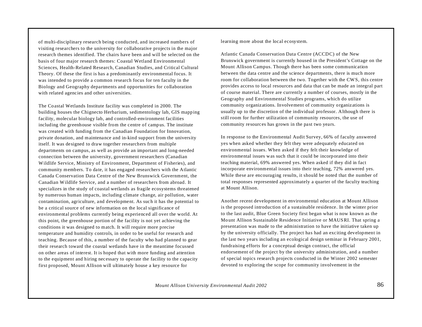of multi-disciplinary research being conducted, and increased numbers of visiting researchers to the university for collaborative projects in the major research themes identified. The chairs have been and will be selected on the basis of four major research themes: Coastal Wetland Environmental Sciences, Health-Related Research, Canadian Studies, and Critical Cultural Theory. Of these the first is has a predominantly environmental focus. It was intended to provide a common research focus for ten faculty in the Biology and Geography departments and opportunities for collaboration with related agencies and other universities.

The Coastal Wetlands Institute facility was completed in 2000. The building houses the Chignecto Herbarium, sedimentology lab, GIS mapping facility, molecular biology lab, and controlled-environment facilities including the greenhouse visible from the centre of campus. The institute was created with funding from the Canadian Foundation for Innovation, private donation, and maintenance and in-kind support from the university itself. It was designed to draw together researchers from multiple departments on campus, as well as provide an important and long-needed connection between the university, government researchers (Canadian Wildlife Service, Ministry of Environment, Department of Fisheries), and community members. To date, it has engaged researchers with the Atlantic Canada Conservation Data Centre of the New Brunswick Government, the Canadian W ildlife Service, and a number of researchers from abroad. It specializes in the study of coastal wetlands as fragile ecosystems threatened by numerous human impacts, including climate change, air pollution, water contamination, agriculture, and development. As such it has the potential to be a critical source of new information on the local significance of environmental problems currently being experienced all over the world. At this point, the greenhouse portion of the facility is not yet achieving the conditions it was designed to match. It will require more precise temperature and humidity controls, in order to be useful for research and teaching. Because of this, a number of the faculty who had planned to gear their research toward the coastal wetlands have in the meantime focussed on other areas of interest. It is hoped that with more funding and attention to the equipment and hiring necessary to operate the facility to the capacity first proposed, Mount Allison will ultimately house a key resource for

learning more about the local ecosystem.

Atlantic Canada Conservation Data Centre (ACCDC) of the New Brunswick government is currently housed in the President's Cottage on the Mount Allison Campus. Though there has been some communication between the data centre and the science departments, there is much more room for collaboration between the two. Together with the CW S, this centre provides access to local resources and data that can be made an integral part of course material. There are currently a number of courses, mostly in the Geography and Environmental Studies programs, which do utilize community organizations. Involvement of community organizations is usually up to the discretion of the individual professor. Although there is still room for further utilization of community resources, the use of community resources has grown in the past two years.

In response to the Environmental Audit Survey, 66% of faculty answered yes when asked whether they felt they were adequately educated on environmental issues. When asked if they felt their knowledge of environmental issues was such that it could be incorporated into their teaching material, 69% answered yes. When asked if they did in fact incorporate environmental issues into their teaching, 72% answered yes. While these are encouraging results, it should be noted that the number of total responses represented approximately a quarter of the faculty teaching at Mount Allison.

Another recent development in environmental education at Mount Allison is the proposed introduction of a sustainable residence. In the winter prior to the last audit, Blue Green Society first began what is now known as the Mount Allison Sustainable Residence Initiative or MAUSRI. That spring a presentation was made to the administration to have the initiative taken up by the university officially. The project has had an exciting development in the last two years including an ecological design seminar in February 2001, fundraising efforts for a conceptual design contract, the official endorsement of the project by the university administration, and a number of special topics research projects conducted in the Winter 2002 semester devoted to exploring the scope for community involvement in the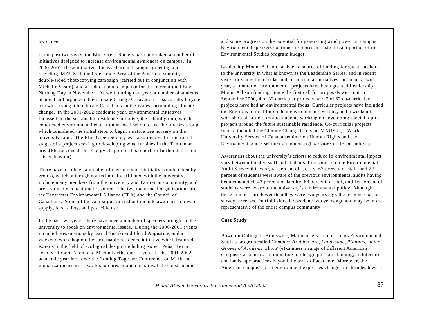residence.

In the past two years, the Blue Green Society has undertaken a number of initiatives designed to increase environmental awareness on campus. In 2000-2001, these initiatives focussed around campus greening and recycling, MAUSRI, the Free Trade Area of the Americas summit, a double-sided photocopying campaign (carried out in conjunction with Michelle Strain), and an educational campaign for the international Buy Nothing Day in November. As well, during that year, a number of students planned and organized the Climate Change Caravan, a cross country bicycle trip which sought to educate Canadians on the issues surrounding climate change. In the 2001-2002 academic year, environmental initiatives focussed on the sustainable residence initiative, the school group, which conducted environmental education in local schools, and the forestry group, which completed the initial steps to begin a native tree nursery on the university farm. The Blue Green Society was also involved in the initial stages of a project seeking to developing wind turbines in the Tantramar area.(Please consult the Energy chapter of this report for further details on this endeavour).

There have also been a number of environmental initiatives undertaken by groups, which, although not technically affiliated with the university, include many members from the university and Tantramar community, and are a valuable educational resource. The two main local organizations are the Tantramar Environmental Alliance (TEA) and the Council of Canadians. Some of the campaigns carried out include awareness on water supply, food safety, and pesticide use.

In the past two years, there have been a number of speakers brought to the university to speak on environmental issues. During the 2000-2001 events included presentations by David Suzuki and Lloyd Augustine, and a weekend workshop on the sustainable residence initiative which featured experts in the field of ecological design, including Robert Peña, Kevin Jeffrey, Robert Eaton, and Martin Liefhebber. Events in the 2001-2002 academic year included: the Coming Together Conference on Maritime globalization issues, a work shop presentation on straw bale construction,

and some progress on the potential for generating wind power on campus. Environmental speakers continues to represent a significant portion of the Environmental Studies program budget.

Leadership Mount Allison has been a source of funding for guest speakers to the university in what is known as the Leadership Series, and in recent years for student curricular and co-curricular initiatives. In the past two year, a number of environmental projects have been granted Leadership Mount Allison funding. Since the first call for proposals went out in September 2000, 4 of 32 curricular projects, and 7 of 62 co-curricular projects have had an environmental focus. Curricular projects have included the Environs journal for student environmental writing, and a weekend workshop of professors and students working on developing special topics projects around the future sustainable residence. Co-curricular projects funded included the Climate Change Caravan, MAUSRI, a World University Service of Canada seminar on Human Rights and the Environment, and a seminar on human rights abuses in the oil industry.

Awareness about the university's efforts to reduce its environmental impact vary between faculty, staff and students. In response to the Environmental Audit Survey this year, 42 percent of faculty, 67 percent of staff, and 22 percent of students were aware of the previous environmental audits having been conducted. 42 percent of faculty, 68 percent of staff, and 16 percent of students were aware of the university's environmental policy. Although these numbers are lower than they were two years ago, the response to the survey increased fourfold since it was done two years ago and may be more representative of the entire campus community.

#### **Case Study**

Bowdoin College in Brunswick, Maine offers a course in its Environmental Studies program called *Campus: Architecture, Landscape, Planning in the Groves of Academe* which"(e)xamines a range of different American campuses as a mirror in miniature of changing urban planning, architecture, and landscape practices beyond the walls of academe. Moreover, the American campus's built environment expresses changes in attitudes toward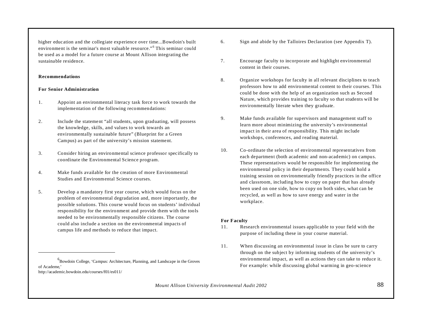higher education and the collegiate experience over time...Bowdoin's built environment is the seminar's most valuable resource."<sup>6</sup> This seminar could be used as a model for a future course at Mount Allison integrating the sustainable residence.

#### **Recommendations**

#### **For Senior Administration**

- 1. Appoint an environmental literacy task force to work towards the implementation of the following recommendations:
- 2. Include the statement "all students, upon graduating, will possess the knowledge, skills, and values to work towards an environmentally sustainable future" (Blueprint for a Green Campus) as part of the university's mission statement.
- 3. Consider hiring an environmental science professor specifically to coordinate the Environmental Science program.
- 4. Make funds available for the creation of more Environmental Studies and Environmental Science courses.
- 5. Develop a mandatory first year course, which would focus on the problem of environmental degradation and, more importantly, the possible solutions. This course would focus on students' individual responsibility for the environment and provide them with the tools needed to be environmentally responsible citizens. The course could also include a section on the environmental impacts of campus life and methods to reduce that impact.

<sup>6</sup>Bowdoin College, 'Campus: Architecture, Planning, and Landscape in the Groves of Academe,' http://academic.bowdoin.edu/courses/f01/es011/

- 6. Sign and abide by the Talloires Declaration (see Appendix T).
- 7. Encourage faculty to incorporate and highlight environmental content in their courses.
- 8. Organize workshops for faculty in all relevant disciplines to teach professors how to add environmental content to their courses. This could be done with the help of an organization such as Second Nature, which provides training to faculty so that students will be environmentally literate when they graduate.
- 9. Make funds available for supervisors and management staff to learn more about minimizing the university's environmental impact in their area of responsibility. This might include workshops, conferences, and reading material.
- 10. Co-ordinate the selection of environmental representatives from each department (both academic and non-academic) on campus. These representatives would be responsible for implementing the environmental policy in their departments. They could hold a training session on environmentally friendly practices in the office and classroom, including how to copy on paper that has already been used on one side, how to copy on both sides, what can be recycled, as well as how to save energy and water in the workplace.

#### **For Faculty**

- 11. Research environmental issues applicable to your field with the purpose of including these in your course material.
- 11. When discussing an environmental issue in class be sure to carry through on the subject by informing students of the university's environmental impact, as well as actions they can take to reduce it. For example: while discussing global warming in geo-science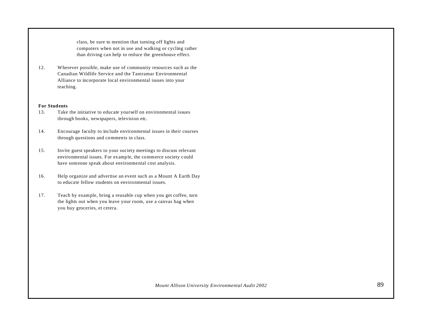class, be sure to mention that turning off lights and computers when not in use and walking or cycling rather than driving can help to reduce the greenhouse effect.

12. Wherever possible, make use of community resources such as the Canadian Wildlife Service and the Tantramar Environmental Alliance to incorporate local environmental issues into your teaching.

#### **For Students**

- 13. Take the initiative to educate yourself on environmental issues through books, newspapers, television etc.
- 14. Encourage faculty to include environmental issues in their courses through questions and comments in class.
- 15. Invite guest speakers to your society meetings to discuss relevant environmental issues. For example, the commerce society could have someone speak about environmental cost analysis.
- 16. Help organize and advertise an event such as a Mount A Earth Day to educate fellow students on environmental issues.
- 17. Teach by example, bring a reusable cup when you get coffee, turn the lights out when you leave your room, use a canvas bag when you buy groceries, et cetera.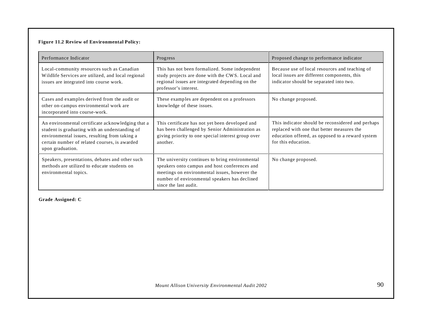# **Figure 11.2 Review of Environmental Policy:**

| Performance Indicator                                                                                                                                                                                                     | Progress                                                                                                                                                                                                                    | Proposed change to performance indicator                                                                                                                                   |
|---------------------------------------------------------------------------------------------------------------------------------------------------------------------------------------------------------------------------|-----------------------------------------------------------------------------------------------------------------------------------------------------------------------------------------------------------------------------|----------------------------------------------------------------------------------------------------------------------------------------------------------------------------|
| Local-community resources such as Canadian<br>Wildlife Services are utilized, and local regional<br>issues are integrated into course work.                                                                               | This has not been formalized. Some independent<br>study projects are done with the CWS. Local and<br>regional issues are integrated depending on the<br>professor's interest.                                               | Because use of local resources and teaching of<br>local issues are different components, this<br>indicator should be separated into two.                                   |
| Cases and examples derived from the audit or<br>other on-campus environmental work are<br>incorporated into course-work.                                                                                                  | These examples are dependent on a professors<br>knowledge of these issues.                                                                                                                                                  | No change proposed.                                                                                                                                                        |
| An environmental certificate acknowledging that a<br>student is graduating with an understanding of<br>environmental issues, resulting from taking a<br>certain number of related courses, is awarded<br>upon graduation. | This certificate has not yet been developed and<br>has been challenged by Senior Administration as<br>giving priority to one special interest group over<br>another.                                                        | This indicator should be reconsidered and perhaps<br>replaced with one that better measures the<br>education offered, as opposed to a reward system<br>for this education. |
| Speakers, presentations, debates and other such<br>methods are utilized to educate students on<br>environmental topics.                                                                                                   | The university continues to bring environmental<br>speakers onto campus and host conferences and<br>meetings on environmental issues, however the<br>number of environmental speakers has declined<br>since the last audit. | No change proposed.                                                                                                                                                        |

**Grade Assigned: C**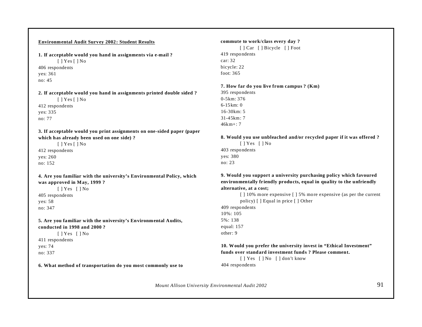### **Environmental Audit Survey 2002: Student Results**

**1. If acceptable would you hand in assignments via e-mail ?**  [ ] Yes [ ] No 406 respondents yes: 361 no: 45

**2. If acceptable would you hand in assignments printed double sided ?**  $[ ]$  Yes  $[ ]$  No 412 respondents yes: 335 no: 77

**3. If acceptable would you print assignments on one-sided paper (paper which has already been used on one side) ?**

[ ] Yes [ ] No 412 respondents yes: 260 no: 152

**4. Are you familiar with the university's Environmental Policy, which was approved in May, 1999 ?**

[ ] Yes [ ] No 405 respondents yes: 58 no: 347

**5. Are you familiar with the university's Environmental Audits, conducted in 1998 and 2000 ?**

[ ] Yes [ ] No 411 respondents yes: 74 no: 337

**6. What method of transportation do you most commonly use to**

#### **commute to work/class every day ?**

[ ] Car [ ] Bicycle [ ] Foot 419 respondents car: 32 bicycle: 22 foot: 365

#### **7. How far do you live from campus ? (Km)**

395 respondents 0-5km: 376 6-15km: 0 16-30km: 5 31-45km: 7 46km+: 7

**8. Would you use unbleached and/or recycled paper if it was offered ?** [ ] Yes [ ] No 403 respondents

yes: 380 no: 23

**9. Would you support a university purchasing policy which favoured environmentally friendly products, equal in quality to the unfriendly alternative, at a cost;**

> [ ] 10% more expensive [ ] 5% more expensive (as per the current policy) [ ] Equal in price [ ] Other

409 respondents 10%: 105 5%: 138 equal: 157 other: 9

### **10. Would you prefer the university invest in "Ethical Investment" funds over standard investment funds ? Please comment.**

[ ] Yes [ ] No [ ] don't know 404 respondents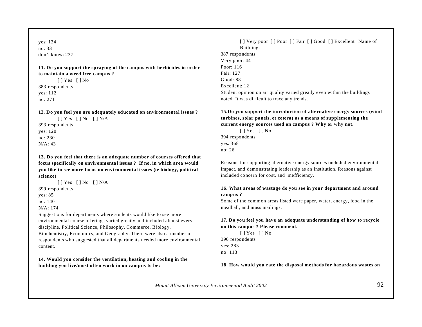yes: 134 no: 33 don't know: 237

**11. Do you support the spraying of the campus with herbicides in order to maintain a weed free campus ?**

[ ] Yes [ ] No 383 respondents yes: 112 no: 271

**12. Do you feel you are adequately educated on environmental issues ?**

 $[ ]$  Yes  $[ ]$  No  $[ ]$  N/A 393 respondents yes: 120 no: 230 N/A: 43

**13. Do you feel that there is an adequate number of courses offered that focus specifically on environmental issues ? If no, in which area would you like to see more focus on environmental issues (ie biology, political science)**

 $[ ]$  Yes  $[ ]$  No  $[ ]$  N/A

399 respondents

yes: 85 no: 140

N/A: 174

Suggestions for departments where students would like to see more environmental course offerings varied greatly and included almost every discipline. Political Science, Philosophy, Commerce, Biology, Biochemistry, Economics, and Geography. There were also a number of respondents who suggested that all departments needed more environmental content.

**14. Would you consider the ventilation, heating and cooling in the building you live/most often work in on campus to be:**

[ ] Very poor [ ] Poor [ ] Fair [ ] Good [ ] Excellent Name of Building: 387 respondents Very poor: 44 Poor: 116 Fair: 127 Good: 88 Excellent: 12 Student opinion on air quality varied greatly even within the buildings noted. It was difficult to trace any trends.

**15.Do you support the introduction of alternative energy sources (wind turbines, solar panels, et cetera) as a means of supplementing the current energy sources used on campus ? Why or why not.**

[ ] Yes [ ] No 394 respondents yes: 368 no: 26

Reasons for supporting alternative energy sources included environmental impact, and demonstrating leadership as an institution. Reasons against included concern for cost, and inefficiency.

### **16. What areas of wastage do you see in your department and around campus ?**

Some of the common areas listed were paper, water, energy, food in the mealhall, and mass mailings.

### **17. Do you feel you have an adequate understanding of how to recycle on this campus ? Please comment.**

[ ] Yes [ ] No 396 respondents yes: 283 no: 113

**18. How would you rate the disposal methods for hazardous wastes on**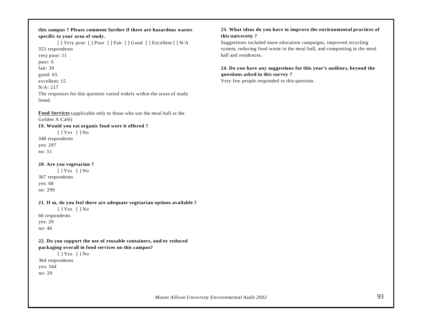### **this campus ? Please comment further if there are hazardous wastes specific to your area of study.**

[ ] Very poor [ ] Poor [ ] Fair [ ] Good [ ] Excellent [ ] N/A 353 respondents very poor: 11 poor: 6 fair: 39 good: 65 excellent: 15 N/A: 217 The responses for this question varied widely within the areas of study listed.

**Food Services** (applicable only to those who use the meal hall or the Golden A Café) **19. Would you eat organic food were it offered ?** [ ] Yes [ ] No

348 respondents yes: 297 no: 51

### **20. Are you vegetarian ?**

[ ] Yes [ ] No 367 respondents yes: 68 no: 299

### **21. If so, do you feel there are adequate vegetarian options available ?**

 $[ ] Yes ] No$ 66 respondents yes: 20 no: 46

**22. Do you support the use of reusable containers, and/or reduced packaging overall in food services on this campus?**

 $[$   $]$  Yes  $[$   $]$  No 364 respondents yes: 344 no: 20

### **23. What ideas do you have to improve the environmental practices of this university ?**

Suggestions included more education campaigns, improved recycling system, reducing food waste in the meal hall, and composting in the meal hall and residences.

# **24. Do you have any suggestions for this year's auditors, beyond the questions asked in this survey ?**

Very few people responded to this question.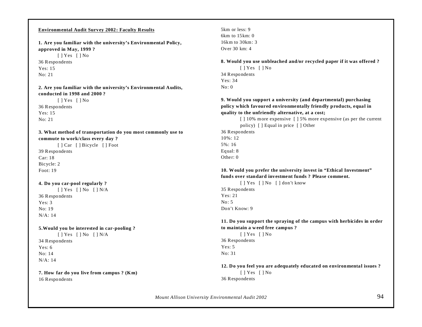#### **Environmental Audit Survey 2002: Faculty Results**

**1. Are you familiar with the university's Environmental Policy, approved in May, 1999 ?**

[ ] Yes [ ] No 36 Respondents Yes: 15 No: 21

**2. Are you familiar with the university's Environmental Audits, conducted in 1998 and 2000 ?**

[ ] Yes [ ] No 36 Respondents Yes: 15 No: 21

**3. What method of transportation do you most commonly use to commute to work/class every day ?**

[ ] Car [ ] Bicycle [ ] Foot 39 Respondents Car: 18 Bicycle: 2 Foot: 19

### **4. Do you car-pool regularly ?**

[ ] Yes [ ] No [ ] N/A 36 Respondents Yes: 3 No: 19 N/A: 14

**5.Would you be interested in car-pooling ?**

 $[ ]$  Yes  $[ ]$  No  $[ ]$  N/A 34 Respondents Yes: 6 No: 14 N/A: 14

**7. How far do you live from campus ? (Km)** 16 Respondents

5km or less: 9 6km to 15km: 0 16km to 30km: 3 Over 30 km: 4

### **8. Would you use unbleached and/or recycled paper if it was offered ?**

[ ] Yes [ ] No 34 Respondents Yes: 34  $No: 0$ 

### **9. Would you support a university (and departmental) purchasing policy which favoured environmentally friendly products, equal in quality to the unfriendly alternative, at a cost;**

[] 10% more expensive [] 5% more expensive (as per the current policy) [ ] Equal in price [ ] Other 36 Respondents 10%: 12 5%: 16 Equal: 8 Other: 0

### **10. Would you prefer the university invest in "Ethical Investment" funds over standard investment funds ? Please comment.**

[ ] Yes [ ] No [ ] don't know 35 Respondents Yes: 21 No: 5 Don't Know: 9

**11. Do you support the spraying of the campus with herbicides in order to maintain a weed free campus ?**

[ ] Yes [ ] No 36 Respondents Yes: 5 No: 31

**12. Do you feel you are adequately educated on environmental issues ?** [ ] Yes [ ] No 36 Respondents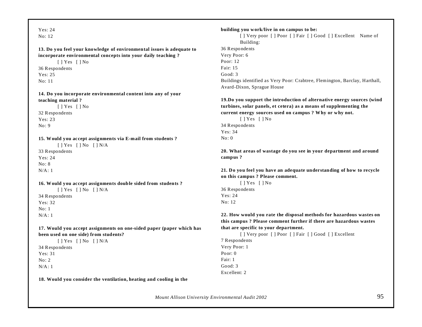Yes: 24 No: 12

**13. Do you feel your knowledge of environmental issues is adequate to incorporate environmental concepts into your daily teaching ?** 

[ ] Yes [ ] No 36 Respondents Yes: 25 No: 11

**14. Do you incorporate environmental content into any of your teaching material ?**

[ ] Yes [ ] No 32 Respondents Yes: 23 No: 9

**15. Would you accept assignments via E-mail from students ?**

 $[ ]$  Yes  $[ ]$  No  $[ ]$  N/A 33 Respondents Yes: 24 No: 8 N/A: 1

### **16. Would you accept assignments double sided from students ?**

[ ] Yes [ ] No [ ] N/A 34 Respondents Yes: 32 No: 1  $N/A:1$ 

**17. Would you accept assignments on one-sided paper (paper which has been used on one side) from students?**

 $[ ]$  Yes  $[ ]$  No  $[ ]$  N/A 34 Respondents Yes: 31 No: 2 N/A: 1

# **18. Would you consider the ventilation, heating and cooling in the**

### **building you work/live in on campus to be:**

[ ] Very poor [ ] Poor [ ] Fair [ ] Good [ ] Excellent Name of Building: 36 Respondents Very Poor: 6 Poor: 12 Fair: 15 Good: 3 Buildings identified as Very Poor: Crabtree, Flemington, Barclay, Harthall, Avard-Dixon, Sprague House

### **19.Do you support the introduction of alternative energy sources (wind turbines, solar panels, et cetera) as a means of supplementing the current energy sources used on campus ? Why or why not.**

[ ] Yes [ ] No 34 Respondents Yes: 34 No: 0

**20. What areas of wastage do you see in your department and around campus ?**

**21. Do you feel you have an adequate understanding of how to recycle on this campus ? Please comment.**

[ ] Yes [ ] No 36 Respondents Yes: 24 No: 12

**22. How would you rate the disposal methods for hazardous wastes on this campus ? Please comment further if there are hazardous wastes that are specific to your department.**

[ ] Very poor [ ] Poor [ ] Fair [ ] Good [ ] Excellent 7 Respondents Very Poor: 1 Poor: 0 Fair: 1 Good: 3 Excellent: 2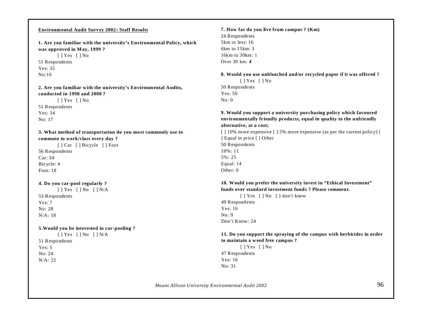#### **Environmental Audit Survey 2002: Staff Results**

**1. Are you familiar with the university's Environmental Policy, which was approved in May, 1999 ?**

[ ] Yes [ ] No 51 Respondents Yes: 35 No:16

**2. Are you familiar with the university's Environmental Audits, conducted in 1998 and 2000 ?**

[ ] Yes [ ] No 51 Respondents Yes: 34 No: 17

### **3. What method of transportation do you most commonly use to commute to work/class every day ?**

[ ] Car [ ] Bicycle [ ] Foot 56 Respondents Car: 34 Bicycle: 4 Foot: 18

### **4. Do you car-pool regularly ?**

[ ] Yes [ ] No [ ] N/A 53 Respondents Yes: 7 No: 28 N/A: 18

### **5.Would you be interested in car-pooling ?**

 $[ ]$  Yes  $[ ]$  No  $[ ]$  N/A 51 Respondents Yes: 5 No: 24 N/A: 22

### **7. How far do you live from campus ? (Km)** 24 Respondents 5km or less: 16 6km to 15km: 3 16km to 30km: 1 Over 30 km: **4**

### **8. Would you use unbleached and/or recycled paper if it was offered ?**

[ ] Yes [ ] No 50 Respondents Yes: 50  $No: 0$ 

### **9. Would you support a university purchasing policy which favoured environmentally friendly products, equal in quality to the unfriendly alternative, at a cost;**

[ ] 10% more expensive [ ] 5% more expensive (as per the current policy) [ ] Equal in price [ ] Other 50 Respondents 10%: 11 5%: 25 Equal: 14 Other: 0

### **10. Would you prefer the university invest in "Ethical Investment" funds over standard investment funds ? Please comment.**

[ ] Yes [ ] No [ ] don't know 49 Respondents Yes: 16 No: 9 Don't Know: 24

### **11. Do you support the spraying of the campus with herbicides in order to maintain a weed free campus ?**

[ ] Yes [ ] No 47 Respondents Yes: 16 No: 31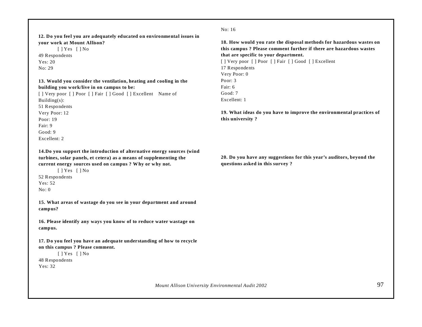**12. Do you feel you are adequately educated on environmental issues in your work at Mount Allison?**

[ ] Yes [ ] No 49 Respondents Yes: 20 No: 29

### **13. Would you consider the ventilation, heating and cooling in the building you work/live in on campus to be:**

[ ] Very poor [ ] Poor [ ] Fair [ ] Good [ ] Excellent Name of  $Building(s)$ : 51 Respondents Very Poor: 12 Poor: 19 Fair: 9 Good: 9 Excellent: 2

**14.Do you support the introduction of alternative energy sources (wind turbines, solar panels, et cetera) as a means of supplementing the current energy sources used on campus ? Why or why not.**

[ ] Yes [ ] No 52 Respondents Yes: 52 No: 0

**15. What areas of wastage do you see in your department and around campus?**

**16. Please identify any ways you know of to reduce water wastage on campus.**

**17. Do you feel you have an adequate understanding of how to recycle on this campus ? Please comment.**

[ ] Yes [ ] No 48 Respondents Yes: 32

#### No: 16

**18. How would you rate the disposal methods for hazardous wastes on this campus ? Please comment further if there are hazardous wastes that are specific to your department.**

[ ] Very poor [ ] Poor [ ] Fair [ ] Good [ ] Excellent 17 Respondents Very Poor: 0 Poor: 3 Fair: 6 Good: 7 Excellent: 1

**19. What ideas do you have to improve the environmental practices of this university ?**

**20. Do you have any suggestions for this year's auditors, beyond the questions asked in this survey ?**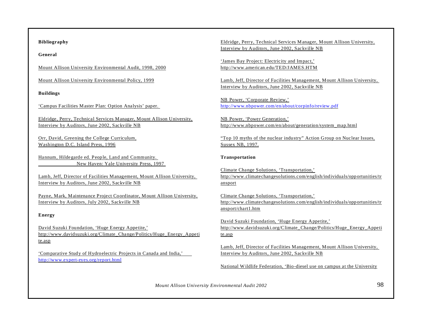### **Bibliography**

### **General**

Mount Allison University Environmental Audit, 1998, 2000

Mount Allison University Environmental Policy, 1999

### **Buildings**

'Campus Facilities Master Plan: Option Analysis' paper.

Eldridge, Perry, Technical Services Manager, Mount Allison University, Interview by Auditors, June 2002, Sackville NB

Orr, David, Greening the College Curriculum, Washington D.C. Island Press, 1996

Hannum, Hildegarde ed. People, Land and Community. New Haven: Yale University Press, 1997

Lamb, Jeff, Director of Facilities Management, Mount Allison University, Interview by Auditors, June 2002, Sackville NB

Payne, Mark, Maintenance Project Coordinator, Mount Allison University, Interview by Auditors, July 2002, Sackville NB

### **Energy**

David Suzuki Foundation, 'Huge Energy Appetite,' http://www.davidsuzuki.org/Climate\_Change/Politics/Huge\_Energy\_Appeti te.asp

'Comparative Study of Hydroelectric Projects in Canada and India,' http://www.expert-eyes.org/report.html

Eldridge, Perry, Technical Services Manager, Mount Allison University, Interview by Auditors, June 2002, Sackville NB

'James Bay Project: Electricity and Impact,' http://www.american.edu/TED/JAMES.HTM

Lamb, Jeff, Director of Facilities Management, Mount Allison University, Interview by Auditors, June 2002, Sackville NB

NB Power, 'Corporate Review,' http://www.nbpower.com/en/about/corpinfo/review.pdf

NB Power, 'Power Generation,' http://www.nbpower.com/en/about/generation/system\_map.html

"Top 10 myths of the nuclear industry" Action Group on Nuclear Issues, Sussex NB, 1997.

### **Transportation**

Climate Change Solutions, 'Transportation,' http://www.climatechangesolutions.com/english/individuals/opportunities/tr ansport

Climate Change Solutions, 'Transportation,' http://www.climatechangesolutions.com/english/individuals/opportunities/tr ansport/chart1.htm

David Suzuki Foundation, 'Huge Energy Appetite,' http://www.davidsuzuki.org/Climate\_Change/Politics/Huge\_Energy\_Appeti te.asp

Lamb, Jeff, Director of Facilities Management, Mount Allison University, Interview by Auditors, June 2002, Sackville NB

National Wildlife Federation, 'Bio-diesel use on campus at the University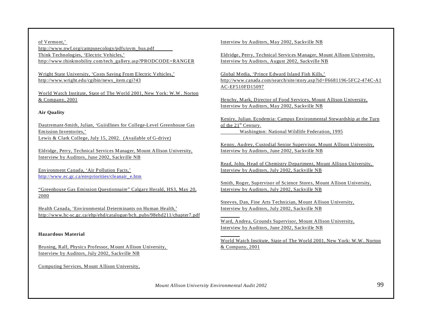of Vermont,'

http://www.nwf.org/campusecology/pdfs/uvm\_bus.pdf Think Technologies, 'Electric Vehicles,' http://www.thinkmobility.com/tech\_gallery.asp?PRODCODE=RANGER

Wright State University, 'Costs Saving From Electric Vehicles,' http://www.wright.edu/cgibin/news\_item.cgi?43

World Watch Institute, State of The World 2001, New York: W.W . Norton & Company, 2001

### **Air Quality**

Dautremant-Smith, Julian, 'Guiidlines for College-Level Greenhouse Gas Emission Inventories,' Lewis & Clark College, July 15, 2002. (Available of G-drive)

Eldridge, Perry, Technical Services Manager, Mount Allison University, Interview by Auditors, June 2002, Sackville NB

Environment Canada, 'Air Pollution Facts,' http://www.ec.gc.ca/envpriorities/cleanair\_e.htm

"Greenhouse Gas Emission Questionnaire" Calgary Herald, HS3, May 20, 2000

Health Canada, 'Environmental Determinants on Human Health,' http://www.hc-sc.gc.ca/ehp/ehd/catalogue/bch\_pubs/98ehd211/chapter7.pdf

#### **Hazardous Material**

Bruning, Ralf, Physics Professor, Mount Allison University, Interview by Auditors, July 2002, Sackville NB

Computing Services, Mount Allison University,

Interview by Auditors, May 2002, Sackville NB

Eldridge, Perry, Technical Services Manager, Mount Allison University, Interview by Auditors, August 2002, Sackville NB

Global Media, 'Prince Edward Island Fish Kills,' http://www.canada.com/search/site/story.asp?id=F6681196-5FC2-474C-A1 AC-EF510FD15097

Henchy, Mark, Director of Food Services, Mount Allison University, Interview by Auditors, May 2002, Sackville NB

Keniry, Julian. Ecodemia: Campus Environmental Stewardship at the Turn of the  $21<sup>st</sup>$  Century. Washington: National Wildlife Federation, 1995

Kenny, Audrey, Custodial Senior Supervisor, Mount Allison University, Interview by Auditors, June 2002, Sackville NB

Read, John, Head of Chemistry Department, Mount Allison University, Interview by Auditors, July 2002, Sackville NB

Smith, Roger, Supervisor of Science Stores, Mount Allison University, Interview by Auditors, July 2002, Sackville NB

Steeves, Dan, Fine Arts Technician, Mount Allison University, Interview by Auditors, July 2002, Sackville NB

Ward, Andrea, Grounds Supervisor, Mount Allison University, Interview by Auditors, June 2002, Sackville NB

World Watch Institute, State of The World 2001, New York: W.W . Norton & Company, 2001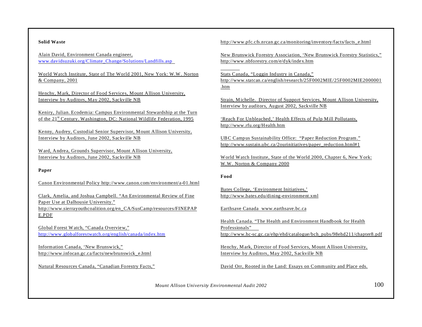### **Solid Waste**

Alain David, Environment Canada engineer, www.davidsuzuki.org/Climate\_Change/Solutions/Landfills.asp

World Watch Institute, State of The World 2001, New York: W.W . Norton & Company, 2001

Henchy, Mark, Director of Food Services, Mount Allison University, Interview by Auditors, May 2002, Sackville NB

Keniry, Julian. Ecodemia: Campus Environmental Stewardship at the Turn of the 21st Century. Washington, DC: National Wildlife Federation, 1995

Kenny, Audrey, Custodial Senior Supervisor, Mount Allison University, Interview by Auditors, June 2002, Sackville NB

Ward, Andrea, Grounds Supervisor, Mount Allison University, Interview by Auditors, June 2002, Sackville NB

#### **Paper**

Canon Environmental Policy http://www.canon.com/environment/a-01.html

Clark, Amelia, and Joshua Campbell. "An Environmental Review of Fine Paper Use at Dalhousie University." http://www.sierrayouthcoalition.org/en\_CA/SusCamp/resources/FINEPAP E.PDF

Global Forest Watch, "Canada Overview," http://www.globalforestwatch.org/english/canada/index.htm

Information Canada, 'New Brunswick," http://www.infocan.gc.ca/facts/newbrunswick\_e.html

Natural Resources Canada, "Canadian Forestry Facts,"

http://www.pfc.cfs.nrcan.gc.ca/monitoring/inventory/facts/facts\_e.html

New Brunswick Forestry Association, 'New Brunswick Forestry Statistics," http://www.nbforestry.com/e/dyk/index.htm

Stats Canada, "Loggin Industry in Canada," http://www.statcan.ca/english/research/25F0002MIE/25F0002MIE2000001 .htm

Strain, Michelle. Director of Support Services, Mount Allison University, Interview by auditors, August 2002, Sackville NB

'Reach For Unbleached,' Health Effects of Pulp Mill Pollutants, http://www.rfu.org/Health.htm

UBC Campus Sustainability Office: "Paper Reduction Program." http://www.sustain.ubc.ca/2ourinitiatives/paper\_reduction.html#1

World Watch Institute, State of the World 2000, Chapter 6, New York: W.W. Norton & Company 2000

#### **Food**

Bates College, 'Environment Initiatives,' http://www.bates.edu/dining-environment.xml

Earthsave Canada www.earthsave.bc.ca

Health Canada. "The Health and Environment Handbook for Health Professionals" http://www.hc-sc.gc.ca/ehp/ehd/catalogue/bch\_pubs/98ehd211/chapter8.pdf

Henchy, Mark, Director of Food Services, Mount Allison University, Interview by Auditors, May 2002, Sackville NB

David Orr, Rooted in the Land: Essays on Community and Place eds.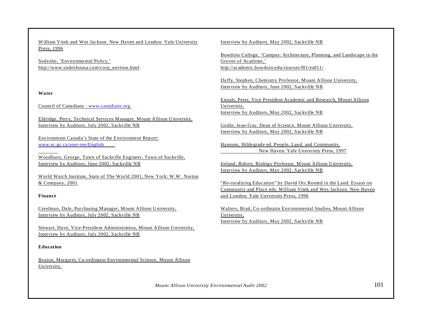William Vitek and Wes Jackson. New Haven and London: Yale University Press, 1996

Sodexho, 'Environmental Policy,' http://www.sodexhousa.com/corp\_environ.html

#### **Water**

Council of Canadians : www.canadians.org

Eldridge, Perry, Technical Services Manager, Mount Allison University, Interview by Auditors, July 2002, Sackville NB

Environment Canada's State of the Environment Report: www.ec.gc.ca/soer-ree/English

Woodburn, George, Town of Sackville Engineer, Town of Sackville, Interview by Auditors, June 2002, Sackville NB

World Watch Institute, State of The World 2001, New York: W.W . Norton & Company, 2001

#### **Finance**

Creelman, Dale, Purchasing Manager, Mount Allison University, Interview by Auditors, July 2002, Sackville NB

Stewart, Dave, Vice-President Administration, Mount Allison University, Interview by Auditors, July 2002, Sackville NB

#### **Education**

Beaton, Margaret, Co-ordinator Environmental Science, Mount Allison University,

Interview by Auditors, May 2002, Sackville NB

Bowdoin College, 'Campus: Architecture, Planning, and Landscape in the Groves of Academe,' http://academic.bowdoin.edu/courses/f01/es011/

Duffy, Stephen, Chemistry Professor, Mount Allison University, Interview by Auditors, June 2002, Sackville NB

Ennals, Peter, Vice President Academic and Research, Mount Allison University, Interview by Auditors, May 2002, Sackville NB

Godin, Jean-Guy, Dean of Science, Mount Allison University, Interview by Auditors, May 2002, Sackville NB

Hannum, Hildegrade ed. People, Land, and Community. New Haven: Yale University Press, 1997

Ireland, Robert, Biology Professor, Mount Allison University, Interview by Auditors, May 2002, Sackville NB

"Re-ruralizing Education" by David Orr.Rooted in the Land: Essays on Community and Place eds. William Vitek and Wes Jackson. New Haven and London: Yale University Press, 1996

Walters, Brad, Co-ordinator Environmental Studies, Mount Allison University, Interview by Auditors, May 2002, Sackville NB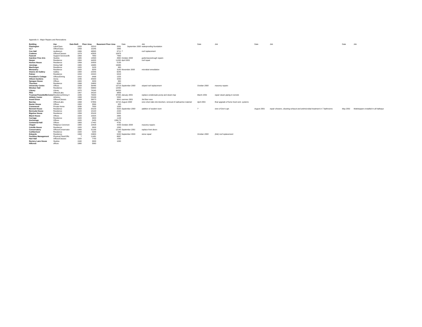#### Appendix A - Major Repairs and Renovations

| <b>Building</b>                           | Use                              | Date Built   | <b>Floor Area</b> | <b>Basement Floor Area</b> | Date               |                      | Job                                                          | Date                     | Job                                      | Date        | Job                                                                         | Date     | Job                                    |
|-------------------------------------------|----------------------------------|--------------|-------------------|----------------------------|--------------------|----------------------|--------------------------------------------------------------|--------------------------|------------------------------------------|-------------|-----------------------------------------------------------------------------|----------|----------------------------------------|
| Flemington                                | Labs/Class                       | 1933         | 32010             |                            | 3261               |                      | September 2000 waterproofing foundation                      |                          |                                          |             |                                                                             |          |                                        |
| <b>CLT</b>                                | Office/Class                     | 1958         | 10246             |                            | 2895               |                      |                                                              |                          |                                          |             |                                                                             |          |                                        |
| <b>Con Hall</b>                           | Auditorium                       | 1966         | 48565             |                            | 9711 ?             |                      | roof replacement                                             |                          |                                          |             |                                                                             |          |                                        |
| Crabtree                                  | Offices/Classes                  | 1979         | 43505             |                            | 10876              |                      |                                                              |                          |                                          |             |                                                                             |          |                                        |
| Fawcett                                   | Support Services/B               | 1960         | 7950              |                            | 7950               |                      |                                                              |                          |                                          |             |                                                                             |          |                                        |
| <b>Gairdner Fine Arts</b>                 | Studios                          | 1965         | 14593             |                            |                    | 4892 October 2000    | gutter/eavestrough repairs                                   |                          |                                          |             |                                                                             |          |                                        |
| Harper                                    | Residence                        | 1964         | 44000             |                            | 11000 April 2001   |                      | roof repair                                                  |                          |                                          |             |                                                                             |          |                                        |
| <b>Hunton House</b>                       | Residence                        | 1958         | 20500             |                            | 5130               |                      |                                                              |                          |                                          |             |                                                                             |          |                                        |
| Jennings                                  | Dining Hall                      | 1965         | 16685             |                            | 16685              |                      |                                                              |                          |                                          |             |                                                                             |          |                                        |
| MacGregor                                 | Residence                        | 1920         | 3100              |                            | 900                |                      |                                                              |                          |                                          |             |                                                                             |          |                                        |
| Monastery                                 | Residence                        | 1920         | 9200              |                            |                    | 3100 November 2000   | microbial remediation                                        |                          |                                          |             |                                                                             |          |                                        |
| Owens Art Gallery                         | Gallery                          | 1900         | 22546             |                            | 8245               |                      |                                                              |                          |                                          |             |                                                                             |          |                                        |
| Palmer                                    | Residence                        | 1934         | 24343             |                            | 6319               |                      |                                                              |                          |                                          |             |                                                                             |          |                                        |
| <b>President's Cottage</b>                | Offices/Dining                   | 1910         | 6468              |                            | 1325               |                      |                                                              |                          |                                          |             |                                                                             |          |                                        |
| <b>Allison Gardens</b>                    | Arena                            | 1946         | 25000             |                            | 3200               |                      |                                                              |                          |                                          |             |                                                                             |          |                                        |
| <b>Sprague House</b>                      | Offices                          | 1900         | 3200              |                            | 900                |                      |                                                              |                          |                                          |             |                                                                             |          |                                        |
| Thornton                                  | Residence                        | 1968         | 24800             |                            | 6200               |                      |                                                              |                          |                                          |             |                                                                             |          |                                        |
| <b>University Centre</b>                  | Offices                          | 1928         | 36446             |                            |                    | 10716 September 2000 | sloped roof replacement                                      | October 2000             | masonry repairs                          |             |                                                                             |          |                                        |
| <b>Windsor Hall</b>                       | Residence                        | 1962         | 59650             |                            | 12050              |                      |                                                              |                          |                                          |             |                                                                             |          |                                        |
| Library                                   | Library                          | 1970         | 76245             |                            | 34320              |                      |                                                              |                          |                                          |             |                                                                             |          |                                        |
| PEG                                       | Offices/Labs                     | 1957         | 34220             |                            | 9859               |                      |                                                              |                          |                                          |             |                                                                             |          |                                        |
| Trueman/Tweedie/McConn(Residence/Dining H |                                  | 1946         | 76000             |                            | 37000 January 2001 |                      | replace condensate pump and steam trap                       | March 2001               | repair steam piping in tunnels           |             |                                                                             |          |                                        |
| <b>Athletic Center</b>                    | Athletics                        | 1968         | 53169             |                            | 5302               |                      |                                                              |                          |                                          |             |                                                                             |          |                                        |
| <b>Avard Dixon</b>                        | Offices/Classes                  | 1958         | 36073             |                            |                    | 9641 summer 2001     | 3rd floor reno                                               |                          |                                          |             |                                                                             |          |                                        |
| Barclay                                   | Offices/Labs                     | 1968         | 57856             |                            | 15710 August 2000  |                      | reno chem labs into biochem, removal of radioactive material | April 2001               | final upgrade of fume hood vent. systems |             |                                                                             |          |                                        |
| <b>Baxter House</b>                       | Offices                          | 1900         | 3566              |                            | 925                |                      |                                                              |                          |                                          |             |                                                                             |          |                                        |
| Cranewood                                 | Private Home                     | 1836         | 7000              |                            | 1500               |                      |                                                              |                          |                                          |             |                                                                             |          |                                        |
| <b>Bennett House</b>                      | Residence                        | 1958         | 20100             |                            |                    | 5025 September 2000  | addition of student room                                     | $\overline{\phantom{a}}$ | reno of Don's apt.                       | August 2001 | repair showers, cleaning exhaust and antimicrobial treatment in 7 bathrooms | May 2001 | Wattstoppers installed in all hallways |
| <b>Bermuda House</b>                      | Residence                        | 1920         | 10140             |                            | 2220               |                      |                                                              |                          |                                          |             |                                                                             |          |                                        |
| <b>Bigelow House</b>                      | Residence                        | 1958         | 20100             |                            | 5025               |                      |                                                              |                          |                                          |             |                                                                             |          |                                        |
| <b>Black House</b>                        | Offices                          | 1920         | 10025             |                            | 2965               |                      |                                                              |                          |                                          |             |                                                                             |          |                                        |
| Carriage                                  | Residence                        | 1920         | 3303              |                            | 1128               |                      |                                                              |                          |                                          |             |                                                                             |          |                                        |
| Anchorage                                 | Offices<br>Offices               | 1920         | 5435              |                            | 1358.75            |                      |                                                              |                          |                                          |             |                                                                             |          |                                        |
| <b>Centennial Hall</b>                    |                                  | 1883         | 17442             |                            | 4791               |                      |                                                              |                          |                                          |             |                                                                             |          |                                        |
| Chapel                                    | Religious Ceremoni<br>Residence  | 1965         | 10428             |                            | 1500               | 4258 October 2000    | masonry repairs                                              |                          |                                          |             |                                                                             |          |                                        |
| <b>Colville House</b>                     |                                  | 1920<br>1966 | 3500<br>31166     |                            |                    |                      |                                                              |                          |                                          |             |                                                                             |          |                                        |
| Conservatory<br>Cuthbertson               | Offices/Conservator<br>Residence | 1920         | 5200              |                            | 500                | 12140 September 2001 | replace front doors                                          |                          |                                          |             |                                                                             |          |                                        |
| Edwards                                   | Residence                        |              |                   |                            |                    |                      |                                                              | October 2000             |                                          |             |                                                                             |          |                                        |
| <b>Facilities Management</b>              | Physical Plant/Offic             | 1968         | 24800<br>11481    |                            | 8697               | 6200 September 2000  | stone repair                                                 |                          | (link) roof replacement                  |             |                                                                             |          |                                        |
| <b>Hart Hall</b>                          | Offices/Classes                  | 1920         | 7750              |                            | 1550               |                      |                                                              |                          |                                          |             |                                                                             |          |                                        |
| <b>Rectory Lane House</b>                 | Studios                          | 1940         | 3000              |                            | 1000               |                      |                                                              |                          |                                          |             |                                                                             |          |                                        |
| <b>Hillcrest</b>                          | offices                          | 1880         | 3060              |                            |                    |                      |                                                              |                          |                                          |             |                                                                             |          |                                        |
|                                           |                                  |              |                   |                            |                    |                      |                                                              |                          |                                          |             |                                                                             |          |                                        |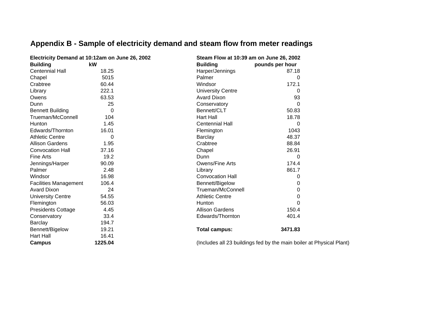|                              | Electricity Demand at 10:12am on June 26, 2002<br>kW | Steam Flow at 10:39 am on June 26, 2002 |                                                                      |  |
|------------------------------|------------------------------------------------------|-----------------------------------------|----------------------------------------------------------------------|--|
| <b>Building</b>              |                                                      | <b>Building</b>                         | pounds per hour                                                      |  |
| <b>Centennial Hall</b>       | 18.25                                                | Harper/Jennings                         | 87.18                                                                |  |
| Chapel                       | 5015                                                 | Palmer                                  | 0                                                                    |  |
| Crabtree                     | 60.44                                                | Windsor                                 | 172.1                                                                |  |
| Library                      | 222.1                                                | <b>University Centre</b>                | 0                                                                    |  |
| Owens                        | 63.53                                                | <b>Avard Dixon</b>                      | 93                                                                   |  |
| Dunn                         | 25                                                   | Conservatory                            | 0                                                                    |  |
| <b>Bennett Building</b>      | 0                                                    | Bennett/CLT                             | 50.83                                                                |  |
| Trueman/McConnell            | 104                                                  | <b>Hart Hall</b>                        | 18.78                                                                |  |
| <b>Hunton</b>                | 1.45                                                 | <b>Centennial Hall</b>                  | 0                                                                    |  |
| Edwards/Thornton             | 16.01                                                | Flemington                              | 1043                                                                 |  |
| <b>Athletic Centre</b>       | 0                                                    | <b>Barclay</b>                          | 48.37                                                                |  |
| <b>Allison Gardens</b>       | 1.95                                                 | Crabtree                                | 88.84                                                                |  |
| <b>Convocation Hall</b>      | 37.16                                                | Chapel                                  | 26.91                                                                |  |
| <b>Fine Arts</b>             | 19.2                                                 | Dunn                                    | $\Omega$                                                             |  |
| Jennings/Harper              | 90.09                                                | Owens/Fine Arts                         | 174.4                                                                |  |
| Palmer                       | 2.48                                                 | Library                                 | 861.7                                                                |  |
| Windsor                      | 16.98                                                | <b>Convocation Hall</b>                 | 0                                                                    |  |
| <b>Facilities Management</b> | 106.4                                                | Bennett/Bigelow                         | 0                                                                    |  |
| <b>Avard Dixon</b>           | 24                                                   | Trueman/McConnell                       | 0                                                                    |  |
| <b>University Centre</b>     | 54.55                                                | <b>Athletic Centre</b>                  | 0                                                                    |  |
| Flemington                   | 56.03                                                | Hunton                                  | 0                                                                    |  |
| <b>Presidents Cottage</b>    | 4.45                                                 | <b>Allison Gardens</b>                  | 150.4                                                                |  |
| Conservatory                 | 33.4                                                 | Edwards/Thornton                        | 401.4                                                                |  |
| <b>Barclay</b>               | 194.7                                                |                                         |                                                                      |  |
| Bennett/Bigelow              | 19.21                                                | <b>Total campus:</b>                    | 3471.83                                                              |  |
| <b>Hart Hall</b>             | 16.41                                                |                                         |                                                                      |  |
| <b>Campus</b>                | 1225.04                                              |                                         | (Includes all 23 buildings fed by the main boiler at Physical Plant) |  |

# **Appendix B - Sample of electricity demand and steam flow from meter readings**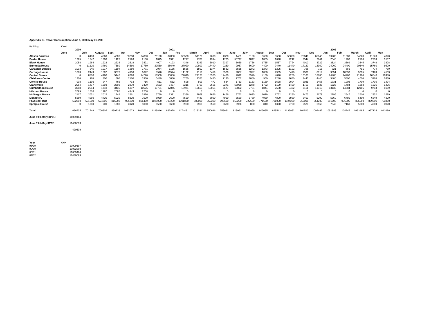#### **Appendix C - Power Consumption: June 1, 2000-May 31, 2002**

| Building                 | KwH      |          |        |        |        |         |         |        |        |        |         |        |        |        |        |        |        |         |          |            |        |        |        |        |        |
|--------------------------|----------|----------|--------|--------|--------|---------|---------|--------|--------|--------|---------|--------|--------|--------|--------|--------|--------|---------|----------|------------|--------|--------|--------|--------|--------|
|                          |          | 2000     |        |        |        |         |         |        | 2001   |        |         |        |        |        |        |        |        |         |          |            | 2002   |        |        |        |        |
|                          | June     | July     |        | August | Sept   | Oct     | Nov     | Dec    | Jan    | Feb    | March   | April  | Mav    | June   | July   | August | Sept   | Oct     | Nov      | Dec        | Jan    | Feb    | March  | April  | May    |
| <b>Allison Gardens</b>   |          | $\Omega$ | 6480   | 4560   | 4080   | 53280   | 64800   | 75120  | 32880  | 53520  | 51120   | 7680   | 4320   | 1451   | 3120   | 3600   | 3600   | 56880   | 75840    | 65040      | 59280  | 61680  | 64320  | 11520  | 4320   |
| <b>Baxter House</b>      |          | 1225     | 1247   | 1308   | 1428   | 2126    | 2108    | 1845   | 1941   | 1777   | 1706    | 1994   | 1725   | 50797  | 1847   | 1805   | 1628   | 2212    | 2544     | 2941       | 2040   | 1986   | 2106   | 2216   | 1567   |
| <b>Black House</b>       |          | 2058     | 1964   | 1923   | 2228   | 2618    | 3421    | 400    | 4193   | 4346   | 3349    | 3010   | 2397   | 5669   | 1766   | 1755   | 1557   | 2724    | 4010     | 3729       | 3824   | 3869   | 3345   | 3748   | 3308   |
| <b>Burmuda House</b>     |          |          | 11120  | 3760   | 7680   | 14560   | 17760   | 20560  | 28640  | 27920  | 20800   | 17440  | 9280   | 2957   | 5600   | 4400   | 7440   | 11440   | 17120    | 18960      | 24000  | 24400  | 20640  | 15760  | 9520   |
| <b>Canadian Studies</b>  |          | 1003     | 945    | 1017   | 1194   | 1650    | 1771    | 2074   | 1135   | 1566   | 1502    | 1374   | 1582   | 3565   | 1242   | 1243   | 1205   | 1192    | 798      | 716        | 721    | 865    | 791    | 774    | 730    |
| <b>Carriage House</b>    |          | 1863     | 2449   | 1587   | 3070   | 4906    | 6622    | 8576   | 11544  | 11162  | 1116    | 5459   | 3529   | 9887   | 3327   | 1888   | 2935   | 5478    | 7366     | 8012       | 9351   | 10630  | 9095   | 7428   | 4553   |
| <b>Central Stores</b>    |          | - 0      | 8800   | 4160   | 5440   | 6720    | 14720   | 16960  | 30080  | 27040  | 21120   | 18560  | 12480  | 2092   | 3520   | 4160   | 4640   | 7200    | 16160    | 18880      | 24480  | 24960  | 21920  | 16640  | 12480  |
| <b>Children's Centre</b> |          | 1200     | 920    | 800    | 880    | 2160    | 3360    | 5440   | 5880   | 5760   | 4320    | 3480   | 2120   | 2762   | 1080   | 960    | 1240   | 1640    | 3440     | 4440       | 5400   | 5800   | 4600   | 3280   | 2480   |
| <b>Colville House</b>    |          | 908      | 1196   | 947    | 765    | 733     | 716     | 611    | 562    | 508    | 503     | 477    | 584    | 1733   | 1153   | 1169   | 1628   | 2094    | 2021     | 1458       | 1731   | 1902   | 1709   | 1736   | 1474   |
| Cranewood                |          | 2064     | 1437   | 1293   | 2302   | 2879    | 3429    | 3553   | 3437   | 3215   | 2763    | 2665   | 2271   | 53958  | 1278   | 1792   | 1199   | 1490    | 1710     | 1837       | 1626   | 1484   | 1283   | 1526   | 1426   |
| <b>Cuthbertson House</b> |          | 3088     | 2584   | 1718   | 3436   | 6897    | 10625   | 13761  | 17845  | 15971  | 12663   | 10061  | 7677   | 16802  | 2731   | 1844   | 2588   | 5402    | 9111     | 11310      | 13139  | 14384  | 12166  | 9713   | 8109   |
| <b>Hillcrest House</b>   |          | 2699     | 1616   | 1297   | 2086   | 4343    | 2258    |        |        |        | -0      | - 0    |        |        | 0      |        |        | - 0     | $\Omega$ | $\epsilon$ |        |        |        | -0     |        |
| <b>McGregor House</b>    |          | 2117     | 2051   | 2015   | 1744   | 2561    | 2926    | 3789   | 2391   | 3386   | 2869    | 2656   | 1456   | 3762   | 1095   | 1079   | 1762   | 2280    | 2473     | 2179       | 2296   | 2547   | 2510   | 2352   | 1579   |
| Monastery                |          | 5680     | 4960   | 4720   | 5920   | 8320    | 7520    | 6960   | 7600   | 7520   | 7440    | 8000   | 4960   | 5520   | 5760   | 4960   | 4800   | 6960    | 6400     | 5200       | 5360   | 6480   | 6400   | 6640   | 4320   |
| <b>Physical Plant</b>    |          | 632800   | 65160  | 674800 | 16200  | 965200  | 896400  | 028000 | 05200  | 001800 | 880000  | 862200 | 695600 | 653200 | 722600 | 771600 | 791000 | 024200  | 950000   | 854200     | 891600 | 936600 | 896000 | 869200 | 753400 |
| <b>Sprague House</b>     |          |          | 1880   | 600    | 1280   | 3120    | 5080    | 8560   | 9600   | 8960   | 6960    | 5560   | 3680   | 3936   | 880    | 840    | 1320   | 2760    | 5520     | 6560       | 7040   | 7160   | 5600   | 4600   | 3920   |
| Total:                   |          | 656705   | 701249 | 706505 | 859733 | 1082073 | 1043516 | 199816 | 862928 | 117445 | 1018231 | 950616 | 75366  | 818091 | 756999 | 803095 | 828542 | 1133952 | 1104513  | 1005462    | 051888 | 104747 | 052485 | 957133 | 813186 |
| June 1'00-Mary 31'01:    | 11009484 |          |        |        |        |         |         |        |        |        |         |        |        |        |        |        |        |         |          |            |        |        |        |        |        |
| June 1'01-May 31'02:     |          | 11430093 |        |        |        |         |         |        |        |        |         |        |        |        |        |        |        |         |          |            |        |        |        |        |        |
|                          |          | 420609   |        |        |        |         |         |        |        |        |         |        |        |        |        |        |        |         |          |            |        |        |        |        |        |
|                          |          |          |        |        |        |         |         |        |        |        |         |        |        |        |        |        |        |         |          |            |        |        |        |        |        |

**Year**<br>98\99<br>99\00<br>00\01<br>01\02 r KwH 98\99 10909197 99\00 10962308 00\01 11009484 01\02 11430093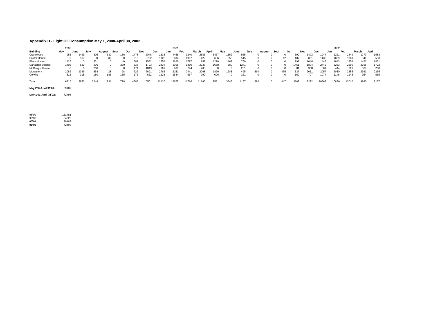### **Appendix D - Light Oil Consumption May 1, 2000-April 30, 2002**

|                         |     | 2000  |      |      |        |      |      |      |       | 2001  |       |            |       |     |      |      |     |        |      |     |      |      |       | 2002  |       |       |       |
|-------------------------|-----|-------|------|------|--------|------|------|------|-------|-------|-------|------------|-------|-----|------|------|-----|--------|------|-----|------|------|-------|-------|-------|-------|-------|
| <b>Building</b>         | Mav | June  | July |      | August | Sept | Oct  | Nov  | Dec   | Jan   | Feb   | March      | April | Mav | June | Julv |     | August | Sept | Oct | Nov  |      | Dec   | Jan   | Feb   | March | Apri' |
| Cranewood               |     | 985   | 1499 | 305  | 632    | 186  | 1478 | 2048 | 2633  | 4458  | 3240  | 2586       | 3467  |     | 1152 | 565  |     |        |      |     | 390  | 1403 | 1947  | 2221  | 2449  | 1770  | 1583  |
| <b>Baxter House</b>     |     |       | 167  |      | 86     |      | 613  | 752  | 1122  | 634   | 1067  | 1422       | 686   |     | 358  | 515  |     |        |      | 12  | 187  | 821  | 1139  | 1089  | 1081  | 841   | 583   |
| <b>Black House</b>      |     | 1426  |      | 531  |        |      | 581  | 1552 | 1554  | 2620  | 1797  | 1157       | 1218  |     | 467  | 769  |     |        |      |     | 997  | 1048 | 1448  | 1643  | 1854  | 1451  | 1071  |
| <b>Canadian Studies</b> |     | 1402  | 523  | 406  |        | 379  | 638  | 1793 | 2434  | 3308  | 1860  | 2237       | 1658  |     | 380  | 1241 |     |        |      |     | 1451 | 1894 | 2442  | 2263  | 2500  | 2165  | 1722  |
| McGregor House          |     |       |      | 268  |        |      | 174  | 1043 | 369   | 960   |       | 794<br>703 |       |     |      | 261  |     |        |      |     | 81   | 338  | 561   | 444   | 728   | 388   | 288   |
| Monastery               |     | 2082  | 1349 | 558  | 28     | 28   | 727  | 2691 | 2785  | 2151  | 2441  | 2068       | 1826  |     | 1288 | 495  | 694 |        |      | 435 | 337  | 2061 | 2057  | 2080  | 2255  | 2361  | 2265  |
| Colville                |     | 315   | 315  | 180  | 185    | 185  | 175  | 622  | 1223  | 1544  |       | 567<br>990 | 696   |     | n    | 321  |     |        |      |     | 159  | 707  | 1074  | 1146  | 1143  | 954   | 665   |
| Total:                  |     | 6210  | 3853 | 2248 | 931    | 778  | 4386 | 1050 | 12120 | 15675 | 11766 | 11163      | 9551  |     | 3645 | 4167 | 694 |        |      | 447 | 3602 | 8272 | 10668 | 10886 | 12010 | 9930  | 8177  |
| May1'00-April 31'01:    |     | 89182 |      |      |        |      |      |      |       |       |       |            |       |     |      |      |     |        |      |     |      |      |       |       |       |       |       |

**May 1'01-April 31'02:** 72498

| 98\99 | 151481 |
|-------|--------|
| 99\00 | 84220  |
| 00\01 | 89182  |
| 01\02 | 72498  |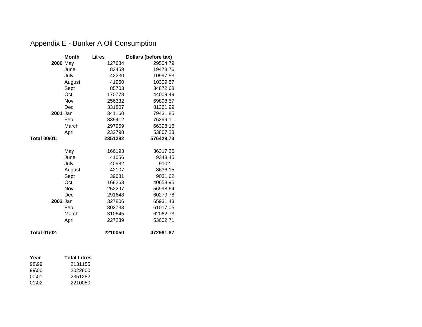# Appendix E - Bunker A Oil Consumption

|                     | <b>Month</b> | Litres  | Dollars (before tax) |
|---------------------|--------------|---------|----------------------|
| <b>2000 May</b>     |              | 127684  | 29504.79             |
|                     | June         | 83459   | 19478.76             |
|                     | July         | 42230   | 10997.53             |
|                     | August       | 41960   | 10309.57             |
|                     | Sept         | 85703   | 34872.68             |
|                     | Oct          | 170778  | 44009.49             |
|                     | Nov          | 256332  | 69898.57             |
|                     | Dec          | 331807  | 81361.99             |
| 2001 Jan            |              | 341160  | 79431.85             |
|                     | Feb          | 339412  | 76299.11             |
|                     | March        | 297959  | 66398.16             |
|                     | April        | 232798  | 53867.23             |
| <b>Total 00/01:</b> |              | 2351282 | 576429.73            |
|                     |              |         |                      |
|                     | May          | 166193  | 36317.26             |
|                     | June         | 41056   | 9348.45              |
|                     | July         | 40982   | 9102.1               |
|                     | August       | 42107   | 8636.15              |
|                     | Sept         | 39081   | 9031.62              |
|                     | Oct          | 168263  | 40653.95             |
|                     | Nov          | 252297  | 56998.64             |
|                     | Dec          | 291648  | 60279.78             |
| <b>2002 Jan</b>     |              | 327806  | 65931.43             |
|                     | Feb          | 302733  | 61017.05             |
|                     | March        | 310645  | 62062.73             |
|                     | April        | 227239  | 53602.71             |
| <b>Total 01/02:</b> |              | 2210050 | 472981.87            |

| Year  | <b>Total Litres</b> |
|-------|---------------------|
| 98\99 | 2131155             |
| 99\00 | 2022800             |
| 00/01 | 2351282             |
| 01/02 | 2210050             |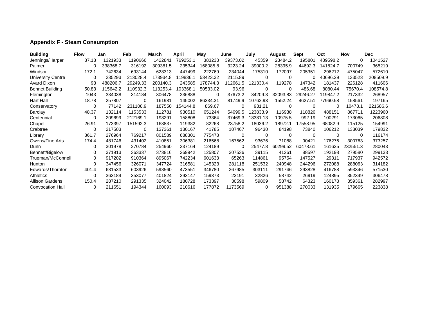## **Appendix F - Steam Consumption**

| <b>Building</b>         | <b>Flow</b> | Jan      | Feb      | <b>March</b> | April    | May      | June     | July     | August   | Sept     | Oct      | Nov      | <b>Dec</b> |
|-------------------------|-------------|----------|----------|--------------|----------|----------|----------|----------|----------|----------|----------|----------|------------|
| Jennings/Harper         | 87.18       | 1321933  | 1190666  | 1422841      | 769253.1 | 383233   | 39373.02 | 45359    | 23484.2  | 195801   | 489598.2 | 0        | 1041527    |
| Palmer                  | 0           | 338368.7 | 316192   | 309381.5     | 235344   | 168085.8 | 9223.24  | 39000.2  | 28395.9  | 44692.3  | 141824.7 | 700749   | 365219     |
| Windsor                 | 172.1       | 742634   | 693144   | 628313       | 447499   | 222769   | 234044   | 175310   | 172097   | 205351   | 296212   | 475047   | 572610     |
| University Centre       | $\Omega$    | 235293   | 213028.4 | 173934.8     | 19836.1  | 53423.32 | 2115.89  | 0        | 0        | 0        | 40696.29 | 133523   | 208509.9   |
| <b>Avard Dixon</b>      | 93          | 488206.7 | 29249.33 | 200140.3     | 243585   | 178744.3 | 112661.5 | 121330.4 | 119278   | 147342   | 181437   | 226128   | 411606     |
| <b>Bennet Building</b>  | 50.83       | 115642.2 | 110932.3 | 113253.4     | 103368.1 | 50533.02 | 93.96    | 0        | 0        | 486.68   | 8080.44  | 75670.4  | 108574.8   |
| Flemington              | 1043        | 334038   | 314184   | 306478       | 236888   | 0        | 37673.2  | 34209.3  | 32093.83 | 29246.27 | 119847.2 | 217332   | 268957     |
| Hart Hall               | 18.78       | 257807   | 0        | 161981       | 145002   | 86334.31 | 81749.9  | 10762.93 | 1552.24  | 4627.51  | 77960.58 | 158561   | 197165     |
| Conservatory            | 0           | 77142    | 231108.9 | 187550       | 154144.8 | 869.67   | 0        | 931.21   | 0        | 0        | 0        | 10478.1  | 221686.6   |
| Barclay                 | 48.37       | 132114   | 1153533  | 112781       | 930510   | 651244   | 54699.5  | 123833.9 | 116938   | 118826   | 488151   | 867711   | 1223960    |
| Centennial              | 0           | 209699   | 212169.1 | 198291       | 158808   | 73364    | 37469.3  | 18381.13 | 10975.5  | 992.19   | 100291   | 173065   | 206808     |
| Chapel                  | 26.91       | 173397   | 151592.3 | 163837       | 119382   | 82268    | 23758.2  | 18036.2  | 18972.1  | 17558.95 | 68082.9  | 115125   | 154991     |
| Crabtree                | 0           | 217503   | 0        | 137361       | 130167   | 41785    | 107467   | 96430    | 84198    | 73840    | 106212   | 133039   | 179832     |
| Library                 | 861.7       | 276964   | 769217   | 801589       | 688301   | 775478   | 0        | $\Omega$ | 0        | $\Omega$ | 0        | 0        | 116174     |
| Owens/Fine Arts         | 174.4       | 481746   | 431402   | 410851       | 306381   | 216568   | 167562   | 93676    | 71088    | 90421    | 176276   | 300763   | 373257     |
| Dunn                    | $\Omega$    | 301978   | 270784   | 254960       | 237164   | 124189   | 0        | 25477.8  | 60299.52 | 60478.61 | 161635   | 232551.3 | 280043     |
| Bennett/Bigelow         | 0           | 371913   | 363337   | 373816       | 269942   | 125807   | 307536   | 39115    | 41261    | 88597    | 192198   | 279580   | 299133     |
| Trueman/McConnell       | $\Omega$    | 917202   | 910364   | 895067       | 742234   | 601633   | 65263    | 114861   | 95754    | 147527   | 29311    | 717937   | 942572     |
| Hunton                  | $\Omega$    | 347456   | 326071   | 347724       | 316581   | 145323   | 281118   | 251532   | 240948   | 244296   | 272088   | 288063   | 314182     |
| Edwards/Thornton        | 401.4       | 681533   | 603926   | 598560       | 473551   | 346780   | 267985   | 303111   | 291746   | 293828   | 416788   | 593346   | 571530     |
| Athletics               | 0           | 363184   | 353077   | 401824       | 293147   | 159373   | 23191    | 32826    | 58742    | 26919    | 124895   | 352349   | 306478     |
| <b>Allison Gardens</b>  | 150.4       | 287210   | 291335   | 324042       | 180728   | 173397   | 30598    | 59809    | 58742    | 64323    | 160178   | 359361   | 282997     |
| <b>Convocation Hall</b> | 0           | 211651   | 194344   | 160093       | 210616   | 177872   | 1173569  | 0        | 951388   | 270033   | 131935   | 179665   | 223838     |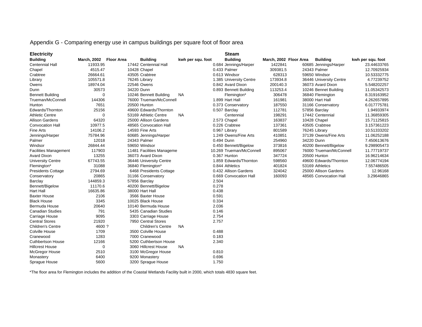Appendix G - Comparing energy use in campus buildings per square foot of floor area

| <b>Electricity</b>           |                        |                           |           |                   |            | <b>Steam</b>             |                        |            |                         |                   |
|------------------------------|------------------------|---------------------------|-----------|-------------------|------------|--------------------------|------------------------|------------|-------------------------|-------------------|
| <b>Building</b>              | March, 2002 Floor Area | <b>Building</b>           |           | kwh per squ. foot |            | <b>Building</b>          | March, 2002 Floor Area |            | <b>Building</b>         | kwh per squ. foot |
| <b>Centennial Hall</b>       | 11933.95               | 17442 Centennial Hall     |           |                   |            | 0.684 Jennings/Harper    | 1422841                |            | 60685 Jennings/Harper   | 23.44633765       |
| Chapel                       | 4515.47                | 10428 Chapel              |           |                   |            | 0.433 Palmer             | 309381.5               |            | 24343 Palmer            | 12.70925934       |
| Crabtree                     | 26664.61               | 43505 Crabtree            |           |                   |            | 0.613 Windsor            | 628313                 |            | 59650 Windsor           | 10.53332775       |
| Library                      | 105571.8               | 76245 Library             |           |                   |            | 1.385 University Centre  | 173934.8               |            | 36446 University Centre | 4.77239752        |
| Owens                        | 18974.04               | 22546 Owens               |           |                   |            | 0.842 Avard Dixon        | 200140.3               |            | 36073 Avard Dixon       | 5.548202257       |
| Dunn                         | 30573                  | 34220 Dunn                |           |                   |            | 0.893 Bennett Building   | 113253.4               |            | 10246 Bennet Building   | 11.05342573       |
| <b>Bennett Building</b>      | $\Omega$               | 10246 Bennett Building    | <b>NA</b> |                   |            | Flemington*              | 306478                 |            | 36840 Flemington        | 8.319163952       |
| Trueman/McConnell            | 144306                 | 76000 Trueman/McConnell   |           |                   |            | 1.899 Hart Hall          | 161981                 |            | 38000 Hart Hall         | 4.262657895       |
| Hunton                       | 7651                   | 20500 Hunton              |           |                   |            | 0.373 Conservatory       | 187550                 |            | 31166 Conservatory      | 6.017775781       |
| Edwards/Thornton             | 25156                  | 49600 Edwards/Thornton    |           |                   |            | 0.507 Barclay            | 112781                 |            | 57856 Barclay           | 1.94933974        |
| <b>Athletic Centre</b>       | $\mathbf 0$            | 53169 Athletic Centre     | <b>NA</b> |                   |            | Centennial               | 198291                 |            | 17442 Centennial        | 11.36859305       |
| <b>Allison Gardens</b>       | 64320                  | 25000 Allison Gardens     |           |                   |            | 2.573 Chapel             | 163837                 |            | 10428 Chapel            | 15.71125815       |
| <b>Convocation Hall</b>      | 10977.5                | 48565 Convocation Hall    |           |                   |            | 0.226 Crabtree           | 137361                 |            | 43505 Crabtree          | 3.157361223       |
| <b>Fine Arts</b>             | 14106.2                | 14593 Fine Arts           |           |                   |            | 0.967 Library            | 801589                 |            | 76245 Library           | 10.51333202       |
| Jennings/Harper              | 75784.96               | 60685 Jennings/Harper     |           |                   |            | 1.249 Owens/Fine Arts    | 410851                 |            | 37139 Owens/Fine Arts   | 11.06252188       |
| Palmer                       | 12018                  | 24343 Palmer              |           |                   | 0.494 Dunn |                          | 254960                 | 34220 Dunn |                         | 7.450613676       |
| Windsor                      | 26844.44               | 59650 Windsor             |           |                   |            | 0.450 Bennett/Bigelow    | 373816                 |            | 40200 Bennett/Bigelow   | 9.298905473       |
| <b>Facilities Management</b> | 117903                 | 11481 Facilities Manageme |           |                   |            | 10.269 Trueman/McConnell | 895067                 |            | 76000 Trueman/McConnell | 11.77719737       |
| Avard Dixon                  | 13255                  | 36073 Avard Dixon         |           |                   |            | 0.367 Hunton             | 347724                 |            | 20500 Hunton            | 16.96214634       |
| <b>University Centre</b>     | 67743.55               | 36446 University Centre   |           |                   |            | 1.859 Edwards/Thornton   | 598560                 |            | 49600 Edwards/Thornton  | 12.06774194       |
| Flemington*                  | 31088                  | 36840 Flemington*         |           |                   |            | 0.844 Athletics          | 401824                 |            | 53169 Athletics         | 7.557486505       |
| <b>Presidents Cottage</b>    | 2794.69                | 6468 Presidents Cottage   |           |                   |            | 0.432 Allison Gardens    | 324042                 |            | 25000 Allison Gardens   | 12.96168          |
| Conservatory                 | 20865                  | 31166 Conservatory        |           |                   |            | 0.669 Convocation Hall   | 160093                 |            | 48565 Convocation Hall  | 3.29646865        |
| Barclay                      | 144859.3               | 57856 Barclay             |           |                   | 2.504      |                          |                        |            |                         |                   |
| Bennett/Bigelow              | 11170.6                | 40200 Bennett/Bigelow     |           |                   | 0.278      |                          |                        |            |                         |                   |
| <b>Hart Hall</b>             | 16635.86               | 38000 Hart Hall           |           |                   | 0.438      |                          |                        |            |                         |                   |
| <b>Baxter House</b>          | 2106                   | 3566 Baxter House         |           |                   | 0.591      |                          |                        |            |                         |                   |
| <b>Black House</b>           | 3345                   | 10025 Black House         |           |                   | 0.334      |                          |                        |            |                         |                   |
| Bermuda House                | 20640                  | 10140 Bermuda House       |           |                   | 2.036      |                          |                        |            |                         |                   |
| <b>Canadian Studies</b>      | 791                    | 5435 Canadian Studies     |           |                   | 0.146      |                          |                        |            |                         |                   |
| Carriage House               | 9095                   | 3303 Carriage House       |           |                   | 2.754      |                          |                        |            |                         |                   |
| <b>Central Stores</b>        | 21920                  | 7950 Central Stores       |           |                   | 2.757      |                          |                        |            |                         |                   |
| <b>Children's Centre</b>     | 4600 ?                 | <b>Children's Centre</b>  | <b>NA</b> |                   |            |                          |                        |            |                         |                   |
| <b>Colville House</b>        | 1709                   | 3500 Colville House       |           |                   | 0.488      |                          |                        |            |                         |                   |
| Cranewood                    | 1283                   | 7000 Cranewood            |           |                   | 0.183      |                          |                        |            |                         |                   |
| <b>Cuthbertson House</b>     | 12166                  | 5200 Cuthbertson House    |           |                   | 2.340      |                          |                        |            |                         |                   |
| <b>Hillcrest House</b>       | 0                      | 3060 Hillcrest House      | <b>NA</b> |                   |            |                          |                        |            |                         |                   |
| <b>McGregor House</b>        | 2510                   | 3100 McGregor House       |           |                   | 0.810      |                          |                        |            |                         |                   |
| Monastery                    | 6400                   | 9200 Monastery            |           |                   | 0.696      |                          |                        |            |                         |                   |
| Sprague House                | 5600                   | 3200 Sprague House        |           |                   | 1.750      |                          |                        |            |                         |                   |

\*The floor area for Flemington includes the addition of the Coastal Wetlands Facility built in 2000, which totals 4830 square feet.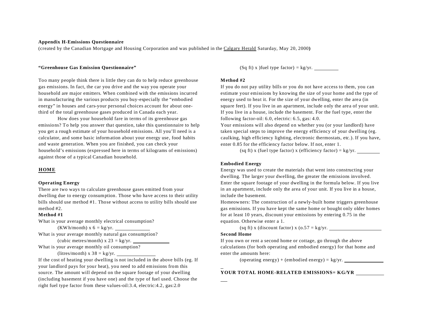#### **Appendix H-Emissions Questionnaire**

(created by the Canadian Mortgage and Housing Corporation and was published in the Calgary Herald Saturday, May 20, 2000**)**

#### **"Greenhouse Gas Emission Questionnaire"**

Too many people think there is little they can do to help reduce greenhouse gas emissions. In fact, the car you drive and the way you operate your household are major emitters. When combined with the emissions incurred in manufacturing the various products you buy-especially the "embodied energy" in houses and cars-your personal choices account for about onethird of the total greenhouse gases produced in Canada each year.

How does your household fare in terms of its greenhouse gas emissions? To help you answer that question, take this questionnaire to help you get a rough estimate of your household emissions. All you'll need is a calculator, and some basic information about your energy use, food habits and waste generation. When you are finished, you can check your household's emissions (expressed here in terms of kilograms of emissions) against those of a typical Canadian household.

#### **HOME**

#### **Operating Energy**

There are two ways to calculate greenhouse gases emitted from your dwelling due to energy consumption. Those who have access to their utility bills should use method #1. Those without access to utility bills should use method #2.

#### **Method #1**

What is your average monthly electrical consumption?

```
(KW h/month) x 6 = kg/yr.
```
What is your average monthly natural gas consumption?

```
(cubic metres/month) x 23 = \frac{kg}{yr}.
```
What is your average monthly oil consumption?

 $(litres/month)$  x 38 = kg/yr.

If the cost of heating your dwelling is not included in the above bills (eg. If your landlord pays for your heat), you need to add emissions from this source. The amount will depend on the square footage of your dwelling (including basement if you have one) and the type of fuel used. Choose the right fuel type factor from these values-oil:3.4, electric:4.2, gas:2.0

(Sq ft) x )fuel type factor) =  $\text{kg/yr}$ .

#### **Method #2**

If you do not pay utility bills or you do not have access to them, you can estimate your emissions by knowing the size of your home and the type of energy used to heat it. For the size of your dwelling, enter the area (in square feet). If you live in an apartment, include only the area of your unit. If you live in a house, include the basement. For the fuel type, enter the following factor-oil: 6.0, electric: 6.5, gas: 4.0.

Your emissions will also depend on whether you (or your landlord) have taken special steps to improve the energy efficiency of your dwelling (eg. caulking, high efficiency lighting, electronic thermostats, etc.). If you have, enter 0.85 for the efficiency factor below. If not, enter 1.

(sq ft) x (fuel type factor) x (efficiency factor) =  $\text{kg/yr}$ .

#### **Embodied Energy**

Energy was used to create the materials that went into constructing your dwelling. The larger your dwelling, the greater the emissions involved. Enter the square footage of your dwelling in the formula below. If you live in an apartment, include only the area of your unit. If you live in a house, include the basement.

Homeowners: The construction of a newly-built home triggers greenhouse gas emissions. If you have kept the same home or bought only older homes for at least 10 years, discount your emissions by entering 0.75 in the equation. Otherwise enter a 1.

(sq ft) x (discount factor) x ( $0.57 = \text{kg/yr}$ .

#### **Second Home**

If you own or rent a second home or cottage, go through the above calculations (for both operating and embodied energy) for that home and enter the amounts here:

(operating energy) + (embodied energy) =  $kg/yr$ .

#### **YOUR TOTAL HOME-RELATED EMISSIONS= KG/YR**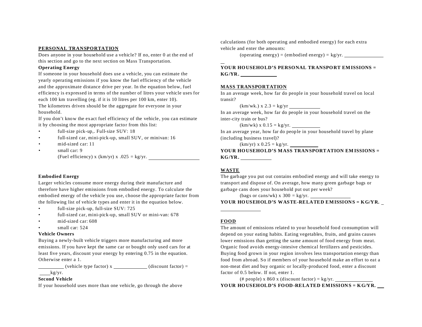#### **PERSONAL TRANSPORTATION**

Does anyone in your household use a vehicle? If no, enter 0 at the end of this section and go to the next section on Mass Transportation.

### **Operating Energy**

If someone in your household does use a vehicle, you can estimate the yearly operating emissions if you know the fuel efficiency of the vehicle and the approximate distance drive per year. In the equation below, fuel efficiency is expressed in terms of the number of litres your vehicle uses for each 100 km travelling (eg. if it is 10 litres per 100 km, enter 10). The kilometres driven should be the aggregate for everyone in your household.

If you don't know the exact fuel efficiency of the vehicle, you can estimate it by choosing the most appropriate factor from this list:

- full-size pick-up,. Full-size SUV: 18
- full-sized car, mini-pick-up, small SUV, or minivan: 16
- mid-sized car: 11
- small car: 9 (Fuel efficiency) x (km/yr) x  $.025 = \text{kg/yr}$ .

#### **Embodied Energy**

Larger vehicles consume more energy during their manufacture and therefore have higher emissions from embodied energy. To calculate the embodied energy of the vehicle you use, choose the appropriate factor from the following list of vehicle types and enter it in the equation below.

- full-size pick-up, full-size SUV: 725
- full-sized car, mini-pick-up, small SUV or mini-van: 678
- mid-sized car: 608
- small car: 524

#### **Vehicle Owners**

Buying a newly-built vehicle triggers more manufacturing and more emissions. If you have kept the same car or bought only used cars for at least five years, discount your energy by entering 0.75 in the equation. Otherwise enter a 1.

(vehicle type factor) x  $(discount factor) =$ kg/yr.

#### **Second Vehicle**

If your household uses more than one vehicle, go through the above

calculations (for both operating and embodied energy) for each extra vehicle and enter the amounts:

(operating energy) = (embodied energy) =  $kg/yr$ .

### **YOUR HOUSEHOLD'S PERSONAL TRANSPORT EMISSIONS = KG/YR.**

#### **MASS TRANSPORTATION**

In an average week, how far do people in your household travel on local transit?

 $(km/wk.)$  x  $2.3 = kg/yr$ 

In an average week, how far do people in your household travel on the inter-city train or bus?

 $(km/wk)$  x  $0.15 = kg/yr$ .

In an average year, how far do people in your household travel by plane (including business travel)?

 $(km/yr)$  x  $0.25 = kg/yr$ . **YOUR HOUSEHOLD'S MASS TRANSPORTATION EMISSIONS = KG/YR.** 

### **WASTE**

 $\overline{a}$ 

The garbage you put out contains embodied energy and will take energy to transport and dispose of. On average, how many green garbage bags or garbage cans does your household put out per week?

(bags or cans/wk) x  $300 = \text{kg/yr}$ .

**YOUR HOUSEHOLD'S WASTE-RELATED EMISSIONS = KG/YR.** 

#### **FOOD**

The amount of emissions related to your household food consumption will depend on your eating habits. Eating vegetables, fruits, and grains causes lower emissions than getting the same amount of food energy from meat. Organic food avoids energy-intesive chemical fertilizers and pesticides. Buying food grown in your region involves less transportation energy than food from abroad. So if members of your household make an effort to eat a non-meat diet and buy organic or locally-produced food, enter a discount factor of 0.5 below. If not, enter 1.

(# people) x 860 x (discount factor) =  $kg/yr$ .

**YOUR HOUSEHOLD'S FOOD-RELATED EMISSIONS = KG/YR.**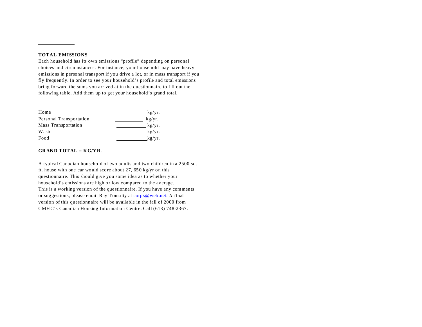#### **TOTAL EMISSIONS**

Each household has its own emissions "profile" depending on personal choices and circumstances. For instance, your household may have heavy emissions in personal transport if you drive a lot, or in mass transport if you fly frequently. In order to see your household's profile and total emissions bring forward the sums you arrived at in the questionnaire to fill out the following table. Add them up to get your household's grand total.

| Home                       | kg/yr. |
|----------------------------|--------|
| Personal Transportation    | kg/yr. |
| <b>Mass Transportation</b> | kg/yr. |
| Waste                      | kg/yr. |
| Food                       | kg/yr. |

#### **GRAND TOTAL = KG/YR.**

A typical Canadian household of two adults and two children in a 2500 sq. ft. house with one car would score about 27, 650 kg/yr on this questionnaire. This should give you some idea as to whether your household's emissions are high or low compared to the average. This is a working version of the questionnaire. If you have any comments or suggestions, please email Ray Tomalty at corps@web.net. A final version of this questionnaire will be available in the fall of 2000 from CMHC's Canadian Housing Information Centre. Call (613) 748-2367.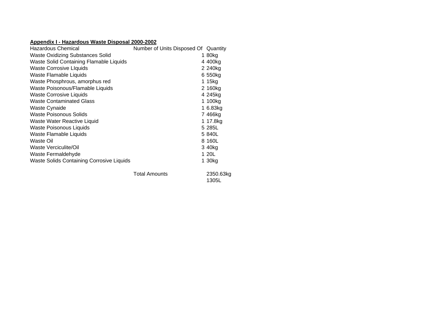## **Appendix I - Hazardous Waste Disposal 2000-2002**

| <b>Hazardous Chemical</b>                 | Number of Units Disposed Of Quantity |           |
|-------------------------------------------|--------------------------------------|-----------|
| <b>Waste Oxidizing Substances Solid</b>   |                                      | 1 80kg    |
| Waste Solid Containing Flamable Liquids   |                                      | 4 400kg   |
| <b>Waste Corrosive Llquids</b>            |                                      | 2 240kg   |
| Waste Flamable Liquids                    |                                      | 6 550kg   |
| Waste Phosphrous, amorphus red            |                                      | 1 15kg    |
| Waste Poisonous/Flamable Liquids          |                                      | 2 160kg   |
| <b>Waste Corrosive Liquids</b>            |                                      | 4 245kg   |
| <b>Waste Contaminated Glass</b>           |                                      | 1 100kg   |
| <b>Waste Cynaide</b>                      |                                      | 1 6.83kg  |
| Waste Poisonous Solids                    |                                      | 7 466kg   |
| Waste Water Reactive Liquid               |                                      | 1 17.8kg  |
| Waste Poisonous Liquids                   |                                      | 5 285L    |
| Waste Flamable Liquids                    |                                      | 5 840L    |
| Waste Oil                                 |                                      | 8 160L    |
| Waste Verciculite/Oil                     |                                      | 3 40kg    |
| Waste Fermaldehyde                        |                                      | 1 20L     |
| Waste Solids Containing Corrosive Liquids |                                      | 1 30kg    |
|                                           | <b>Total Amounts</b>                 | 2350.63kg |

1305L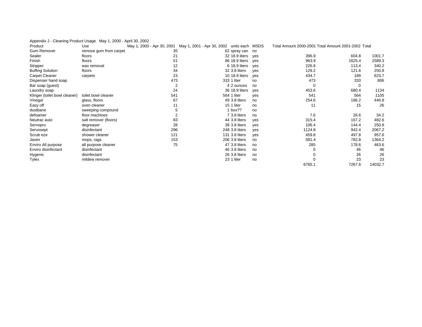#### Appendix J - Cleaning Product Usage May 1, 2000 - April 30, 2002

| Product                       | Use                    |     | May 1, 2000 - Apr 30, 2001 May 1, 2001 - Apr 30, 2002 units each MSDS |     |        | Total Amount 2000-2001 Total Amount 2001-2002 Total |         |
|-------------------------------|------------------------|-----|-----------------------------------------------------------------------|-----|--------|-----------------------------------------------------|---------|
| <b>Gum Remover</b>            | remove gum from carpet | 35  | 62 spray can                                                          | no  |        |                                                     |         |
| Sealer                        | floors                 | 21  | 32 18.9 liters                                                        | yes | 396.9  | 604.8                                               | 1001.7  |
| Finish                        | floors                 | 51  | 86 18.9 liters                                                        | yes | 963.9  | 1625.4                                              | 2589.3  |
| Stripper                      | wax removal            | 12  | 6 18.9 liters                                                         | ves | 226.8  | 113.4                                               | 340.2   |
| <b>Buffing Solution</b>       | floors                 | 34  | 32 3.8 liters                                                         | yes | 129.2  | 121.6                                               | 250.8   |
| <b>Carpet Cleaner</b>         | carpets                | 23  | 10 18.9 liters                                                        | yes | 434.7  | 189                                                 | 623.7   |
| Dispenser hand soap           |                        | 473 | 333 1 liter                                                           | no  | 473    | 333                                                 | 806     |
| Bar soap (guest)              |                        | 2   | 4 2 ounces                                                            | no  |        |                                                     |         |
| Laundry soap                  |                        | 24  | 36 18.9 liters                                                        | yes | 453.6  | 680.4                                               | 1134    |
| Klinger (toilet bowl cleaner) | toilet bowl cleaner    | 541 | 564 1 liter                                                           | yes | 541    | 564                                                 | 1105    |
| Vinegar                       | glass, floors          | 67  | 49 3.8 liters                                                         | no  | 254.6  | 186.2                                               | 440.8   |
| Easy off                      | oven cleaner           | 11  | 15 1 liter                                                            | no  | 11     | 15                                                  | 26      |
| dustbane                      | sweeping compound      | 5   | 1 box $??$                                                            | no  |        |                                                     |         |
| defoamer                      | floor machines         |     | 7 3.8 liters                                                          | no  | 7.6    | 26.6                                                | 34.2    |
| Neutrac auto                  | salt remover (floors)  | 83  | 44 3.8 liters                                                         | yes | 315.4  | 167.2                                               | 482.6   |
| Servopro                      | degreaser              | 28  | 38 3.8 liters                                                         | yes | 106.4  | 144.4                                               | 250.8   |
| Servosept                     | disinfectant           | 296 | 248 3.8 liters                                                        | yes | 1124.8 | 942.4                                               | 2067.2  |
| Scrub eze                     | shower cleaner         | 121 | 131 3.8 liters                                                        | yes | 459.8  | 497.8                                               | 957.6   |
| Javex                         | mops, rags             | 153 | 206 3.8 liters                                                        | no  | 581.4  | 782.8                                               | 1364.2  |
| Enviro All purpose            | all purpose cleaner    | 75  | 47 3.8 liters                                                         | no  | 285    | 178.6                                               | 463.6   |
| Enviro disinfectant           | disinfectant           |     | 46 3.8 liters                                                         | no  |        | 46                                                  | 46      |
| Hygenic                       | disinfectant           |     | 26 3.8 liters                                                         | no  |        | 26                                                  | 26      |
| Tylex                         | mildew remover         |     | 23 1 liter                                                            | no  |        | 23                                                  | 23      |
|                               |                        |     |                                                                       |     | 6765.1 | 7267.6                                              | 14032.7 |
|                               |                        |     |                                                                       |     |        |                                                     |         |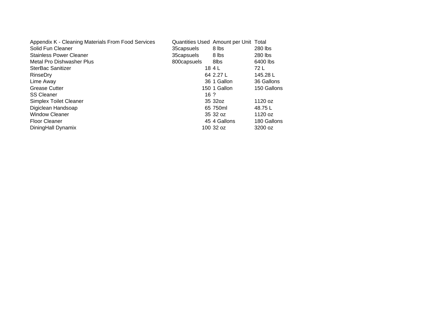| Appendix K - Cleaning Materials From Food Services |             | Quantities Used Amount per Unit Total |             |
|----------------------------------------------------|-------------|---------------------------------------|-------------|
| Solid Fun Cleaner                                  | 35capsuels  | 8 lbs                                 | 280 lbs     |
| <b>Stainless Power Cleaner</b>                     | 35capsuels  | 8 lbs                                 | 280 lbs     |
| Metal Pro Dishwasher Plus                          | 800capsuels | 8lbs                                  | 6400 lbs    |
| SterBac Sanitizer                                  |             | 18 4 L                                | 72 L        |
| RinseDry                                           |             | 64 2.27 L                             | 145.28 L    |
| Lime Away                                          |             | 36 1 Gallon                           | 36 Gallons  |
| <b>Grease Cutter</b>                               |             | 150 1 Gallon                          | 150 Gallons |
| <b>SS Cleaner</b>                                  | 16.7        |                                       |             |
| <b>Simplex Toilet Cleaner</b>                      |             | 35 32oz                               | 1120 oz     |
| Digiclean Handsoap                                 |             | 65 750ml                              | 48.75 L     |
| <b>Window Cleaner</b>                              |             | 35 32 oz                              | 1120 oz     |
| <b>Floor Cleaner</b>                               |             | 45 4 Gallons                          | 180 Gallons |
| DiningHall Dynamix                                 |             | 100 32 oz                             | 3200 oz     |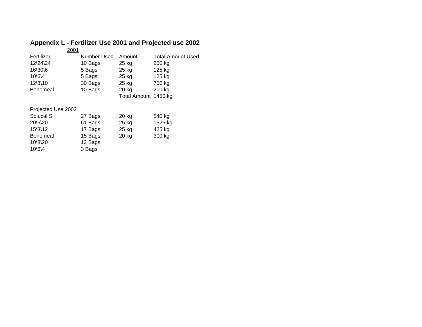| 2001               |             |                      |                   |
|--------------------|-------------|----------------------|-------------------|
| Fertilizer         | Number Used | Amount               | Total Amount Used |
| 12\24\24           | 10 Bags     | 25 kg                | 250 kg            |
| 16\30\6            | 5 Bags      | 25 kg                | 125 kg            |
| $10\,6\$           | 5 Bags      | 25 kg                | 125 kg            |
| 12\3\10            | 30 Bags     | 25 kg                | 750 kg            |
| Bonemeal           | 10 Bags     | 20 kg                | 200 kg            |
|                    |             | Total Amount 1450 kg |                   |
|                    |             |                      |                   |
| Projected Use 2002 |             |                      |                   |
| Solucal S          | 27 Bags     | 20 kg                | 540 kg            |
| 20\5\20            | 61 Bags     | 25 kg                | 1525 kg           |
| $15\frac{3}{12}$   | 17 Bags     | 25 kg                | 425 kg            |
| Bonemeal           | 15 Bags     | 20 kg                | 300 kg            |
| 10\8\20            | 13 Bags     |                      |                   |
| 10\6\4             | 3 Bags      |                      |                   |

# **Appendix L - Fertilizer Use 2001 and Projected use 2002**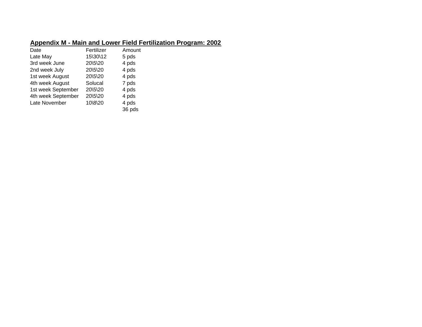# **Appendix M - Main and Lower Field Fertilization Program: 2002**

| Date               | Fertilizer | Amount |
|--------------------|------------|--------|
| Late May           | 15\30\12   | 5 pds  |
| 3rd week June      | 20\5\20    | 4 pds  |
| 2nd week July      | 20\5\20    | 4 pds  |
| 1st week August    | 20\5\20    | 4 pds  |
| 4th week August    | Solucal    | 7 pds  |
| 1st week September | 20\5\20    | 4 pds  |
| 4th week September | 20\5\20    | 4 pds  |
| Late November      | 10\8\20    | 4 pds  |
|                    |            | 36 pds |
|                    |            |        |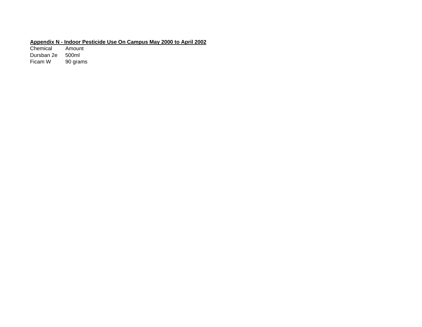## **Appendix N - Indoor Pesticide Use On Campus May 2000 to April 2002**

Chemical Amount Dursban 2e 500ml Ficam W 90 grams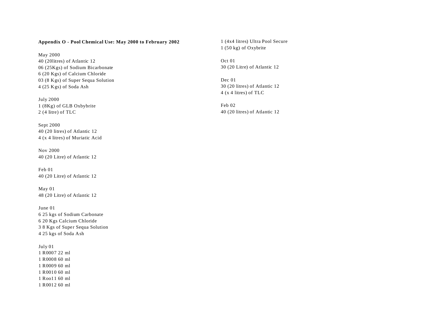### **Appendix O - Pool Chemical Use: May 2000 to February 2002**

May 2000 40 (20litres) of Atlantic 12 06 (25Kgs) of Sodium Bicarbonate 6 (20 Kgs) of Calcium Chloride 03 (8 Kgs) of Super Sequa Solution 4 (25 Kgs) of Soda Ash

July 2000 1 (8Kg) of GLB Oxbybrite 2 (4 litre) of TLC

Sept 2000 40 (20 litres) of Atlantic 12 4 (x 4 litres) of Muriatic Acid

Nov 2000 40 (20 Litre) of Atlantic 12

Feb 01 40 (20 Litre) of Atlantic 12

May 01 48 (20 Litre) of Atlantic 12

June 01 6 25 kgs of Sodium Carbonate 6 20 Kgs Calcium Chloride 3 8 Kgs of Super Sequa Solution 4 25 kgs of Soda Ash

July 01 1 R0007 22 ml 1 R0008 60 ml 1 R0009 60 ml 1 R0010 60 ml 1 Roo11 60 ml 1 R0012 60 ml

1 (4x4 litres) Ultra Pool Secure 1 (50 kg) of Oxybrite

Oct 01 30 (20 Litre) of Atlantic 12

Dec 01 30 (20 litres) of Atlantic 12 4 (x 4 litres) of TLC

Feb 02 40 (20 litres) of Atlantic 12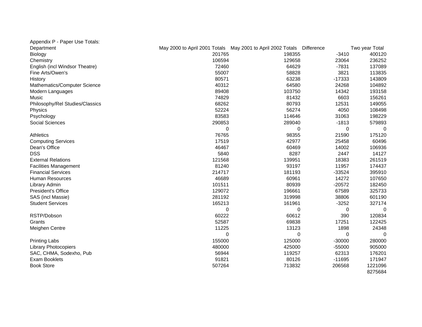| Appendix P - Paper Use Totals:  |                                                                        |        |             |                |
|---------------------------------|------------------------------------------------------------------------|--------|-------------|----------------|
| Department                      | May 2000 to April 2001 Totals May 2001 to April 2002 Totals Difference |        |             | Two year Total |
| <b>Biology</b>                  | 201765                                                                 | 198355 | $-3410$     | 400120         |
| Chemistry                       | 106594                                                                 | 129658 | 23064       | 236252         |
| English (incl Windsor Theatre)  | 72460                                                                  | 64629  | $-7831$     | 137089         |
| Fine Arts/Owen's                | 55007                                                                  | 58828  | 3821        | 113835         |
| History                         | 80571                                                                  | 63238  | $-17333$    | 143809         |
| Mathematics/Computer Science    | 40312                                                                  | 64580  | 24268       | 104892         |
| Modern Languages                | 89408                                                                  | 103750 | 14342       | 193158         |
| Music                           | 74829                                                                  | 81432  | 6603        | 156261         |
| Philosophy/Rel Studies/Classics | 68262                                                                  | 80793  | 12531       | 149055         |
| <b>Physics</b>                  | 52224                                                                  | 56274  | 4050        | 108498         |
| Psychology                      | 83583                                                                  | 114646 | 31063       | 198229         |
| Social Sciences                 | 290853                                                                 | 289040 | $-1813$     | 579893         |
|                                 | $\mathbf 0$                                                            | 0      | 0           | 0              |
| Athletics                       | 76765                                                                  | 98355  | 21590       | 175120         |
| <b>Computing Services</b>       | 17519                                                                  | 42977  | 25458       | 60496          |
| Dean's Office                   | 46467                                                                  | 60469  | 14002       | 106936         |
| <b>DSS</b>                      | 5840                                                                   | 8287   | 2447        | 14127          |
| <b>External Relations</b>       | 121568                                                                 | 139951 | 18383       | 261519         |
| <b>Facilities Management</b>    | 81240                                                                  | 93197  | 11957       | 174437         |
| <b>Financial Services</b>       | 214717                                                                 | 181193 | $-33524$    | 395910         |
| <b>Human Resources</b>          | 46689                                                                  | 60961  | 14272       | 107650         |
| Library Admin                   | 101511                                                                 | 80939  | $-20572$    | 182450         |
| <b>President's Office</b>       | 129072                                                                 | 196661 | 67589       | 325733         |
| SAS (incl Massie)               | 281192                                                                 | 319998 | 38806       | 601190         |
| <b>Student Services</b>         | 165213                                                                 | 161961 | $-3252$     | 327174         |
|                                 | 0                                                                      | 0      | 0           | 0              |
| RSTP/Dobson                     | 60222                                                                  | 60612  | 390         | 120834         |
| Grants                          | 52587                                                                  | 69838  | 17251       | 122425         |
| Meighen Centre                  | 11225                                                                  | 13123  | 1898        | 24348          |
|                                 | $\mathbf 0$                                                            | 0      | $\mathbf 0$ | 0              |
| <b>Printing Labs</b>            | 155000                                                                 | 125000 | $-30000$    | 280000         |
| <b>Library Photocopiers</b>     | 480000                                                                 | 425000 | $-55000$    | 905000         |
| SAC, CHMA, Sodexho, Pub         | 56944                                                                  | 119257 | 62313       | 176201         |
| <b>Exam Booklets</b>            | 91821                                                                  | 80126  | $-11695$    | 171947         |
| <b>Book Store</b>               | 507264                                                                 | 713832 | 206568      | 1221096        |
|                                 |                                                                        |        |             | 8275684        |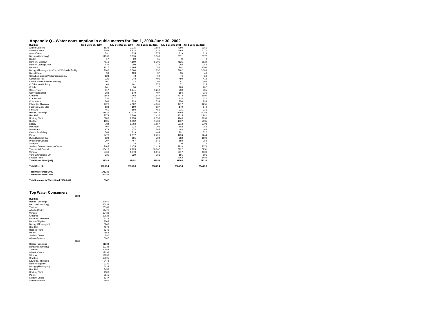#### **Appendix Q - Water consumption in cubic meters for Jan 1, 2000-June 30, 2002**

| <b>Building</b>                                              | Jan 1-June 30, 2000 | July 1 to Dec 31, 2000 | Jan 1-June 30, 2001 | July 1-Dec 31, 2001 | Jan 1-June 30, 2002 |
|--------------------------------------------------------------|---------------------|------------------------|---------------------|---------------------|---------------------|
| <b>Allison Gardens</b>                                       | 1832                | 3,315                  | 1,588               | 4399                | 2051                |
| <b>Athletic Centre</b>                                       | 8493                | 5,932                  | 7,424               | 4768                | 4271                |
| Avard-Dixon                                                  | 591                 | 335                    | 275                 | 319                 | 314                 |
| Barclay (Chemistry)                                          | 11338               | 9,095                  | 9,363               | 9971                | 8977                |
| Baxter                                                       | 17                  | 39                     | 61                  | O                   | $\mathbf 0$         |
| Bennett / Bigelow                                            | 4016                | 4.189                  | 5,205               | 4125                | 5829                |
| <b>Bennett Carriage Hse</b>                                  | 410                 | 309                    | 339                 | 292                 | 350                 |
| Bermuda                                                      | 1117                | 1.165                  | 1.154               | 992                 | 1000                |
| Biology (Flemington) + Coastal Wetlands Facility             | 2160                | 3,088                  | 1,952               | 3182                | 3,306               |
| <b>Black House</b>                                           | 90                  | 123                    | 37                  | 35                  | 43                  |
| Canadian Studies/Anchorage/External                          | 123                 | 43                     | 69                  | 46                  | 28                  |
| Centennial Hall                                              | 325                 | 248                    | 405                 | 450                 | 413                 |
| Central Stores/Fawcett Building                              | 101                 | 72                     | 92                  | 81                  | 102                 |
| <b>CLT/Bennett Building</b>                                  | 63                  | 101                    | 272                 | 72                  | 125                 |
| Colville                                                     | 241                 | 30                     | 17                  | 205                 | 202                 |
| Conservatory                                                 | 917                 | 1,041                  | 1,252               | 750                 | 585                 |
| Convocation Hall                                             | 384                 | 170                    | 407                 | 194                 | 336                 |
| Crabtree                                                     | 2554                | 7,468                  | 2,647               | 7978                | 1694                |
| Cranewood                                                    | 220                 | 227                    | 304                 | 114                 | 121                 |
| Cuthbertson                                                  | 288                 | 223                    | 334                 | 258                 | 299                 |
| Edwards / Thornton                                           | 4726                | 4.502                  | 4.061               | 4417                | 4251                |
| <b>Facilities Mgmt Bldg</b>                                  | 134                 | 109                    | 137                 | 140                 | 143                 |
| Fine Arts                                                    | 461                 | 598                    | 456                 | 331                 | 331                 |
| Harper / Jennings                                            | 11826               | 12,225                 | 10,815              | 11169               | 11288               |
| Hart Hall                                                    | 2374                | 2,296                  | 2,430               | 1025                | 3,941               |
| <b>Heating Plant</b>                                         | 3085                | 2.155                  | 2,555               | 1745                | 2635                |
| Hunton                                                       | 1935                | 1,952                  | 1,738               | 1967                | 2035                |
| Library                                                      | 782                 | 1,758                  | 1,657               | 2012                | 3703                |
| McGregor                                                     | 407                 | 324                    | 206                 | 182                 | 252                 |
| Monastery                                                    | 679                 | 474                    | 565                 | 488                 | 463                 |
| Owens Art Gallery                                            | 546                 | 919                    | 444                 | 291                 | 322                 |
| Palmer                                                       | 2476                | 2,377                  | 2,721               | 4224                | 2244                |
| Dunn Building/PEG                                            | 620                 | 655                    | 784                 | 952                 | 1600                |
| <b>Presidents Cottage</b>                                    | 207                 | 467                    | 645                 | 688                 | 258                 |
| Sprague                                                      | 24                  | 28                     | 14                  | 20                  | 15                  |
| <b>Student Centre/University Centre</b>                      | 2105                | 2,475                  | 2.419               | 2928                | 3078                |
| Trueman/McConnell                                            | 13418               | 6,725                  | 10,842              | 9722                | 6251                |
| Windsor                                                      | 6468                | 5,970                  | 6,116               | 6617                | 4800                |
| York St Children's Ctr                                       | 235                 | 229                    | 281                 | 191                 | 191                 |
| <b>Football Field</b>                                        |                     |                        |                     | 4963                | 1489                |
| Total Water Used (m3)                                        | 87788               | 83451                  | 82083               | 92303               | 79336               |
| Total Cost (\$)                                              | 70230.4             | 66760.8                | 65666.4             | 73842.4             | 63468.8             |
| <b>Total Water Used 2000</b><br><b>Total Water Used 2001</b> | 171239<br>174386    |                        |                     |                     |                     |
| Total Increase In Water Used 2000-2001                       | 3147                |                        |                     |                     |                     |

#### **Top Water Consumers**

|                           | 2000 |       |
|---------------------------|------|-------|
| <b>Building</b>           |      |       |
| Harper / Jennings         |      | 24051 |
| Barclay (Chemistry)       |      | 20433 |
| Trueman                   |      | 20143 |
| <b>Athletic Centre</b>    |      | 14425 |
| Windsor                   |      | 12438 |
| Crabtree                  |      | 10022 |
| Edwards / Thornton        |      | 9228  |
| Bennett/Bigelow           |      | 8205  |
| Biology (Flemington)      |      | 5248  |
| Hart Hall                 |      | 4670  |
| <b>Heating Plant</b>      |      | 5240  |
| Palmer                    |      | 4853  |
| Student Centre            |      | 4580  |
| <b>Allison Gardens</b>    |      | 5147  |
|                           | 2001 |       |
| Harper / Jennings         |      | 21984 |
| Barclav (Chemistry)       |      | 19334 |
| Trueman                   |      | 20564 |
| <b>Athletic Centre</b>    |      | 12192 |
| Windsor                   |      | 12733 |
| Crabtree                  |      | 10625 |
| <b>Edwards / Thornton</b> |      | 8478  |
| Bennett/Bigelow           |      | 9330  |
| Biology (Flemington)      |      | 5134  |
| Hart Hall                 |      | 3455  |
| <b>Heating Plant</b>      |      | 4300  |
| Palmer                    |      | 6945  |
| <b>Student Centre</b>     |      | 5347  |
| <b>Allison Gardens</b>    |      | 5957  |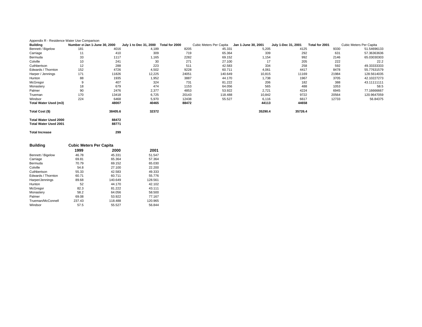#### Appendix R - Residence Water Use Comparison

**Total Increase 299**

| <b>Building</b>                                              |     | Number of Jan 1-June 30, 2000 | July 1 to Dec 31, 2000 | Total for 2000 | Cubic Meters Per Capita | Jan 1-June 30, 2001 | July 1-Dec 31, 2001 | Total for 2001 | Cubic Meters Per Capita |
|--------------------------------------------------------------|-----|-------------------------------|------------------------|----------------|-------------------------|---------------------|---------------------|----------------|-------------------------|
| Bennett / Bigelow                                            | 181 | 4016                          | 4,189                  | 8205           | 45.331                  | 5,205               | 4125                | 9330           | 51.54696133             |
| Carriage                                                     | 11  | 410                           | 309                    | 719            | 65.364                  | 339                 | 292                 | 631            | 57.36363636             |
| Bermuda                                                      | 33  | 1117                          | 1,165                  | 2282           | 69.152                  | 1,154               | 992                 | 2146           | 65.03030303             |
| Colville                                                     | 10  | 241                           | 30                     | 271            | 27.100                  | 17                  | 205                 | 222            | 22.2                    |
| Cuthbertson                                                  | 12  | 288                           | 223                    | 511            | 42.583                  | 334                 | 258                 | 592            | 49.33333333             |
| Edwards / Thornton                                           | 152 | 4726                          | 4,502                  | 9228           | 60.711                  | 4,061               | 4417                | 8478           | 55.77631579             |
| Harper / Jennings                                            | 171 | 11826                         | 12,225                 | 24051          | 140.649                 | 10,815              | 11169               | 21984          | 128.5614035             |
| Hunton                                                       | 88  | 1935                          | 1,952                  | 3887           | 44.170                  | 1,738               | 1967                | 3705           | 42.10227273             |
| McGregor                                                     | 9   | 407                           | 324                    | 731            | 81.222                  | 206                 | 182                 | 388            | 43.11111111             |
| Monastery                                                    | 18  | 679                           | 474                    | 1153           | 64.056                  | 565                 | 488                 | 1053           | 58.5                    |
| Palmer                                                       | 90  | 2476                          | 2,377                  | 4853           | 53.922                  | 2,721               | 4224                | 6945           | 77.16666667             |
| Trueman                                                      | 170 | 13418                         | 6,725                  | 20143          | 118.488                 | 10,842              | 9722                | 20564          | 120.9647059             |
| Windsor                                                      | 224 | 6468                          | 5,970                  | 12438          | 55.527                  | 6,116               | 6617                | 12733          | 56.84375                |
| Total Water Used (m3)                                        |     | 48007                         | 40465                  | 88472          |                         | 44113               | 44658               |                |                         |
| Total Cost (\$)                                              |     | 38405.6                       | 32372                  |                |                         | 35290.4             | 35726.4             |                |                         |
| <b>Total Water Used 2000</b><br><b>Total Water Used 2001</b> |     | 88472<br>88771                |                        |                |                         |                     |                     |                |                         |

| <b>Building</b>    | <b>Cubic Meters Per Capita</b> |         |         |  |  |
|--------------------|--------------------------------|---------|---------|--|--|
|                    | 1999                           | 2000    | 2001    |  |  |
| Bennett / Bigelow  | 46.78                          | 45.331  | 51.547  |  |  |
| Carriage           | 69.81                          | 65.364  | 57.364  |  |  |
| Bermuda            | 70.79                          | 69.152  | 65.030  |  |  |
| Colville           | 54.8                           | 27.100  | 22.200  |  |  |
| Cuthbertson        | 55.33                          | 42.583  | 49.333  |  |  |
| Edwards / Thornton | 60.71                          | 60.711  | 55.776  |  |  |
| Harper/Jennings    | 89.68                          | 140.649 | 128.561 |  |  |
| Hunton             | 52                             | 44.170  | 42.102  |  |  |
| McGregor           | 82.3                           | 81.222  | 43.111  |  |  |
| Monastery          | 58.2                           | 64.056  | 58.500  |  |  |
| Palmer             | 69.08                          | 53.922  | 77.167  |  |  |
| Trueman/McConnell  | 237.43                         | 118.488 | 120.965 |  |  |
| Windsor            | 57.5                           | 55.527  | 56.844  |  |  |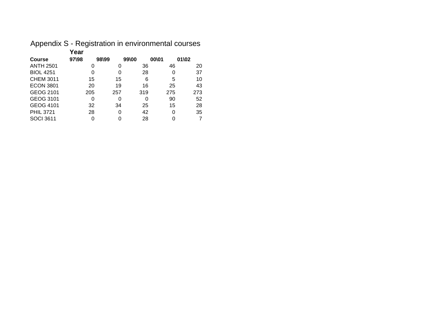|                  | Year  |       |       |       |       |
|------------------|-------|-------|-------|-------|-------|
| <b>Course</b>    | 97\98 | 98\99 | 99\00 | 00\01 | 01\02 |
| <b>ANTH 2501</b> |       | 0     | 36    | 46    | 20    |
| <b>BIOL 4251</b> |       | 0     | 28    | 0     | 37    |
| <b>CHEM 3011</b> | 15    | 15    | 6     | 5     | 10    |
| <b>ECON 3801</b> | 20    | 19    | 16    | 25    | 43    |
| GEOG 2101        | 205   | 257   | 319   | 275   | 273   |
| GEOG 3101        | 0     |       | 0     | 90    | 52    |
| GEOG 4101        | 32    | 34    | 25    | 15    | 28    |
| <b>PHIL 3721</b> | 28    | 0     | 42    | 0     | 35    |
| SOCI 3611        |       |       | 28    |       |       |

# Appendix S - Registration in environmental courses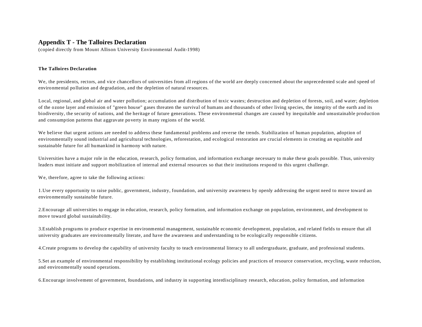## **Appendix T - The Talloires Declaration**

(copied directly from Mount Allison University Environmental Audit-1998)

#### **The Talloires Declaration**

We, the presidents, rectors, and vice chancellors of universities from all regions of the world are deeply concerned about the unprecedented scale and speed of environmental pollution and degradation, and the depletion of natural resources.

Local, regional, and global air and water pollution; accumulation and distribution of toxic wastes; destruction and depletion of forests, soil, and water; depletion of the ozone layer and emission of "green house" gases threaten the survival of humans and thousands of other living species, the integrity of the earth and its biodiversity, the security of nations, and the heritage of future generations. These environmental changes are caused by inequitable and unsustainable production and consumption patterns that aggravate poverty in many regions of the world.

We believe that urgent actions are needed to address these fundamental problems and reverse the trends. Stabilization of human population, adoption of environmentally sound industrial and agricultural technologies, reforestation, and ecological restoration are crucial elements in creating an equitable and sustainable future for all humankind in harmony with nature.

Universities have a major role in the education, research, policy formation, and information exchange necessary to make these goals possible. Thus, university leaders must initiate and support mobilization of internal and external resources so that their institutions respond to this urgent challenge.

We, therefore, agree to take the following actions:

1.Use every opportunity to raise public, government, industry, foundation, and university awareness by openly addressing the urgent need to move toward an environmentally sustainable future.

2.Encourage all universities to engage in education, research, policy formation, and information exchange on population, environment, and development to move toward global sustainability.

3.Establish programs to produce expertise in environmental management, sustainable economic development, population, and related fields to ensure that all university graduates are environmentally literate, and have the awareness and understanding to be ecologically responsible citizens.

4.Create programs to develop the capability of university faculty to teach environmental literacy to all undergraduate, graduate, and professional students.

5.Set an example of environmental responsibility by establishing institutional ecology policies and practices of resource conservation, recycling, waste reduction, and environmentally sound operations.

6.Encourage involvement of government, foundations, and industry in supporting interdisciplinary research, education, policy formation, and information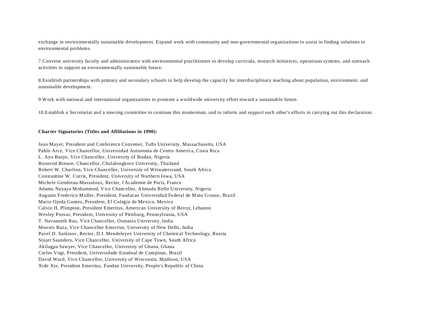exchange in environmentally sustainable development. Expand work with community and non-governmental organizations to assist in finding solutions to environmental problems.

7.Convene university faculty and administrators with environmental practitioners to develop curricula, research initiatives, operations systems, and outreach activities to support an environmentally sustainable future.

8.Establish partnerships with primary and secondary schools to help develop the capacity for interdisciplinary teaching about population, environment, and sustainable development.

9.Work with national and international organizations to promote a worldwide university effort toward a sustainable future.

10.Establish a Secretariat and a steering committee to continue this momentum, and to inform and support each other's efforts in carrying out this declaration.

#### **Charter Signatories (Titles and Affiliations in 1990):**

Jean Mayer, President and Conference Convener, Tufts University, Massachusetts, USA Pablo Arce, Vice Chancellor, Universidad Autonoma de Centro America, Costa Rica L. Ayo Banjo, Vice Chancellor, University of Ibadan, Nigeria Boonrod Binson, Chancellor, Chulalongkorn University, Thailand Robert W. Charlton, Vice Chancellor, University of Witwatersrand, South Africa Constantine W. Curris, President, University of Northern Iowa, USA Michele Gendreau-Massaloux, Rector, l'Academie de Paris, France Adamu Nayaya Mohammed, Vice Chancellor, Ahmadu Bello University, Nigeria Augusto Frederico Muller, President, Fundacao Universidad Federal de Mato Grosso, Brazil Mario Ojeda Gomez, President, El Colegio de Mexico, Mexico Calvin H. Plimpton, President Emeritus, American University of Beirut, Lebanon Wesley Posvar, President, University of Pittsburg, Pennsylvania, USA T. Navaneeth Rao, Vice Chancellor, Osmania University, India Moonis Raza, Vice Chancellor Emeritus, University of New Delhi, India Pavel D. Sarkisov, Rector, D.I. Mendeleyev University of Chemical Technology, Russia Stuart Saunders, Vice Chancellor, University of Cape Town, South Africa Akilagpa Sawyer, Vice Chancellor, University of Ghana, Ghana Carlos Vogt, President, Universidade Estadual de Campinas, Brazil David Ward, Vice Chancellor, University of Wisconsin, Madison, USA Xide Xie, President Emeritus, Fundan University, People's Republic of China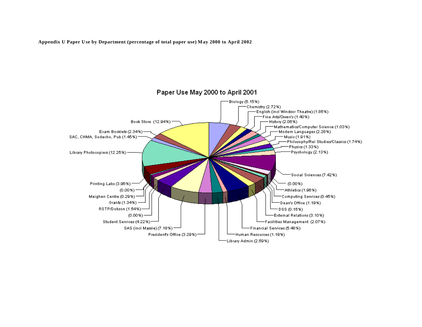**Appendix U Paper Use by Department (percentage of total paper use) May 2000 to April 2002**

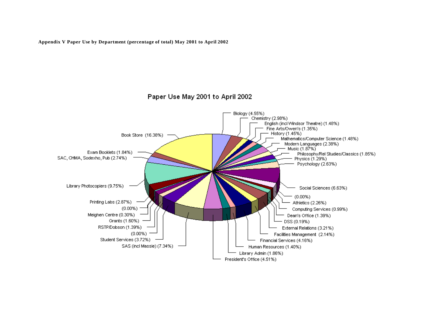**Appendix V Paper Use by Department (percentage of total) May 2001 to April 2002**



## Paper Use May 2001 to April 2002